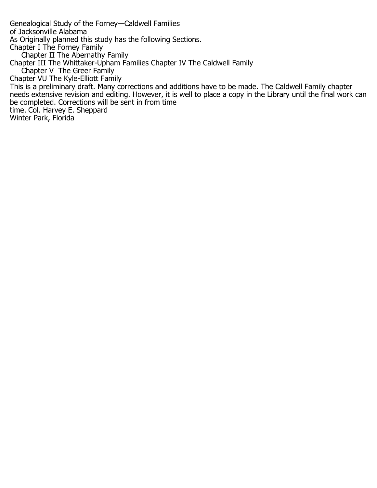Genealogical Study of the Forney—Caldwell Families of Jacksonville Alabama As Originally planned this study has the following Sections. Chapter I The Forney Family Chapter II The Abernathy Family Chapter III The Whittaker-Upham Families Chapter IV The Caldwell Family Chapter V The Greer Family Chapter VU The Kyle-Elliott Family This is a preliminary draft. Many corrections and additions have to be made. The Caldwell Family chapter needs extensive revision and editing. However, it is well to place a copy in the Library until the final work can be completed. Corrections will be sent in from time time. Col. Harvey E. Sheppard Winter Park, Florida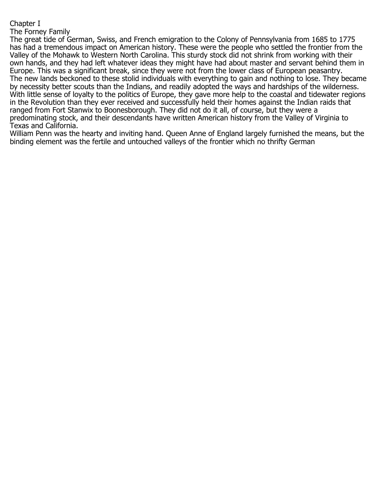## Chapter I

## The Forney Family

The great tide of German, Swiss, and French emigration to the Colony of Pennsylvania from 1685 to 1775 has had a tremendous impact on American history. These were the people who settled the frontier from the Valley of the Mohawk to Western North Carolina. This sturdy stock did not shrink from working with their own hands, and they had left whatever ideas they might have had about master and servant behind them in Europe. This was a significant break, since they were not from the lower class of European peasantry. The new lands beckoned to these stolid individuals with everything to gain and nothing to lose. They became by necessity better scouts than the Indians, and readily adopted the ways and hardships of the wilderness. With little sense of loyalty to the politics of Europe, they gave more help to the coastal and tidewater regions in the Revolution than they ever received and successfully held their homes against the Indian raids that ranged from Fort Stanwix to Boonesborough. They did not do it all, of course, but they were a predominating stock, and their descendants have written American history from the Valley of Virginia to Texas and California.

William Penn was the hearty and inviting hand. Queen Anne of England largely furnished the means, but the binding element was the fertile and untouched valleys of the frontier which no thrifty German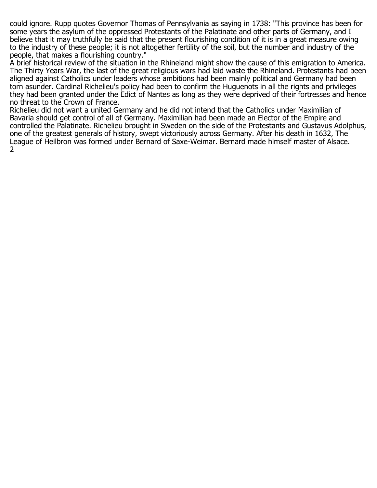could ignore. Rupp quotes Governor Thomas of Pennsylvania as saying in 1738: "This province has been for some years the asylum of the oppressed Protestants of the Palatinate and other parts of Germany, and I believe that it may truthfully be said that the present flourishing condition of it is in a great measure owing to the industry of these people; it is not altogether fertility of the soil, but the number and industry of the people, that makes a flourishing country."

A brief historical review of the situation in the Rhineland might show the cause of this emigration to America. The Thirty Years War, the last of the great religious wars had laid waste the Rhineland. Protestants had been aligned against Catholics under leaders whose ambitions had been mainly political and Germany had been torn asunder. Cardinal Richelieu's policy had been to confirm the Huguenots in all the rights and privileges they had been granted under the Edict of Nantes as long as they were deprived of their fortresses and hence no threat to the Crown of France.

Richelieu did not want a united Germany and he did not intend that the Catholics under Maximilian of Bavaria should get control of all of Germany. Maximilian had been made an Elector of the Empire and controlled the Palatinate. Richelieu brought in Sweden on the side of the Protestants and Gustavus Adolphus, one of the greatest generals of history, swept victoriously across Germany. After his death in 1632, The League of Heilbron was formed under Bernard of Saxe-Weimar. Bernard made himself master of Alsace. 2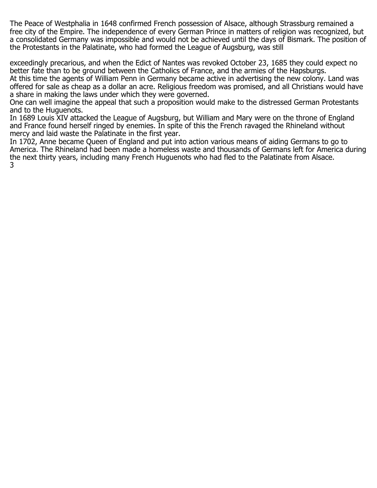The Peace of Westphalia in 1648 confirmed French possession of Alsace, although Strassburg remained a free city of the Empire. The independence of every German Prince in matters of religion was recognized, but a consolidated Germany was impossible and would not be achieved until the days of Bismark. The position of the Protestants in the Palatinate, who had formed the League of Augsburg, was still

exceedingly precarious, and when the Edict of Nantes was revoked October 23, 1685 they could expect no better fate than to be ground between the Catholics of France, and the armies of the Hapsburgs. At this time the agents of William Penn in Germany became active in advertising the new colony. Land was offered for sale as cheap as a dollar an acre. Religious freedom was promised, and all Christians would have a share in making the laws under which they were governed.

One can well imagine the appeal that such a proposition would make to the distressed German Protestants and to the Huguenots.

In 1689 Louis XIV attacked the League of Augsburg, but William and Mary were on the throne of England and France found herself ringed by enemies. In spite of this the French ravaged the Rhineland without mercy and laid waste the Palatinate in the first year.

In 1702, Anne became Queen of England and put into action various means of aiding Germans to go to America. The Rhineland had been made a homeless waste and thousands of Germans left for America during the next thirty years, including many French Huguenots who had fled to the Palatinate from Alsace. 3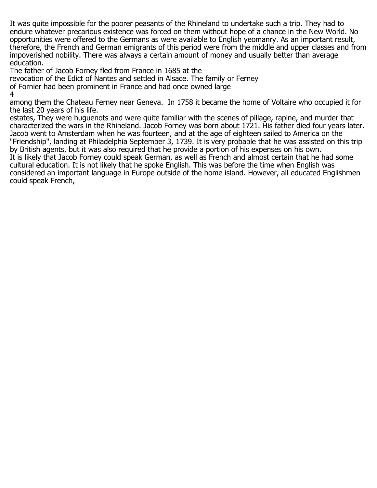It was quite impossible for the poorer peasants of the Rhineland to undertake such a trip. They had to endure whatever precarious existence was forced on them without hope of a chance in the New World. No opportunities were offered to the Germans as were available to English yeomanry. As an important result, therefore, the French and German emigrants of this period were from the middle and upper classes and from impoverished nobility. There was always a certain amount of money and usually better than average education.

The father of Jacob Forney fled from France in 1685 at the

revocation of the Edict of Nantes and settled in Alsace. The family or Ferney of Fornier had been prominent in France and had once owned large

4

among them the Chateau Ferney near Geneva. In 1758 it became the home of Voltaire who occupied it for the last 20 years of his life.

estates, They were huguenots and were quite familiar with the scenes of pillage, rapine, and murder that characterized the wars in the Rhineland. Jacob Forney was born about 1721. His father died four years later. Jacob went to Amsterdam when he was fourteen, and at the age of eighteen sailed to America on the "Friendship", landing at Philadelphia September 3, 1739. It is very probable that he was assisted on this trip by British agents, but it was also required that he provide a portion of his expenses on his own. It is likely that Jacob Forney could speak German, as well as French and almost certain that he had some cultural education. It is not likely that he spoke English. This was before the time when English was considered an important language in Europe outside of the home island. However, all educated Englishmen could speak French,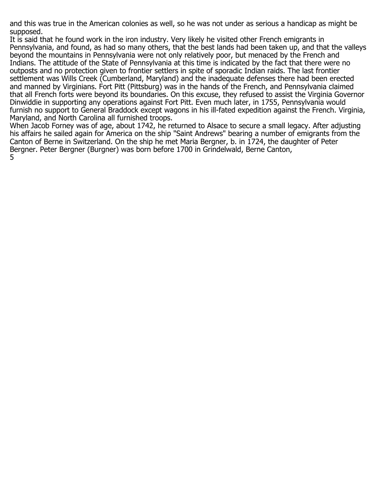and this was true in the American colonies as well, so he was not under as serious a handicap as might be supposed.

It is said that he found work in the iron industry. Very likely he visited other French emigrants in Pennsylvania, and found, as had so many others, that the best lands had been taken up, and that the valleys beyond the mountains in Pennsylvania were not only relatively poor, but menaced by the French and Indians. The attitude of the State of Pennsylvania at this time is indicated by the fact that there were no outposts and no protection given to frontier settlers in spite of sporadic Indian raids. The last frontier settlement was Wills Creek (Cumberland, Maryland) and the inadequate defenses there had been erected and manned by Virginians. Fort Pitt (Pittsburg) was in the hands of the French, and Pennsylvania claimed that all French forts were beyond its boundaries. On this excuse, they refused to assist the Virginia Governor Dinwiddie in supporting any operations against Fort Pitt. Even much later, in 1755, Pennsylvania would furnish no support to General Braddock except wagons in his ill-fated expedition against the French. Virginia, Maryland, and North Carolina all furnished troops.

When Jacob Forney was of age, about 1742, he returned to Alsace to secure a small legacy. After adjusting his affairs he sailed again for America on the ship "Saint Andrews" bearing a number of emigrants from the Canton of Berne in Switzerland. On the ship he met Maria Bergner, b. in 1724, the daughter of Peter Bergner. Peter Bergner (Burgner) was born before 1700 in Grindelwald, Berne Canton, 5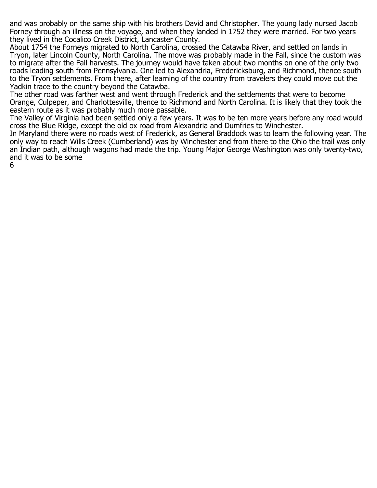and was probably on the same ship with his brothers David and Christopher. The young lady nursed Jacob Forney through an illness on the voyage, and when they landed in 1752 they were married. For two years they lived in the Cocalico Creek District, Lancaster County.

About 1754 the Forneys migrated to North Carolina, crossed the Catawba River, and settled on lands in Tryon, later Lincoln County, North Carolina. The move was probably made in the Fall, since the custom was to migrate after the Fall harvests. The journey would have taken about two months on one of the only two roads leading south from Pennsylvania. One led to Alexandria, Fredericksburg, and Richmond, thence south to the Tryon settlements. From there, after learning of the country from travelers they could move out the Yadkin trace to the country beyond the Catawba.

The other road was farther west and went through Frederick and the settlements that were to become Orange, Culpeper, and Charlottesville, thence to Richmond and North Carolina. It is likely that they took the eastern route as it was probably much more passable.

The Valley of Virginia had been settled only a few years. It was to be ten more years before any road would cross the Blue Ridge, except the old ox road from Alexandria and Dumfries to Winchester.

In Maryland there were no roads west of Frederick, as General Braddock was to learn the following year. The only way to reach Wills Creek (Cumberland) was by Winchester and from there to the Ohio the trail was only an Indian path, although wagons had made the trip. Young Major George Washington was only twenty-two, and it was to be some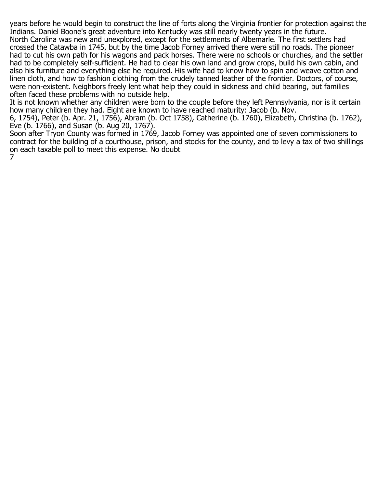years before he would begin to construct the line of forts along the Virginia frontier for protection against the Indians. Daniel Boone's great adventure into Kentucky was still nearly twenty years in the future. North Carolina was new and unexplored, except for the settlements of Albemarle. The first settlers had crossed the Catawba in 1745, but by the time Jacob Forney arrived there were still no roads. The pioneer had to cut his own path for his wagons and pack horses. There were no schools or churches, and the settler had to be completely self-sufficient. He had to clear his own land and grow crops, build his own cabin, and also his furniture and everything else he required. His wife had to know how to spin and weave cotton and linen cloth, and how to fashion clothing from the crudely tanned leather of the frontier. Doctors, of course, were non-existent. Neighbors freely lent what help they could in sickness and child bearing, but families often faced these problems with no outside help.

It is not known whether any children were born to the couple before they left Pennsylvania, nor is it certain how many children they had. Eight are known to have reached maturity: Jacob (b. Nov.

6, 1754), Peter (b. Apr. 21, 1756), Abram (b. Oct 1758), Catherine (b. 1760), Elizabeth, Christina (b. 1762), Eve (b. 1766), and Susan (b. Aug 20, 1767).

Soon after Tryon County was formed in 1769, Jacob Forney was appointed one of seven commissioners to contract for the building of a courthouse, prison, and stocks for the county, and to levy a tax of two shillings on each taxable poll to meet this expense. No doubt 7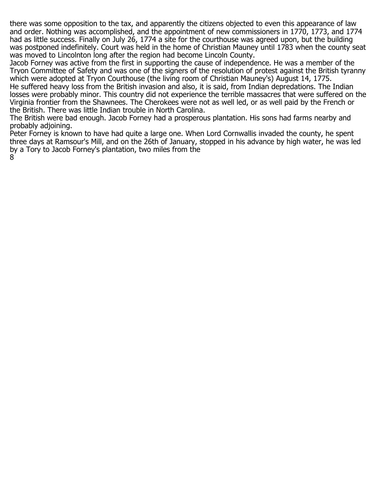there was some opposition to the tax, and apparently the citizens objected to even this appearance of law and order. Nothing was accomplished, and the appointment of new commissioners in 1770, 1773, and 1774 had as little success. Finally on July 26, 1774 a site for the courthouse was agreed upon, but the building was postponed indefinitely. Court was held in the home of Christian Mauney until 1783 when the county seat was moved to Lincolnton long after the region had become Lincoln County.

Jacob Forney was active from the first in supporting the cause of independence. He was a member of the Tryon Committee of Safety and was one of the signers of the resolution of protest against the British tyranny which were adopted at Tryon Courthouse (the living room of Christian Mauney's) August 14, 1775. He suffered heavy loss from the British invasion and also, it is said, from Indian depredations. The Indian

losses were probably minor. This country did not experience the terrible massacres that were suffered on the Virginia frontier from the Shawnees. The Cherokees were not as well led, or as well paid by the French or the British. There was little Indian trouble in North Carolina.

The British were bad enough. Jacob Forney had a prosperous plantation. His sons had farms nearby and probably adjoining.

Peter Forney is known to have had quite a large one. When Lord Cornwallis invaded the county, he spent three days at Ramsour's Mill, and on the 26th of January, stopped in his advance by high water, he was led by a Tory to Jacob Forney's plantation, two miles from the 8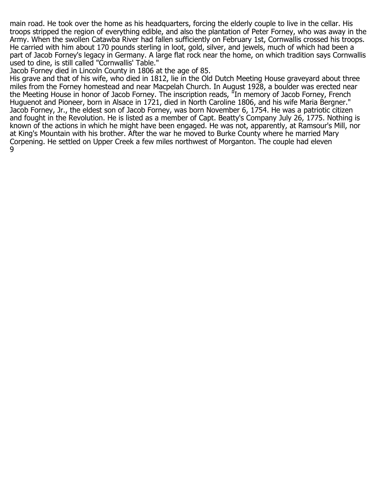main road. He took over the home as his headquarters, forcing the elderly couple to live in the cellar. His troops stripped the region of everything edible, and also the plantation of Peter Forney, who was away in the Army. When the swollen Catawba River had fallen sufficiently on February 1st, Cornwallis crossed his troops. He carried with him about 170 pounds sterling in loot, gold, silver, and jewels, much of which had been a part of Jacob Forney's legacy in Germany. A large flat rock near the home, on which tradition says Cornwallis used to dine, is still called "Cornwallis' Table."

Jacob Forney died in Lincoln County in 1806 at the age of 85.

His grave and that of his wife, who died in 1812, lie in the Old Dutch Meeting House graveyard about three miles from the Forney homestead and near Macpelah Church. In August 1928, a boulder was erected near the Meeting House in honor of Jacob Forney. The inscription reads, "In memory of Jacob Forney, French Huguenot and Pioneer, born in Alsace in 1721, died in North Caroline 1806, and his wife Maria Bergner." Jacob Forney, Jr., the eldest son of Jacob Forney, was born November 6, 1754. He was a patriotic citizen and fought in the Revolution. He is listed as a member of Capt. Beatty's Company July 26, 1775. Nothing is known of the actions in which he might have been engaged. He was not, apparently, at Ramsour's Mill, nor at King's Mountain with his brother. After the war he moved to Burke County where he married Mary Corpening. He settled on Upper Creek a few miles northwest of Morganton. The couple had eleven 9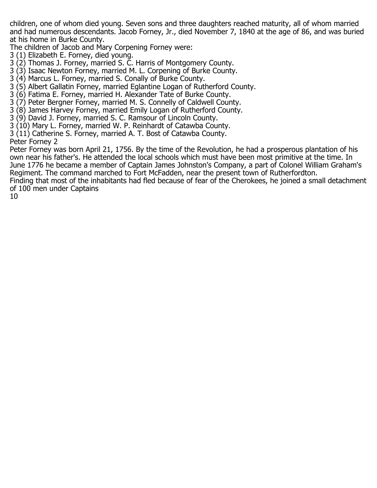children, one of whom died young. Seven sons and three daughters reached maturity, all of whom married and had numerous descendants. Jacob Forney, Jr., died November 7, 1840 at the age of 86, and was buried at his home in Burke County.

The children of Jacob and Mary Corpening Forney were:

- 3 (1) Elizabeth E. Forney, died young.
- 3 (2) Thomas J. Forney, married S. C. Harris of Montgomery County.
- 3 (3) Isaac Newton Forney, married M. L. Corpening of Burke County.
- 3 (4) Marcus L. Forney, married S. Conally of Burke County.
- 3 (5) Albert Gallatin Forney, married Eglantine Logan of Rutherford County.
- 3 (6) Fatima E. Forney, married H. Alexander Tate of Burke County.
- 3 (7) Peter Bergner Forney, married M. S. Connelly of Caldwell County.
- 3 (8) James Harvey Forney, married Emily Logan of Rutherford County.
- 3 (9) David J. Forney, married S. C. Ramsour of Lincoln County.
- 3 (10) Mary L. Forney, married W. P. Reinhardt of Catawba County.
- 3 (11) Catherine S. Forney, married A. T. Bost of Catawba County.

Peter Forney 2

Peter Forney was born April 21, 1756. By the time of the Revolution, he had a prosperous plantation of his own near his father's. He attended the local schools which must have been most primitive at the time. In June 1776 he became a member of Captain James Johnston's Company, a part of Colonel William Graham's Regiment. The command marched to Fort McFadden, near the present town of Rutherfordton.

Finding that most of the inhabitants had fled because of fear of the Cherokees, he joined a small detachment of 100 men under Captains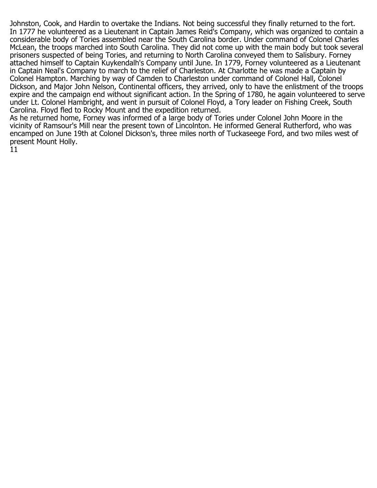Johnston, Cook, and Hardin to overtake the Indians. Not being successful they finally returned to the fort. In 1777 he volunteered as a Lieutenant in Captain James Reid's Company, which was organized to contain a considerable body of Tories assembled near the South Carolina border. Under command of Colonel Charles McLean, the troops marched into South Carolina. They did not come up with the main body but took several prisoners suspected of being Tories, and returning to North Carolina conveyed them to Salisbury. Forney attached himself to Captain Kuykendalh's Company until June. In 1779, Forney volunteered as a Lieutenant in Captain Neal's Company to march to the relief of Charleston. At Charlotte he was made a Captain by Colonel Hampton. Marching by way of Camden to Charleston under command of Colonel Hall, Colonel Dickson, and Major John Nelson, Continental officers, they arrived, only to have the enlistment of the troops expire and the campaign end without significant action. In the Spring of 1780, he again volunteered to serve under Lt. Colonel Hambright, and went in pursuit of Colonel Floyd, a Tory leader on Fishing Creek, South Carolina. Floyd fled to Rocky Mount and the expedition returned.

As he returned home, Forney was informed of a large body of Tories under Colonel John Moore in the vicinity of Ramsour's Mill near the present town of Lincolnton. He informed General Rutherford, who was encamped on June 19th at Colonel Dickson's, three miles north of Tuckaseege Ford, and two miles west of present Mount Holly.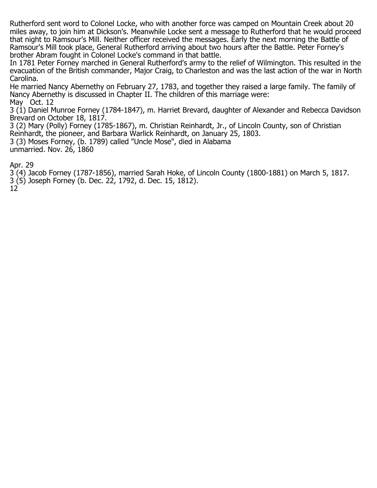Rutherford sent word to Colonel Locke, who with another force was camped on Mountain Creek about 20 miles away, to join him at Dickson's. Meanwhile Locke sent a message to Rutherford that he would proceed that night to Ramsour's Mill. Neither officer received the messages. Early the next morning the Battle of Ramsour's Mill took place, General Rutherford arriving about two hours after the Battle. Peter Forney's brother Abram fought in Colonel Locke's command in that battle.

In 1781 Peter Forney marched in General Rutherford's army to the relief of Wilmington. This resulted in the evacuation of the British commander, Major Craig, to Charleston and was the last action of the war in North Carolina.

He married Nancy Abernethy on February 27, 1783, and together they raised a large family. The family of Nancy Abernethy is discussed in Chapter II. The children of this marriage were: May Oct. 12

3 (1) Daniel Munroe Forney (1784-1847), m. Harriet Brevard, daughter of Alexander and Rebecca Davidson Brevard on October 18, 1817.

3 (2) Mary (Polly) Forney (1785-1867), m. Christian Reinhardt, Jr., of Lincoln County, son of Christian Reinhardt, the pioneer, and Barbara Warlick Reinhardt, on January 25, 1803. 3 (3) Moses Forney, (b. 1789) called "Uncle Mose", died in Alabama unmarried. Nov. 26, 1860

Apr. 29

3 (4) Jacob Forney (1787-1856), married Sarah Hoke, of Lincoln County (1800-1881) on March 5, 1817.

3 (5) Joseph Forney (b. Dec. 22, 1792, d. Dec. 15, 1812).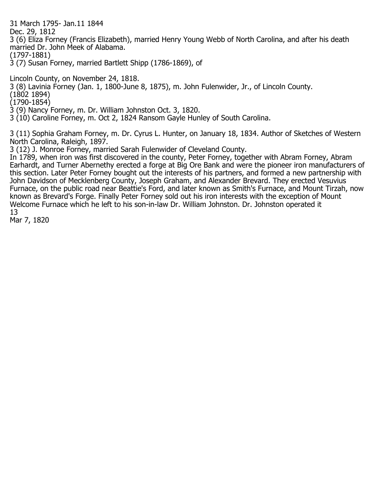31 March 1795- Jan.11 1844

Dec. 29, 1812

3 (6) Eliza Forney (Francis Elizabeth), married Henry Young Webb of North Carolina, and after his death married Dr. John Meek of Alabama.

(1797-1881)

3 (7) Susan Forney, married Bartlett Shipp (1786-1869), of

Lincoln County, on November 24, 1818.

3 (8) Lavinia Forney (Jan. 1, 1800-June 8, 1875), m. John Fulenwider, Jr., of Lincoln County.

(1802 1894)

(1790-1854)

3 (9) Nancy Forney, m. Dr. William Johnston Oct. 3, 1820.

3 (10) Caroline Forney, m. Oct 2, 1824 Ransom Gayle Hunley of South Carolina.

3 (11) Sophia Graham Forney, m. Dr. Cyrus L. Hunter, on January 18, 1834. Author of Sketches of Western North Carolina, Raleigh, 1897.

3 (12) J. Monroe Forney, married Sarah Fulenwider of Cleveland County.

In 1789, when iron was first discovered in the county, Peter Forney, together with Abram Forney, Abram Earhardt, and Turner Abernethy erected a forge at Big Ore Bank and were the pioneer iron manufacturers of this section. Later Peter Forney bought out the interests of his partners, and formed a new partnership with John Davidson of Mecklenberg County, Joseph Graham, and Alexander Brevard. They erected Vesuvius Furnace, on the public road near Beattie's Ford, and later known as Smith's Furnace, and Mount Tirzah, now known as Brevard's Forge. Finally Peter Forney sold out his iron interests with the exception of Mount Welcome Furnace which he left to his son-in-law Dr. William Johnston. Dr. Johnston operated it 13

Mar 7, 1820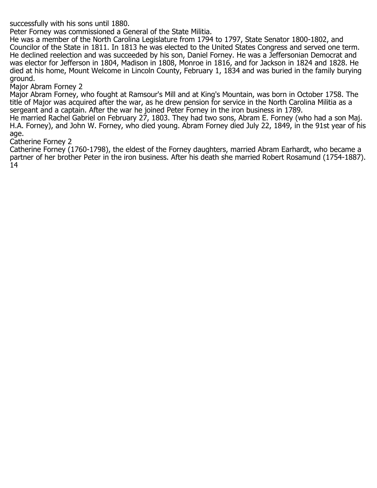successfully with his sons until 1880.

Peter Forney was commissioned a General of the State Militia.

He was a member of the North Carolina Legislature from 1794 to 1797, State Senator 1800-1802, and Councilor of the State in 1811. In 1813 he was elected to the United States Congress and served one term. He declined reelection and was succeeded by his son, Daniel Forney. He was a Jeffersonian Democrat and was elector for Jefferson in 1804, Madison in 1808, Monroe in 1816, and for Jackson in 1824 and 1828. He died at his home, Mount Welcome in Lincoln County, February 1, 1834 and was buried in the family burying ground.

Major Abram Forney 2

Major Abram Forney, who fought at Ramsour's Mill and at King's Mountain, was born in October 1758. The title of Major was acquired after the war, as he drew pension for service in the North Carolina Militia as a sergeant and a captain. After the war he joined Peter Forney in the iron business in 1789.

He married Rachel Gabriel on February 27, 1803. They had two sons, Abram E. Forney (who had a son Maj. H.A. Forney), and John W. Forney, who died young. Abram Forney died July 22, 1849, in the 91st year of his age.

## Catherine Forney 2

Catherine Forney (1760-1798), the eldest of the Forney daughters, married Abram Earhardt, who became a partner of her brother Peter in the iron business. After his death she married Robert Rosamund (1754-1887). 14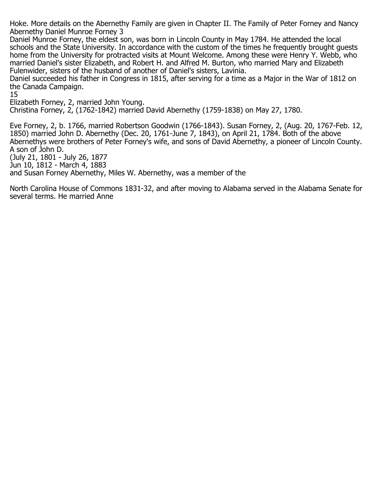Hoke. More details on the Abernethy Family are given in Chapter II. The Family of Peter Forney and Nancy Abernethy Daniel Munroe Forney 3

Daniel Munroe Forney, the eldest son, was born in Lincoln County in May 1784. He attended the local schools and the State University. In accordance with the custom of the times he frequently brought guests home from the University for protracted visits at Mount Welcome. Among these were Henry Y. Webb, who married Daniel's sister Elizabeth, and Robert H. and Alfred M. Burton, who married Mary and Elizabeth Fulenwider, sisters of the husband of another of Daniel's sisters, Lavinia.

Daniel succeeded his father in Congress in 1815, after serving for a time as a Major in the War of 1812 on the Canada Campaign.

15

Elizabeth Forney, 2, married John Young.

Christina Forney, 2, (1762-1842) married David Abernethy (1759-1838) on May 27, 1780.

Eve Forney, 2, b. 1766, married Robertson Goodwin (1766-1843). Susan Forney, 2, (Aug. 20, 1767-Feb. 12, 1850) married John D. Abernethy (Dec. 20, 1761-June 7, 1843), on April 21, 1784. Both of the above Abernethys were brothers of Peter Forney's wife, and sons of David Abernethy, a pioneer of Lincoln County. A son of John D.

(July 21, 1801 - July 26, 1877

Jun 10, 1812 - March 4, 1883

and Susan Forney Abernethy, Miles W. Abernethy, was a member of the

North Carolina House of Commons 1831-32, and after moving to Alabama served in the Alabama Senate for several terms. He married Anne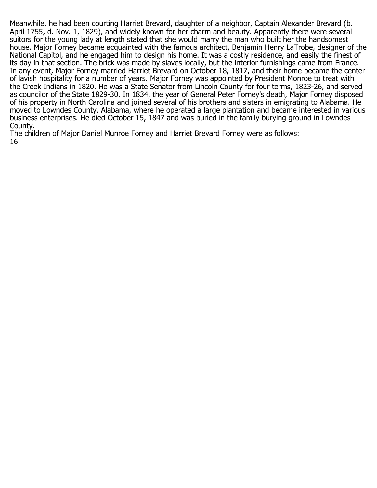Meanwhile, he had been courting Harriet Brevard, daughter of a neighbor, Captain Alexander Brevard (b. April 1755, d. Nov. 1, 1829), and widely known for her charm and beauty. Apparently there were several suitors for the young lady at length stated that she would marry the man who built her the handsomest house. Major Forney became acquainted with the famous architect, Benjamin Henry LaTrobe, designer of the National Capitol, and he engaged him to design his home. It was a costly residence, and easily the finest of its day in that section. The brick was made by slaves locally, but the interior furnishings came from France. In any event, Major Forney married Harriet Brevard on October 18, 1817, and their home became the center of lavish hospitality for a number of years. Major Forney was appointed by President Monroe to treat with the Creek Indians in 1820. He was a State Senator from Lincoln County for four terms, 1823-26, and served as councilor of the State 1829-30. In 1834, the year of General Peter Forney's death, Major Forney disposed of his property in North Carolina and joined several of his brothers and sisters in emigrating to Alabama. He moved to Lowndes County, Alabama, where he operated a large plantation and became interested in various business enterprises. He died October 15, 1847 and was buried in the family burying ground in Lowndes County.

The children of Major Daniel Munroe Forney and Harriet Brevard Forney were as follows: 16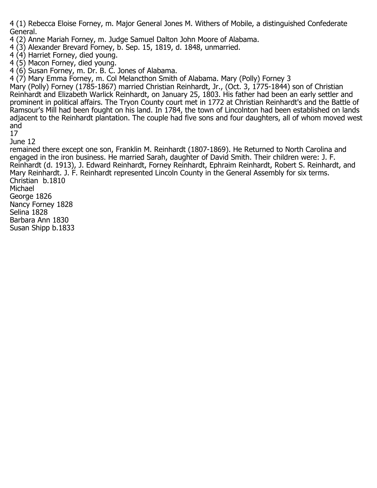4 (1) Rebecca Eloise Forney, m. Major General Jones M. Withers of Mobile, a distinguished Confederate General.

4 (2) Anne Mariah Forney, m. Judge Samuel Dalton John Moore of Alabama.

4 (3) Alexander Brevard Forney, b. Sep. 15, 1819, d. 1848, unmarried.

 $4(4)$  Harriet Forney, died young.

4 (5) Macon Forney, died young.

4 (6) Susan Forney, m. Dr. B. C. Jones of Alabama.

4 (7) Mary Emma Forney, m. Col Melancthon Smith of Alabama. Mary (Polly) Forney 3

Mary (Polly) Forney (1785-1867) married Christian Reinhardt, Jr., (Oct. 3, 1775-1844) son of Christian Reinhardt and Elizabeth Warlick Reinhardt, on January 25, 1803. His father had been an early settler and prominent in political affairs. The Tryon County court met in 1772 at Christian Reinhardt's and the Battle of Ramsour's Mill had been fought on his land. In 1784, the town of Lincolnton had been established on lands adjacent to the Reinhardt plantation. The couple had five sons and four daughters, all of whom moved west and

17

June 12

remained there except one son, Franklin M. Reinhardt (1807-1869). He Returned to North Carolina and engaged in the iron business. He married Sarah, daughter of David Smith. Their children were: J. F. Reinhardt (d. 1913), J. Edward Reinhardt, Forney Reinhardt, Ephraim Reinhardt, Robert S. Reinhardt, and Mary Reinhardt. J. F. Reinhardt represented Lincoln County in the General Assembly for six terms. Christian b.1810 Michael George 1826 Nancy Forney 1828

Selina 1828

Barbara Ann 1830

Susan Shipp b.1833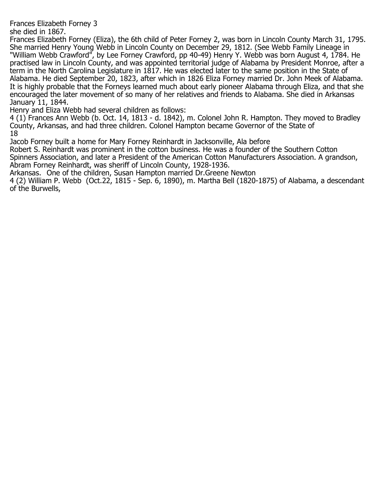Frances Elizabeth Forney 3

she died in 1867.

Frances Elizabeth Forney (Eliza), the 6th child of Peter Forney 2, was born in Lincoln County March 31, 1795. She married Henry Young Webb in Lincoln County on December 29, 1812. (See Webb Family Lineage in "William Webb Crawford", by Lee Forney Crawford, pp 40-49) Henry Y. Webb was born August 4, 1784. He practised law in Lincoln County, and was appointed territorial judge of Alabama by President Monroe, after a term in the North Carolina Legislature in 1817. He was elected later to the same position in the State of Alabama. He died September 20, 1823, after which in 1826 Eliza Forney married Dr. John Meek of Alabama. It is highly probable that the Forneys learned much about early pioneer Alabama through Eliza, and that she encouraged the later movement of so many of her relatives and friends to Alabama. She died in Arkansas January 11, 1844.

Henry and Eliza Webb had several children as follows:

4 (1) Frances Ann Webb (b. Oct. 14, 1813 - d. 1842), m. Colonel John R. Hampton. They moved to Bradley County, Arkansas, and had three children. Colonel Hampton became Governor of the State of 18

Jacob Forney built a home for Mary Forney Reinhardt in Jacksonville, Ala before

Robert S. Reinhardt was prominent in the cotton business. He was a founder of the Southern Cotton Spinners Association, and later a President of the American Cotton Manufacturers Association. A grandson, Abram Forney Reinhardt, was sheriff of Lincoln County, 1928-1936.

Arkansas. One of the children, Susan Hampton married Dr.Greene Newton

4 (2) William P. Webb (Oct.22, 1815 - Sep. 6, 1890), m. Martha Bell (1820-1875) of Alabama, a descendant of the Burwells,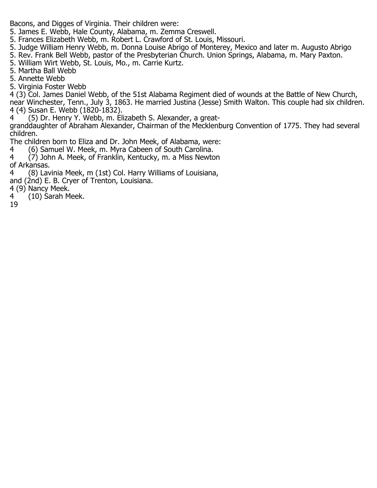Bacons, and Digges of Virginia. Their children were:

- 5. James E. Webb, Hale County, Alabama, m. Zemma Creswell.
- 5. Frances Elizabeth Webb, m. Robert L. Crawford of St. Louis, Missouri.
- 5. Judge William Henry Webb, m. Donna Louise Abrigo of Monterey, Mexico and later m. Augusto Abrigo
- 5. Rev. Frank Bell Webb, pastor of the Presbyterian Church. Union Springs, Alabama, m. Mary Paxton.
- 5. William Wirt Webb, St. Louis, Mo., m. Carrie Kurtz.
- 5. Martha Ball Webb
- 5. Annette Webb
- 5. Virginia Foster Webb

4 (3) Col. James Daniel Webb, of the 51st Alabama Regiment died of wounds at the Battle of New Church, near Winchester, Tenn., July 3, 1863. He married Justina (Jesse) Smith Walton. This couple had six children. 4 (4) Susan E. Webb (1820-1832).

4 (5) Dr. Henry Y. Webb, m. Elizabeth S. Alexander, a great-

granddaughter of Abraham Alexander, Chairman of the Mecklenburg Convention of 1775. They had several children.

The children born to Eliza and Dr. John Meek, of Alabama, were:

- 4 (6) Samuel W. Meek, m. Myra Cabeen of South Carolina.<br>4 (7) John A. Meek, of Franklin, Kentucky, m. a Miss Newto
- $(7)$  John A. Meek, of Franklin, Kentucky, m. a Miss Newton of Arkansas.<br>4 (8) Lav
- 4 (8) Lavinia Meek, m (1st) Col. Harry Williams of Louisiana,
- and (2nd) E. B. Cryer of Trenton, Louisiana.
- 4 (9) Nancy Meek.
- 4 (10) Sarah Meek.
- 19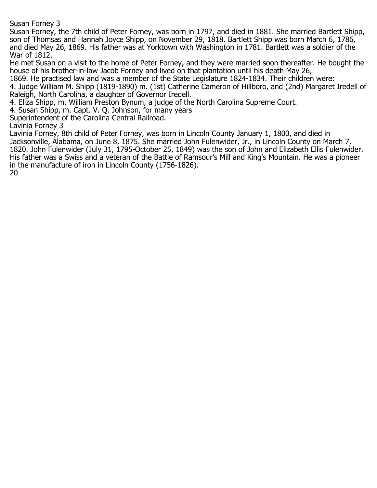Susan Forney 3

Susan Forney, the 7th child of Peter Forney, was born in 1797, and died in 1881. She married Bartlett Shipp, son of Thomsas and Hannah Joyce Shipp, on November 29, 1818. Bartlett Shipp was born March 6, 1786, and died May 26, 1869. His father was at Yorktown with Washington in 1781. Bartlett was a soldier of the War of 1812.

He met Susan on a visit to the home of Peter Forney, and they were married soon thereafter. He bought the house of his brother-in-law Jacob Forney and lived on that plantation until his death May 26,

1869. He practised law and was a member of the State Legislature 1824-1834. Their children were:

4. Judge William M. Shipp (1819-1890) m. (1st) Catherine Cameron of Hillboro, and (2nd) Margaret Iredell of Raleigh, North Carolina, a daughter of Governor Iredell.

4. Eliza Shipp, m. William Preston Bynum, a judge of the North Carolina Supreme Court.

4. Susan Shipp, m. Capt. V. Q. Johnson, for many years

Superintendent of the Carolina Central Railroad.

Lavinia Forney 3

Lavinia Forney, 8th child of Peter Forney, was born in Lincoln County January 1, 1800, and died in Jacksonville, Alabama, on June 8, 1875. She married John Fulenwider, Jr., in Lincoln County on March 7, 1820. John Fulenwider (July 31, 1795-October 25, 1849) was the son of John and Elizabeth Ellis Fulenwider. His father was a Swiss and a veteran of the Battle of Ramsour's Mill and King's Mountain. He was a pioneer in the manufacture of iron in Lincoln County (1756-1826). 20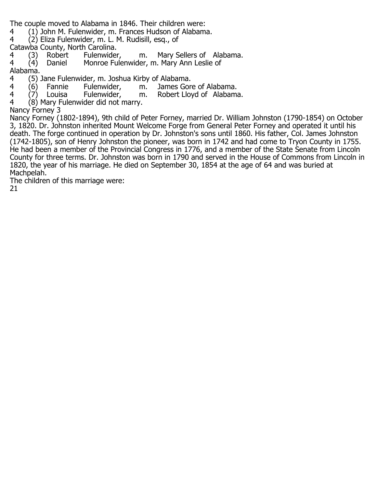The couple moved to Alabama in 1846. Their children were:<br>4 (1) John M. Fulenwider, m. Frances Hudson of Alabam

4 (1) John M. Fulenwider, m. Frances Hudson of Alabama.<br>4 (2) Eliza Fulenwider, m. L. M. Rudisill, esg., of

4 (2) Eliza Fulenwider, m. L. M. Rudisill, esq., of

Catawba County, North Carolina.<br>4 (3) Robert Fulenwider,

- 4 (3) Robert Fulenwider, m. Mary Sellers of Alabama.<br>4 (4) Daniel Monroe Fulenwider, m. Mary Ann Leslie of
- Monroe Fulenwider, m. Mary Ann Leslie of

Alabama.<br>4 (5).

- 4 (5) Jane Fulenwider, m. Joshua Kirby of Alabama.
	-

4 (6) Fannie Fulenwider, m. James Gore of Alabama. 4 (7) Louisa Fulenwider, m. Robert Lloyd of Alabama.<br>4 (8) Mary Fulenwider did not marry.

 $(8)$  Mary Fulenwider did not marry.

Nancy Forney 3

Nancy Forney (1802-1894), 9th child of Peter Forney, married Dr. William Johnston (1790-1854) on October 3, 1820. Dr. Johnston inherited Mount Welcome Forge from General Peter Forney and operated it until his death. The forge continued in operation by Dr. Johnston's sons until 1860. His father, Col. James Johnston (1742-1805), son of Henry Johnston the pioneer, was born in 1742 and had come to Tryon County in 1755. He had been a member of the Provincial Congress in 1776, and a member of the State Senate from Lincoln County for three terms. Dr. Johnston was born in 1790 and served in the House of Commons from Lincoln in 1820, the year of his marriage. He died on September 30, 1854 at the age of 64 and was buried at Machpelah.

The children of this marriage were: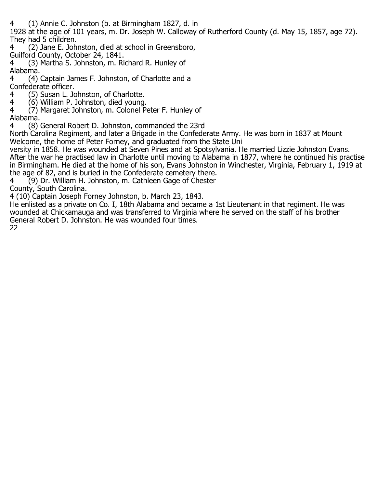4 (1) Annie C. Johnston (b. at Birmingham 1827, d. in

1928 at the age of 101 years, m. Dr. Joseph W. Calloway of Rutherford County (d. May 15, 1857, age 72). They had 5 children.

- 4 (2) Jane E. Johnston, died at school in Greensboro,
- Guilford County, October 24, 1841.
- 4 (3) Martha S. Johnston, m. Richard R. Hunley of Alabama.<br>4 (4)
- 4 (4) Captain James F. Johnston, of Charlotte and a
- Confederate officer.<br>4 (5) Susan L. Jo
- 4 (5) Susan L. Johnston, of Charlotte.<br>4 (6) William P. Johnston, died voung. 4 (6) William P. Johnston, died young.
- $(7)$  Margaret Johnston, m. Colonel Peter F. Hunley of
- Alabama.<br>4 (8)
- 4 (8) General Robert D. Johnston, commanded the 23rd
- North Carolina Regiment, and later a Brigade in the Confederate Army. He was born in 1837 at Mount Welcome, the home of Peter Forney, and graduated from the State Uni
- versity in 1858. He was wounded at Seven Pines and at Spotsylvania. He married Lizzie Johnston Evans. After the war he practised law in Charlotte until moving to Alabama in 1877, where he continued his practise in Birmingham. He died at the home of his son, Evans Johnston in Winchester, Virginia, February 1, 1919 at the age of 82, and is buried in the Confederate cemetery there.
- 4 (9) Dr. William H. Johnston, m. Cathleen Gage of Chester
- County, South Carolina.
- 4 (10) Captain Joseph Forney Johnston, b. March 23, 1843.
- He enlisted as a private on Co. I, 18th Alabama and became a 1st Lieutenant in that regiment. He was wounded at Chickamauga and was transferred to Virginia where he served on the staff of his brother General Robert D. Johnston. He was wounded four times.
- 22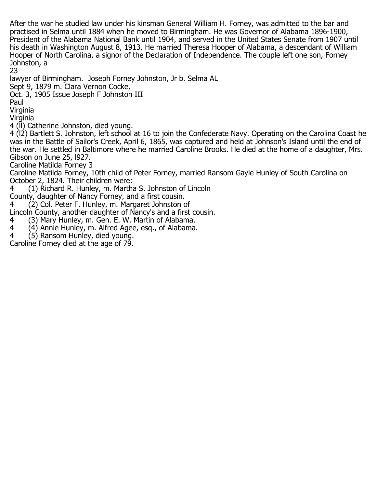After the war he studied law under his kinsman General William H. Forney, was admitted to the bar and practised in Selma until 1884 when he moved to Birmingham. He was Governor of Alabama 1896-1900, President of the Alabama National Bank until 1904, and served in the United States Senate from 1907 until his death in Washington August 8, 1913. He married Theresa Hooper of Alabama, a descendant of William Hooper of North Carolina, a signor of the Declaration of Independence. The couple left one son, Forney Johnston, a

23

lawyer of Birmingham. Joseph Forney Johnston, Jr b. Selma AL

Sept 9, 1879 m. Clara Vernon Cocke,

Oct. 3, 1905 Issue Joseph F Johnston III

Paul

Virginia

Virginia

4 (ll) Catherine Johnston, died young.

4 (l2) Bartlett S. Johnston, left school at 16 to join the Confederate Navy. Operating on the Carolina Coast he was in the Battle of Sailor's Creek, April 6, 1865, was captured and held at Johnson's Island until the end of the war. He settled in Baltimore where he married Caroline Brooks. He died at the home of a daughter, Mrs. Gibson on June 25, l927.

Caroline Matilda Forney 3

Caroline Matilda Forney, 10th child of Peter Forney, married Ransom Gayle Hunley of South Carolina on October 2, 1824. Their children were:

4 (1) Richard R. Hunley, m. Martha S. Johnston of Lincoln

County, daughter of Nancy Forney, and a first cousin.

4 (2) Col. Peter F. Hunley, m. Margaret Johnston of

Lincoln County, another daughter of Nancy's and a first cousin.<br>4 (3) Mary Hunley, m. Gen. E. W. Martin of Alabama.

4 (3) Mary Hunley, m. Gen. E. W. Martin of Alabama.

- 4 (4) Annie Hunley, m. Alfred Agee, esq., of Alabama.<br>4 (5) Ransom Hunley, died voung.
- $(5)$  Ransom Hunley, died young.

Caroline Forney died at the age of 79.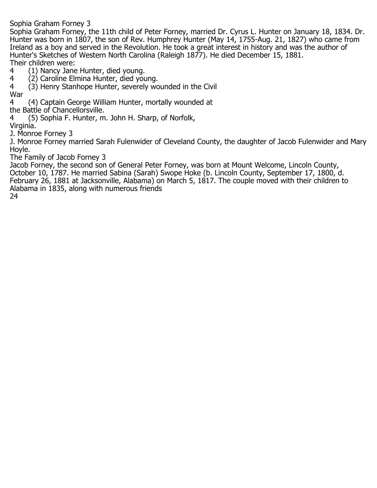Sophia Graham Forney 3

Sophia Graham Forney, the 11th child of Peter Forney, married Dr. Cyrus L. Hunter on January 18, 1834. Dr. Hunter was born in 1807, the son of Rev. Humphrey Hunter (May 14, 1755-Aug. 21, 1827) who came from Ireland as a boy and served in the Revolution. He took a great interest in history and was the author of Hunter's Sketches of Western North Carolina (Raleigh 1877). He died December 15, 1881. Their children were:<br>4 (1) Nancy Jane

4 (1) Nancy Jane Hunter, died young.<br>4 (2) Caroline Elmina Hunter, died vou

4 (2) Caroline Elmina Hunter, died young.<br>4 (3) Henry Stanhope Hunter, severely wo

4 (3) Henry Stanhope Hunter, severely wounded in the Civil

War<br>4 4 (4) Captain George William Hunter, mortally wounded at

the Battle of Chancellorsville.<br>4 (5) Sophia F. Hunter, m

4 (5) Sophia F. Hunter, m. John H. Sharp, of Norfolk,

Virginia.

J. Monroe Forney 3

J. Monroe Forney married Sarah Fulenwider of Cleveland County, the daughter of Jacob Fulenwider and Mary Hoyle.

The Family of Jacob Forney 3

Jacob Forney, the second son of General Peter Forney, was born at Mount Welcome, Lincoln County, October 10, 1787. He married Sabina (Sarah) Swope Hoke (b. Lincoln County, September 17, 1800, d. February 26, 1881 at Jacksonville, Alabama) on March 5, 1817. The couple moved with their children to Alabama in 1835, along with numerous friends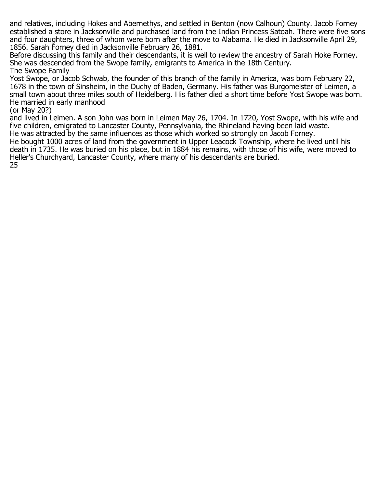and relatives, including Hokes and Abernethys, and settled in Benton (now Calhoun) County. Jacob Forney established a store in Jacksonville and purchased land from the Indian Princess Satoah. There were five sons and four daughters, three of whom were born after the move to Alabama. He died in Jacksonville April 29, 1856. Sarah Forney died in Jacksonville February 26, 1881.

Before discussing this family and their descendants, it is well to review the ancestry of Sarah Hoke Forney. She was descended from the Swope family, emigrants to America in the 18th Century. The Swope Family

Yost Swope, or Jacob Schwab, the founder of this branch of the family in America, was born February 22, 1678 in the town of Sinsheim, in the Duchy of Baden, Germany. His father was Burgomeister of Leimen, a small town about three miles south of Heidelberg. His father died a short time before Yost Swope was born. He married in early manhood

(or May 20?)

and lived in Leimen. A son John was born in Leimen May 26, 1704. In 1720, Yost Swope, with his wife and five children, emigrated to Lancaster County, Pennsylvania, the Rhineland having been laid waste. He was attracted by the same influences as those which worked so strongly on Jacob Forney.

He bought 1000 acres of land from the government in Upper Leacock Township, where he lived until his death in 1735. He was buried on his place, but in 1884 his remains, with those of his wife, were moved to Heller's Churchyard, Lancaster County, where many of his descendants are buried.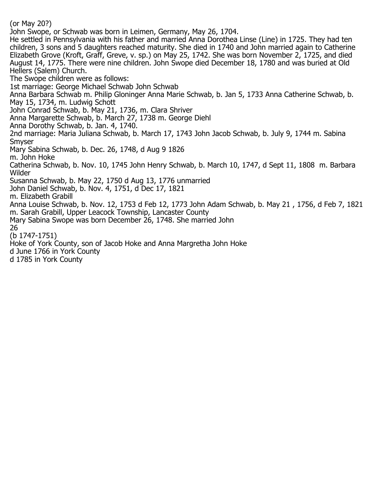(or May 20?)

John Swope, or Schwab was born in Leimen, Germany, May 26, 1704.

He settled in Pennsylvania with his father and married Anna Dorothea Linse (Line) in 1725. They had ten children, 3 sons and 5 daughters reached maturity. She died in 1740 and John married again to Catherine Elizabeth Grove (Kroft, Graff, Greve, v. sp.) on May 25, 1742. She was born November 2, 1725, and died August 14, 1775. There were nine children. John Swope died December 18, 1780 and was buried at Old Hellers (Salem) Church.

The Swope children were as follows:

1st marriage: George Michael Schwab John Schwab

Anna Barbara Schwab m. Philip Gloninger Anna Marie Schwab, b. Jan 5, 1733 Anna Catherine Schwab, b. May 15, 1734, m. Ludwig Schott

John Conrad Schwab, b. May 21, 1736, m. Clara Shriver

Anna Margarette Schwab, b. March 27, 1738 m. George Diehl

Anna Dorothy Schwab, b. Jan. 4, 1740.

2nd marriage: Maria Juliana Schwab, b. March 17, 1743 John Jacob Schwab, b. July 9, 1744 m. Sabina Smyser

Mary Sabina Schwab, b. Dec. 26, 1748, d Aug 9 1826

m. John Hoke

Catherina Schwab, b. Nov. 10, 1745 John Henry Schwab, b. March 10, 1747, d Sept 11, 1808 m. Barbara Wilder

Susanna Schwab, b. May 22, 1750 d Aug 13, 1776 unmarried

John Daniel Schwab, b. Nov. 4, 1751, d Dec 17, 1821

m. Elizabeth Grabill

Anna Louise Schwab, b. Nov. 12, 1753 d Feb 12, 1773 John Adam Schwab, b. May 21 , 1756, d Feb 7, 1821 m. Sarah Grabill, Upper Leacock Township, Lancaster County

Mary Sabina Swope was born December 26, 1748. She married John

26 (b 1747-1751)

Hoke of York County, son of Jacob Hoke and Anna Margretha John Hoke

d June 1766 in York County

d 1785 in York County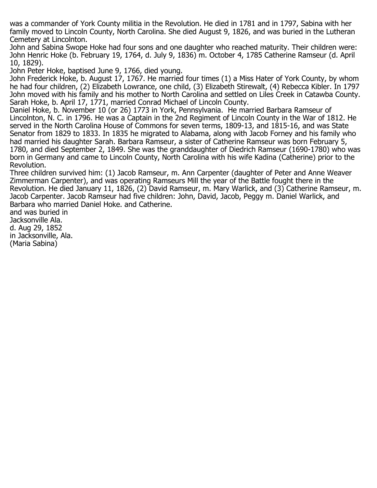was a commander of York County militia in the Revolution. He died in 1781 and in 1797, Sabina with her family moved to Lincoln County, North Carolina. She died August 9, 1826, and was buried in the Lutheran Cemetery at Lincolnton.

John and Sabina Swope Hoke had four sons and one daughter who reached maturity. Their children were: John Henric Hoke (b. February 19, 1764, d. July 9, 1836) m. October 4, 1785 Catherine Ramseur (d. April 10, 1829).

John Peter Hoke, baptised June 9, 1766, died young.

John Frederick Hoke, b. August 17, 1767. He married four times (1) a Miss Hater of York County, by whom he had four children, (2) Elizabeth Lowrance, one child, (3) Elizabeth Stirewalt, (4) Rebecca Kibler. In 1797 John moved with his family and his mother to North Carolina and settled on Liles Creek in Catawba County. Sarah Hoke, b. April 17, 1771, married Conrad Michael of Lincoln County.

Daniel Hoke, b. November 10 (or 26) 1773 in York, Pennsylvania. He married Barbara Ramseur of Lincolnton, N. C. in 1796. He was a Captain in the 2nd Regiment of Lincoln County in the War of 1812. He served in the North Carolina House of Commons for seven terms, 1809-13, and 1815-16, and was State Senator from 1829 to 1833. In 1835 he migrated to Alabama, along with Jacob Forney and his family who had married his daughter Sarah. Barbara Ramseur, a sister of Catherine Ramseur was born February 5, 1780, and died September 2, 1849. She was the granddaughter of Diedrich Ramseur (1690-1780) who was born in Germany and came to Lincoln County, North Carolina with his wife Kadina (Catherine) prior to the Revolution.

Three children survived him: (1) Jacob Ramseur, m. Ann Carpenter (daughter of Peter and Anne Weaver Zimmerman Carpenter), and was operating Ramseurs Mill the year of the Battle fought there in the Revolution. He died January 11, 1826, (2) David Ramseur, m. Mary Warlick, and (3) Catherine Ramseur, m. Jacob Carpenter. Jacob Ramseur had five children: John, David, Jacob, Peggy m. Daniel Warlick, and Barbara who married Daniel Hoke. and Catherine.

and was buried in Jacksonville Ala. d. Aug 29, 1852 in Jacksonville, Ala. (Maria Sabina)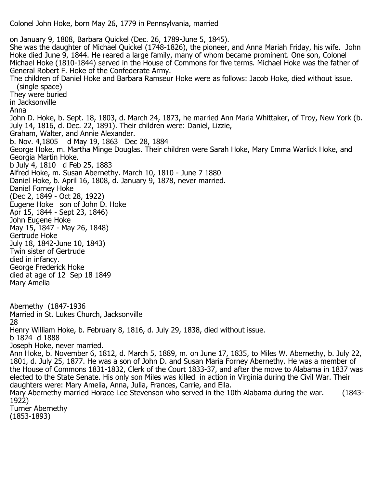Colonel John Hoke, born May 26, 1779 in Pennsylvania, married

on January 9, 1808, Barbara Quickel (Dec. 26, 1789-June 5, 1845). She was the daughter of Michael Quickel (1748-1826), the pioneer, and Anna Mariah Friday, his wife. John Hoke died June 9, 1844. He reared a large family, many of whom became prominent. One son, Colonel Michael Hoke (1810-1844) served in the House of Commons for five terms. Michael Hoke was the father of General Robert F. Hoke of the Confederate Army. The children of Daniel Hoke and Barbara Ramseur Hoke were as follows: Jacob Hoke, died without issue. (single space) They were buried in Jacksonville Anna John D. Hoke, b. Sept. 18, 1803, d. March 24, 1873, he married Ann Maria Whittaker, of Troy, New York (b. July 14, 1816, d. Dec. 22, 1891). Their children were: Daniel, Lizzie, Graham, Walter, and Annie Alexander. b. Nov. 4,1805 d May 19, 1863 Dec 28, 1884 George Hoke, m. Martha Minge Douglas. Their children were Sarah Hoke, Mary Emma Warlick Hoke, and Georgia Martin Hoke. b July 4, 1810 d Feb 25, 1883 Alfred Hoke, m. Susan Abernethy. March 10, 1810 - June 7 1880 Daniel Hoke, b. April 16, 1808, d. January 9, 1878, never married. Daniel Forney Hoke (Dec 2, 1849 - Oct 28, 1922) Èugene Hoke son of John D. Hoke Apr 15, 1844 - Sept 23, 1846) John Eugene Hoke May 15, 1847 - May 26, 1848) Gertrude Hoke July 18, 1842-June 10, 1843) Twin sister of Gertrude died in infancy. George Frederick Hoke died at age of 12 Sep 18 1849 Mary Amelia Abernethy (1847-1936 Married in St. Lukes Church, Jacksonville 28 Henry William Hoke, b. February 8, 1816, d. July 29, 1838, died without issue. b 1824 d 1888 Joseph Hoke, never married. Ann Hoke, b. November 6, 1812, d. March 5, 1889, m. on June 17, 1835, to Miles W. Abernethy, b. July 22, 1801, d. July 25, 1877. He was a son of John D. and Susan Maria Forney Abernethy. He was a member of the House of Commons 1831-1832, Clerk of the Court 1833-37, and after the move to Alabama in 1837 was elected to the State Senate. His only son Miles was killed in action in Virginia during the Civil War. Their daughters were: Mary Amelia, Anna, Julia, Frances, Carrie, and Ella. Mary Abernethy married Horace Lee Stevenson who served in the 10th Alabama during the war. (1843-1922) Turner Abernethy (1853-1893)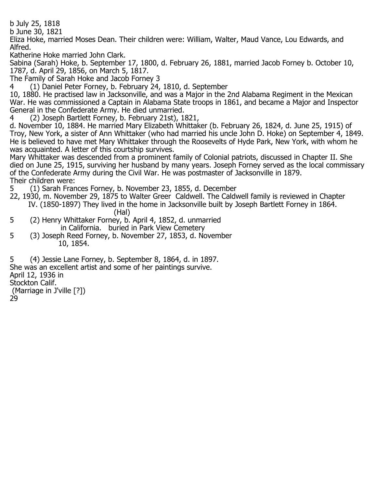b July 25, 1818

b June 30, 1821 Eliza Hoke, married Moses Dean. Their children were: William, Walter, Maud Vance, Lou Edwards, and Alfred.

Katherine Hoke married John Clark.

Sabina (Sarah) Hoke, b. September 17, 1800, d. February 26, 1881, married Jacob Forney b. October 10, 1787, d. April 29, 1856, on March 5, 1817.

The Family of Sarah Hoke and Jacob Forney 3

4 (1) Daniel Peter Forney, b. February 24, 1810, d. September

10, 1880. He practised law in Jacksonville, and was a Major in the 2nd Alabama Regiment in the Mexican War. He was commissioned a Captain in Alabama State troops in 1861, and became a Major and Inspector General in the Confederate Army. He died unmarried.<br>4 (2) Joseph Bartlett Forney, b. February 21st), 1

4 (2) Joseph Bartlett Forney, b. February 21st), 1821,

d. November 10, 1884. He married Mary Elizabeth Whittaker (b. February 26, 1824, d. June 25, 1915) of Troy, New York, a sister of Ann Whittaker (who had married his uncle John D. Hoke) on September 4, 1849. He is believed to have met Mary Whittaker through the Roosevelts of Hyde Park, New York, with whom he was acquainted. A letter of this courtship survives.

Mary Whittaker was descended from a prominent family of Colonial patriots, discussed in Chapter II. She died on June 25, 1915, surviving her husband by many years. Joseph Forney served as the local commissary of the Confederate Army during the Civil War. He was postmaster of Jacksonville in 1879. Their children were:

5 (1) Sarah Frances Forney, b. November 23, 1855, d. December

22, 1930, m. November 29, 1875 to Walter Greer Caldwell. The Caldwell family is reviewed in Chapter

 IV. (1850-1897) They lived in the home in Jacksonville built by Joseph Bartlett Forney in 1864. (Hal)<br>5 (2) Henry Whittaker Forney, b.

- 5 (2) Henry Whittaker Forney, b. April 4, 1852, d. unmarried
- in California. buried in Park View Cemetery<br>5 (3) Joseph Reed Forney, b. November 27, 1853, d. No 5 (3) Joseph Reed Forney, b. November 27, 1853, d. November 10, 1854.

5 (4) Jessie Lane Forney, b. September 8, 1864, d. in 1897. She was an excellent artist and some of her paintings survive. April 12, 1936 in Stockton Calif. (Marriage in J'ville [?]) 29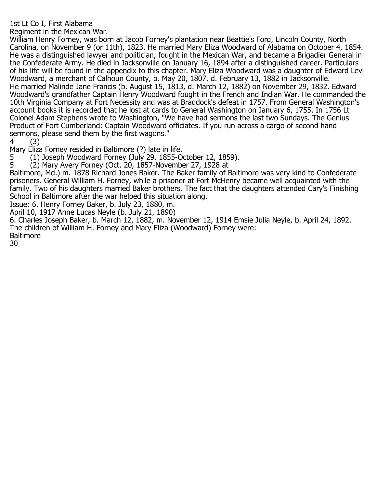## 1st Lt Co I, First Alabama

Regiment in the Mexican War.

William Henry Forney, was born at Jacob Forney's plantation near Beattie's Ford, Lincoln County, North Carolina, on November 9 (or 11th), 1823. He married Mary Eliza Woodward of Alabama on October 4, 1854. He was a distinguished lawyer and politician, fought in the Mexican War, and became a Brigadier General in the Confederate Army. He died in Jacksonville on January 16, 1894 after a distinguished career. Particulars of his life will be found in the appendix to this chapter. Mary Eliza Woodward was a daughter of Edward Levi Woodward, a merchant of Calhoun County, b. May 20, 1807, d. February 13, 1882 in Jacksonville. He married Malinde Jane Francis (b. August 15, 1813, d. March 12, 1882) on November 29, 1832. Edward Woodward's grandfather Captain Henry Woodward fought in the French and Indian War. He commanded the 10th Virginia Company at Fort Necessity and was at Braddock's defeat in 1757. From General Washington's account books it is recorded that he lost at cards to General Washington on January 6, 1755. In 1756 Lt Colonel Adam Stephens wrote to Washington, "We have had sermons the last two Sundays. The Genius Product of Fort Cumberland: Captain Woodward officiates. If you run across a cargo of second hand sermons, please send them by the first wagons."<br>4  $(3)$ 

 $(3)$ 

Mary Eliza Forney resided in Baltimore (?) late in life.<br>5 (1) Joseph Woodward Forney (July 29, 1855-O

5 (1) Joseph Woodward Forney (July 29, 1855-October 12, 1859).<br>5 (2) Mary Avery Forney (Oct. 20, 1857-November 27, 1928 at

 $(2)$  Mary Avery Forney (Oct. 20, 1857-November 27, 1928 at

Baltimore, Md.) m. 1878 Richard Jones Baker. The Baker family of Baltimore was very kind to Confederate prisoners. General William H. Forney, while a prisoner at Fort McHenry became well acquainted with the family. Two of his daughters married Baker brothers. The fact that the daughters attended Cary's Finishing School in Baltimore after the war helped this situation along.

Issue: 6. Henry Forney Baker, b. July 23, 1880, m.

April 10, 1917 Anne Lucas Neyle (b. July 21, 1890)

6. Charles Joseph Baker, b. March 12, 1882, m. November 12, 1914 Emsie Julia Neyle, b. April 24, 1892. The children of William H. Forney and Mary Eliza (Woodward) Forney were: **Baltimore**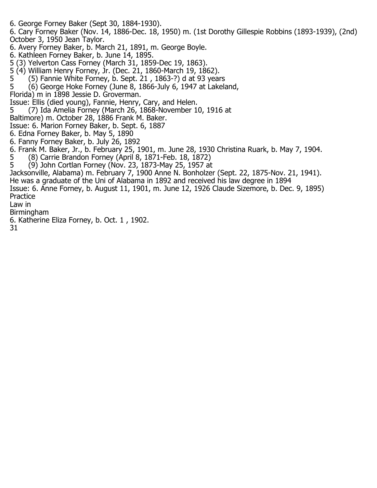- 6. George Forney Baker (Sept 30, 1884-1930).
- 6. Cary Forney Baker (Nov. 14, 1886-Dec. 18, 1950) m. (1st Dorothy Gillespie Robbins (1893-1939), (2nd) October 3, 1950 Jean Taylor.
- 6. Avery Forney Baker, b. March 21, 1891, m. George Boyle.
- 6. Kathleen Forney Baker, b. June 14, 1895.
- 5 (3) Yelverton Cass Forney (March 31, 1859-Dec 19, 1863).
- 5 (4) William Henry Forney, Jr. (Dec. 21, 1860-March 19, 1862).<br>5 (5) Fannie White Forney, b. Sept. 21, 1863-?) d at 93 year
- 5 (5) Fannie White Forney, b. Sept. 21 , 1863-?) d at 93 years
- 5 (6) George Hoke Forney (June 8, 1866-July 6, 1947 at Lakeland,
- Florida) m in 1898 Jessie D. Groverman.
- Issue: Ellis (died young), Fannie, Henry, Cary, and Helen.
- 5 (7) Ida Amelia Forney (March 26, 1868-November 10, 1916 at
- Baltimore) m. October 28, 1886 Frank M. Baker.
- Issue: 6. Marion Forney Baker, b. Sept. 6, 1887
- 6. Edna Forney Baker, b. May 5, 1890
- 6. Fanny Forney Baker, b. July 26, 1892
- 6. Frank M. Baker, Jr., b. February 25, 1901, m. June 28, 1930 Christina Ruark, b. May 7, 1904.
- 5 (8) Carrie Brandon Forney (April 8, 1871-Feb. 18, 1872)
- 5 (9) John Cortlan Forney (Nov. 23, 1873-May 25, 1957 at
- Jacksonville, Alabama) m. February 7, 1900 Anne N. Bonholzer (Sept. 22, 1875-Nov. 21, 1941).
- He was a graduate of the Uni of Alabama in 1892 and received his law degree in 1894
- Issue: 6. Anne Forney, b. August 11, 1901, m. June 12, 1926 Claude Sizemore, b. Dec. 9, 1895) Practice
- Law in
- Birmingham
- 6. Katherine Eliza Forney, b. Oct. 1 , 1902.
- 31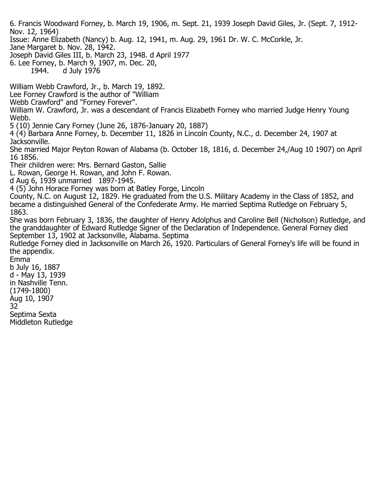6. Francis Woodward Forney, b. March 19, 1906, m. Sept. 21, 1939 Joseph David Giles, Jr. (Sept. 7, 1912- Nov. 12, 1964)

Issue: Anne Elizabeth (Nancy) b. Aug. 12, 1941, m. Aug. 29, 1961 Dr. W. C. McCorkle, Jr.

Jane Margaret b. Nov. 28, 1942.

Joseph David Giles III, b. March 23, 1948. d April 1977

6. Lee Forney, b. March 9, 1907, m. Dec. 20, 1944. d July 1976

William Webb Crawford, Jr., b. March 19, 1892.

Lee Forney Crawford is the author of "William

Webb Crawford" and "Forney Forever".

William W. Crawford, Jr. was a descendant of Francis Elizabeth Forney who married Judge Henry Young Webb.

5 (10) Jennie Cary Forney (June 26, 1876-January 20, 1887)

4 (4) Barbara Anne Forney, b. December 11, 1826 in Lincoln County, N.C., d. December 24, 1907 at Jacksonville.

She married Major Peyton Rowan of Alabama (b. October 18, 1816, d. December 24,/Aug 10 1907) on April 16 1856.

Their children were: Mrs. Bernard Gaston, Sallie

L. Rowan, George H. Rowan, and John F. Rowan.

d Aug 6, 1939 unmarried 1897-1945.

4 (5) John Horace Forney was born at Batley Forge, Lincoln

County, N.C. on August 12, 1829. He graduated from the U.S. Military Academy in the Class of 1852, and became a distinguished General of the Confederate Army. He married Septima Rutledge on February 5, 1863.

She was born February 3, 1836, the daughter of Henry Adolphus and Caroline Bell (Nicholson) Rutledge, and the granddaughter of Edward Rutledge Signer of the Declaration of Independence. General Forney died September 13, 1902 at Jacksonville, Alabama. Septima

Rutledge Forney died in Jacksonville on March 26, 1920. Particulars of General Forney's life will be found in the appendix.

Emma b July 16, 1887 d - May 13, 1939 in Nashville Tenn. (1749-1800) Aug 10, 1907 32 Septima Sexta

Middleton Rutledge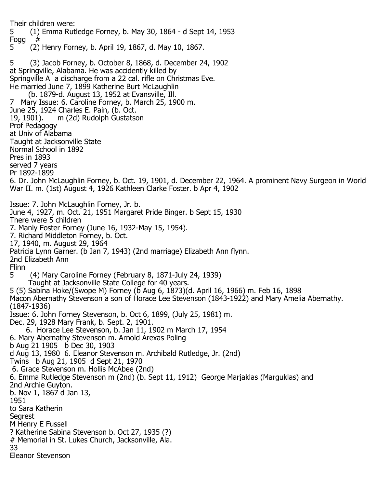Their children were: 5 (1) Emma Rutledge Forney, b. May 30, 1864 - d Sept 14, 1953 Fogg<br>5 5 (2) Henry Forney, b. April 19, 1867, d. May 10, 1867. 5 (3) Jacob Forney, b. October 8, 1868, d. December 24, 1902 at Springville, Alabama. He was accidently killed by Springville A a discharge from a 22 cal. rifle on Christmas Eve. He married June 7, 1899 Katherine Burt McLaughlin (b. 1879-d. August 13, 1952 at Evansville, Ill. 7 Mary Issue: 6. Caroline Forney, b. March 25, 1900 m. June 25, 1924 Charles E. Pain, (b. Oct. m (2d) Rudolph Gustatson Prof Pedagogy at Univ of Alabama Taught at Jacksonville State Normal School in 1892 Pres in 1893 served 7 years Pr 1892-1899 6. Dr. John McLaughlin Forney, b. Oct. 19, 1901, d. December 22, 1964. A prominent Navy Surgeon in World War II. m. (1st) August 4, 1926 Kathleen Clarke Foster. b Apr 4, 1902 Issue: 7. John McLaughlin Forney, Jr. b. June 4, 1927, m. Oct. 21, 1951 Margaret Pride Binger. b Sept 15, 1930 There were 5 children 7. Manly Foster Forney (June 16, 1932-May 15, 1954). 7. Richard Middleton Forney, b. Oct. 17, 1940, m. August 29, 1964 Patricia Lynn Garner. (b Jan 7, 1943) (2nd marriage) Elizabeth Ann flynn. 2nd Elizabeth Ann Flinn<br>5 5 (4) Mary Caroline Forney (February 8, 1871-July 24, 1939) Taught at Jacksonville State College for 40 years. 5 (5) Sabina Hoke/(Swope M) Forney (b Aug 6, 1873)(d. April 16, 1966) m. Feb 16, 1898 Macon Abernathy Stevenson a son of Horace Lee Stevenson (1843-1922) and Mary Amelia Abernathy. (1847-1936) Issue: 6. John Forney Stevenson, b. Oct 6, 1899, (July 25, 1981) m. Dec. 29, 1928 Mary Frank, b. Sept. 2, 1901. 6. Horace Lee Stevenson, b. Jan 11, 1902 m March 17, 1954 6. Mary Abernathy Stevenson m. Arnold Arexas Poling b Aug 21 1905 b Dec 30, 1903 d Aug 13, 1980 6. Eleanor Stevenson m. Archibald Rutledge, Jr. (2nd) Twins b Aug 21, 1905 d Sept 21, 1970 6. Grace Stevenson m. Hollis McAbee (2nd) 6. Emma Rutledge Stevenson m (2nd) (b. Sept 11, 1912) George Marjaklas (Marguklas) and 2nd Archie Guyton. b. Nov 1, 1867 d Jan 13, 1951 to Sara Katherin Segrest M Henry E Fussell ? Katherine Sabina Stevenson b. Oct 27, 1935 (?) # Memorial in St. Lukes Church, Jacksonville, Ala. 33 Eleanor Stevenson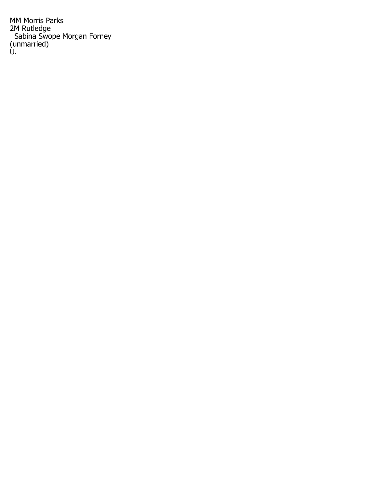MM Morris Parks 2M Rutledge Sabina Swope Morgan Forney (unmarried) U.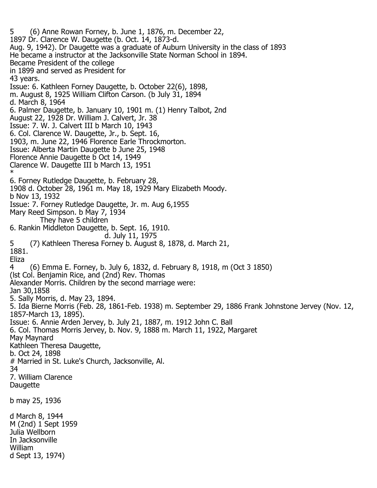5 (6) Anne Rowan Forney, b. June 1, 1876, m. December 22, 1897 Dr. Clarence W. Daugette (b. Oct. 14, 1873-d. Aug. 9, 1942). Dr Daugette was a graduate of Auburn University in the class of 1893 He became a instructor at the Jacksonville State Norman School in 1894. Became President of the college in 1899 and served as President for 43 years. Issue: 6. Kathleen Forney Daugette, b. October 22(6), 1898, m. August 8, 1925 William Clifton Carson. (b July 31, 1894 d. March 8, 1964 6. Palmer Daugette, b. January 10, 1901 m. (1) Henry Talbot, 2nd August 22, 1928 Dr. William J. Calvert, Jr. 38 Issue: 7. W. J. Calvert III b March 10, 1943 6. Col. Clarence W. Daugette, Jr., b. Sept. 16, 1903, m. June 22, 1946 Florence Earle Throckmorton. Issue: Alberta Martin Daugette b June 25, 1948 Florence Annie Daugette b Oct 14, 1949 Clarence W. Daugette III b March 13, 1951 \* 6. Forney Rutledge Daugette, b. February 28, 1908 d. October 28, 1961 m. May 18, 1929 Mary Elizabeth Moody. b Nov 13, 1932 Issue: 7. Forney Rutledge Daugette, Jr. m. Aug 6,1955 Mary Reed Simpson. b May 7, 1934 They have 5 children 6. Rankin Middleton Daugette, b. Sept. 16, 1910. d. July 11, 1975 5 (7) Kathleen Theresa Forney b. August 8, 1878, d. March 21, 1881. Eliza<br>4 4 (6) Emma E. Forney, b. July 6, 1832, d. February 8, 1918, m (Oct 3 1850) (lst Col. Benjamin Rice, and (2nd) Rev. Thomas Alexander Morris. Children by the second marriage were: Jan 30,1858 5. Sally Morris, d. May 23, 1894. 5. Ida Bierne Morris (Feb. 28, 1861-Feb. 1938) m. September 29, 1886 Frank Johnstone Jervey (Nov. 12, 1857-March 13, 1895). Issue: 6. Annie Arden Jervey, b. July 21, 1887, m. 1912 John C. Ball 6. Col. Thomas Morris Jervey, b. Nov. 9, 1888 m. March 11, 1922, Margaret May Maynard Kathleen Theresa Daugette, b. Oct 24, 1898 # Married in St. Luke's Church, Jacksonville, Al. 34 7. William Clarence Daugette b may 25, 1936 d March 8, 1944 M (2nd) 1 Sept 1959 Julia Wellborn In Jacksonville William d Sept 13, 1974)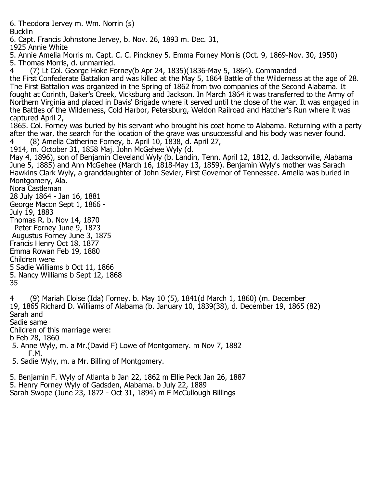6. Theodora Jervey m. Wm. Norrin (s) Bucklin 6. Capt. Francis Johnstone Jervey, b. Nov. 26, 1893 m. Dec. 31, 1925 Annie White 5. Annie Amelia Morris m. Capt. C. C. Pinckney 5. Emma Forney Morris (Oct. 9, 1869-Nov. 30, 1950) 5. Thomas Morris, d. unmarried. 4 (7) Lt Col. George Hoke Forney(b Apr 24, 1835)(1836-May 5, 1864). Commanded the First Confederate Battalion and was killed at the May 5, 1864 Battle of the Wilderness at the age of 28. The First Battalion was organized in the Spring of 1862 from two companies of the Second Alabama. It fought at Corinth, Baker's Creek, Vicksburg and Jackson. In March 1864 it was transferred to the Army of Northern Virginia and placed in Davis' Brigade where it served until the close of the war. It was engaged in the Battles of the Wilderness, Cold Harbor, Petersburg, Weldon Railroad and Hatcher's Run where it was captured April 2, 1865. Col. Forney was buried by his servant who brought his coat home to Alabama. Returning with a party after the war, the search for the location of the grave was unsuccessful and his body was never found. 4 (8) Amelia Catherine Forney, b. April 10, 1838, d. April 27, 1914, m. October 31, 1858 Maj. John McGehee Wyly (d. May 4, 1896), son of Benjamin Cleveland Wyly (b. Landin, Tenn. April 12, 1812, d. Jacksonville, Alabama June 5, 1885) and Ann McGehee (March 16, 1818-May 13, 1859). Benjamin Wyly's mother was Sarach Hawkins Clark Wyly, a granddaughter of John Sevier, First Governor of Tennessee. Amelia was buried in Montgomery, Ala. Nora Castleman 28 July 1864 - Jan 16, 1881 George Macon Sept 1, 1866 - July 19, 1883 Thomas R. b. Nov 14, 1870 Peter Forney June 9, 1873 Augustus Forney June 3, 1875 Francis Henry Oct 18, 1877 Emma Rowan Feb 19, 1880 Children were 5 Sadie Williams b Oct 11, 1866 5. Nancy Williams b Sept 12, 1868 35 4 (9) Mariah Eloise (Ida) Forney, b. May 10 (5), 1841(d March 1, 1860) (m. December 19, 1865 Richard D. Williams of Alabama (b. January 10, 1839(38), d. December 19, 1865 (82) Sarah and Sadie same Children of this marriage were: b Feb 28, 1860

 5. Anne Wyly, m. a Mr.(David F) Lowe of Montgomery. m Nov 7, 1882 F.M.

5. Sadie Wyly, m. a Mr. Billing of Montgomery.

5. Benjamin F. Wyly of Atlanta b Jan 22, 1862 m Ellie Peck Jan 26, 1887 5. Henry Forney Wyly of Gadsden, Alabama. b July 22, 1889 Sarah Swope (June 23, 1872 - Oct 31, 1894) m F McCullough Billings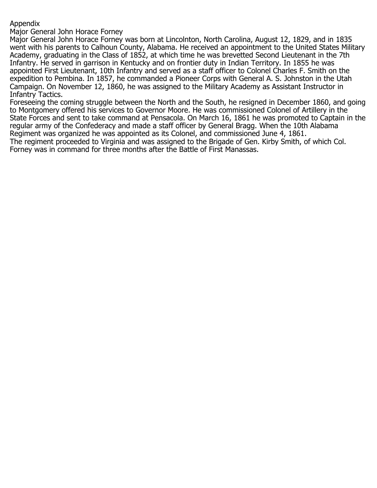#### Appendix

Major General John Horace Forney

Major General John Horace Forney was born at Lincolnton, North Carolina, August 12, 1829, and in 1835 went with his parents to Calhoun County, Alabama. He received an appointment to the United States Military Academy, graduating in the Class of 1852, at which time he was brevetted Second Lieutenant in the 7th Infantry. He served in garrison in Kentucky and on frontier duty in Indian Territory. In 1855 he was appointed First Lieutenant, 10th Infantry and served as a staff officer to Colonel Charles F. Smith on the expedition to Pembina. In 1857, he commanded a Pioneer Corps with General A. S. Johnston in the Utah Campaign. On November 12, 1860, he was assigned to the Military Academy as Assistant Instructor in Infantry Tactics.

Foreseeing the coming struggle between the North and the South, he resigned in December 1860, and going to Montgomery offered his services to Governor Moore. He was commissioned Colonel of Artillery in the State Forces and sent to take command at Pensacola. On March 16, 1861 he was promoted to Captain in the regular army of the Confederacy and made a staff officer by General Bragg. When the 10th Alabama Regiment was organized he was appointed as its Colonel, and commissioned June 4, 1861. The regiment proceeded to Virginia and was assigned to the Brigade of Gen. Kirby Smith, of which Col.

Forney was in command for three months after the Battle of First Manassas.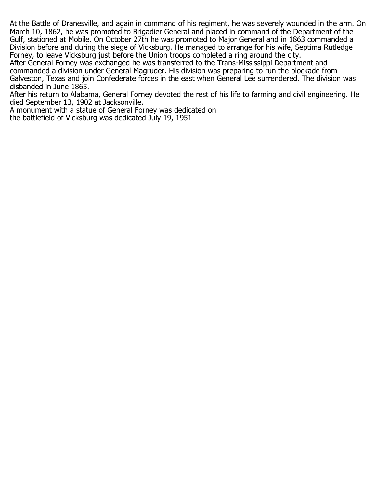At the Battle of Dranesville, and again in command of his regiment, he was severely wounded in the arm. On March 10, 1862, he was promoted to Brigadier General and placed in command of the Department of the Gulf, stationed at Mobile. On October 27th he was promoted to Major General and in 1863 commanded a Division before and during the siege of Vicksburg. He managed to arrange for his wife, Septima Rutledge Forney, to leave Vicksburg just before the Union troops completed a ring around the city.

After General Forney was exchanged he was transferred to the Trans-Mississippi Department and commanded a division under General Magruder. His division was preparing to run the blockade from Galveston, Texas and join Confederate forces in the east when General Lee surrendered. The division was disbanded in June 1865.

After his return to Alabama, General Forney devoted the rest of his life to farming and civil engineering. He died September 13, 1902 at Jacksonville.

A monument with a statue of General Forney was dedicated on the battlefield of Vicksburg was dedicated July 19, 1951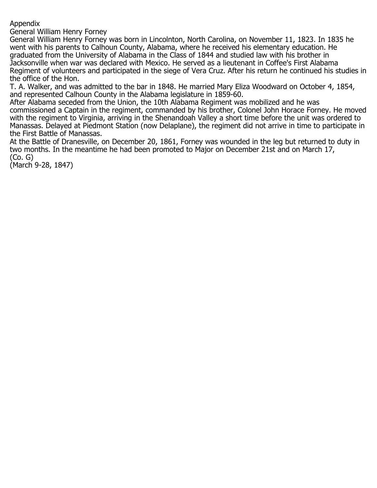Appendix

General William Henry Forney

General William Henry Forney was born in Lincolnton, North Carolina, on November 11, 1823. In 1835 he went with his parents to Calhoun County, Alabama, where he received his elementary education. He graduated from the University of Alabama in the Class of 1844 and studied law with his brother in Jacksonville when war was declared with Mexico. He served as a lieutenant in Coffee's First Alabama Regiment of volunteers and participated in the siege of Vera Cruz. After his return he continued his studies in the office of the Hon.

T. A. Walker, and was admitted to the bar in 1848. He married Mary Eliza Woodward on October 4, 1854, and represented Calhoun County in the Alabama legislature in 1859-60.

After Alabama seceded from the Union, the 10th Alabama Regiment was mobilized and he was commissioned a Captain in the regiment, commanded by his brother, Colonel John Horace Forney. He moved with the regiment to Virginia, arriving in the Shenandoah Valley a short time before the unit was ordered to Manassas. Delayed at Piedmont Station (now Delaplane), the regiment did not arrive in time to participate in the First Battle of Manassas.

At the Battle of Dranesville, on December 20, 1861, Forney was wounded in the leg but returned to duty in two months. In the meantime he had been promoted to Major on December 21st and on March 17, (Co. G)

(March 9-28, 1847)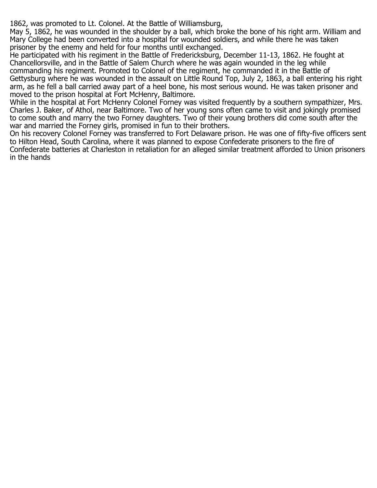1862, was promoted to Lt. Colonel. At the Battle of Williamsburg,

May 5, 1862, he was wounded in the shoulder by a ball, which broke the bone of his right arm. William and Mary College had been converted into a hospital for wounded soldiers, and while there he was taken prisoner by the enemy and held for four months until exchanged.

He participated with his regiment in the Battle of Fredericksburg, December 11-13, 1862. He fought at Chancellorsville, and in the Battle of Salem Church where he was again wounded in the leg while commanding his regiment. Promoted to Colonel of the regiment, he commanded it in the Battle of Gettysburg where he was wounded in the assault on Little Round Top, July 2, 1863, a ball entering his right arm, as he fell a ball carried away part of a heel bone, his most serious wound. He was taken prisoner and moved to the prison hospital at Fort McHenry, Baltimore.

While in the hospital at Fort McHenry Colonel Forney was visited frequently by a southern sympathizer, Mrs. Charles J. Baker, of Athol, near Baltimore. Two of her young sons often came to visit and jokingly promised to come south and marry the two Forney daughters. Two of their young brothers did come south after the war and married the Forney girls, promised in fun to their brothers.

On his recovery Colonel Forney was transferred to Fort Delaware prison. He was one of fifty-five officers sent to Hilton Head, South Carolina, where it was planned to expose Confederate prisoners to the fire of Confederate batteries at Charleston in retaliation for an alleged similar treatment afforded to Union prisoners in the hands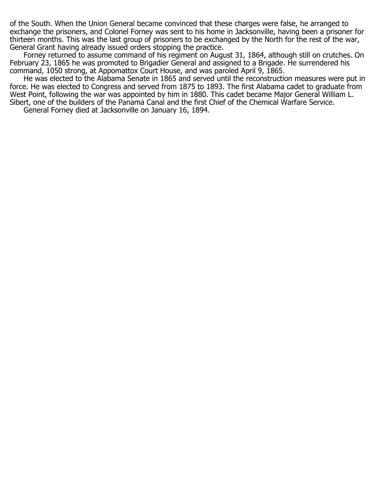of the South. When the Union General became convinced that these charges were false, he arranged to exchange the prisoners, and Colonel Forney was sent to his home in Jacksonville, having been a prisoner for thirteen months. This was the last group of prisoners to be exchanged by the North for the rest of the war, General Grant having already issued orders stopping the practice.

Forney returned to assume command of his regiment on August 31, 1864, although still on crutches. On February 23, 1865 he was promoted to Brigadier General and assigned to a Brigade. He surrendered his command, 1050 strong, at Appomattox Court House, and was paroled April 9, 1865.

 He was elected to the Alabama Senate in 1865 and served until the reconstruction measures were put in force. He was elected to Congress and served from 1875 to 1893. The first Alabama cadet to graduate from West Point, following the war was appointed by him in 1880. This cadet became Major General William L. Sibert, one of the builders of the Panama Canal and the first Chief of the Chemical Warfare Service. General Forney died at Jacksonville on January 16, 1894.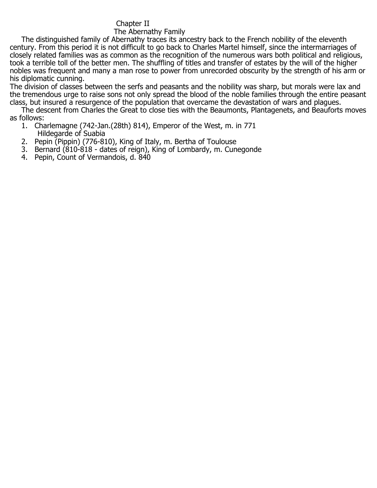### Chapter II

#### The Abernathy Family

 The distinguished family of Abernathy traces its ancestry back to the French nobility of the eleventh century. From this period it is not difficult to go back to Charles Martel himself, since the intermarriages of closely related families was as common as the recognition of the numerous wars both political and religious, took a terrible toll of the better men. The shuffling of titles and transfer of estates by the will of the higher nobles was frequent and many a man rose to power from unrecorded obscurity by the strength of his arm or his diplomatic cunning.

The division of classes between the serfs and peasants and the nobility was sharp, but morals were lax and the tremendous urge to raise sons not only spread the blood of the noble families through the entire peasant class, but insured a resurgence of the population that overcame the devastation of wars and plagues.

 The descent from Charles the Great to close ties with the Beaumonts, Plantagenets, and Beauforts moves as follows:

- 1. Charlemagne (742-Jan.(28th) 814), Emperor of the West, m. in 771 Hildegarde of Suabia
- 2. Pepin (Pippin) (776-810), King of Italy, m. Bertha of Toulouse
- 3. Bernard (810-818 dates of reign), King of Lombardy, m. Cunegonde
- 4. Pepin, Count of Vermandois, d. 840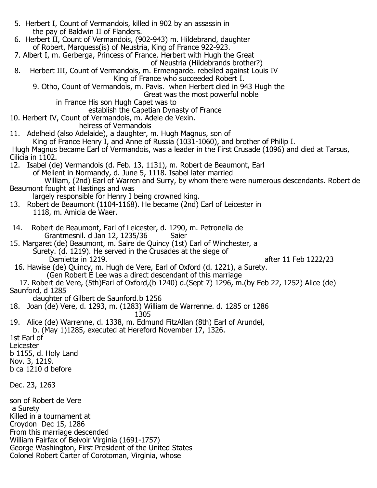| 5. Herbert I, Count of Vermandois, killed in 902 by an assassin in                                                                                   |
|------------------------------------------------------------------------------------------------------------------------------------------------------|
| the pay of Baldwin II of Flanders.<br>6. Herbert II, Count of Vermandois, (902-943) m. Hildebrand, daughter                                          |
| of Robert, Marquess(is) of Neustria, King of France 922-923.<br>7. Albert I, m. Gerberga, Princess of France. Herbert with Hugh the Great            |
| of Neustria (Hildebrands brother?)                                                                                                                   |
| Herbert III, Count of Vermandois, m. Ermengarde. rebelled against Louis IV<br>8.<br>King of France who succeeded Robert I.                           |
| 9. Otho, Count of Vermandois, m. Pavis. when Herbert died in 943 Hugh the                                                                            |
| Great was the most powerful noble<br>in France His son Hugh Capet was to                                                                             |
| establish the Capetian Dynasty of France                                                                                                             |
| 10. Herbert IV, Count of Vermandois, m. Adele de Vexin.<br>heiress of Vermandois                                                                     |
| 11. Adelheid (also Adelaide), a daughter, m. Hugh Magnus, son of<br>King of France Henry I, and Anne of Russia (1031-1060), and brother of Philip I. |
| Hugh Magnus became Earl of Vermandois, was a leader in the First Crusade (1096) and died at Tarsus,                                                  |
| Cilicia in 1102.<br>12. Isabel (de) Vermandois (d. Feb. 13, 1131), m. Robert de Beaumont, Earl                                                       |
| of Mellent in Normandy, d. June 5, 1118. Isabel later married                                                                                        |
| William, (2nd) Earl of Warren and Surry, by whom there were numerous descendants. Robert de<br>Beaumont fought at Hastings and was                   |
| largely responsible for Henry I being crowned king.<br>13. Robert de Beaumont (1104-1168). He became (2nd) Earl of Leicester in                      |
| 1118, m. Amicia de Waer.                                                                                                                             |
| Robert de Beaumont, Earl of Leicester, d. 1290, m. Petronella de<br>14.                                                                              |
| Grantmesnil. d Jan 12, 1235/36<br>Saier                                                                                                              |
| 15. Margaret (de) Beaumont, m. Saire de Quincy (1st) Earl of Winchester, a<br>Surety. (d. 1219). He served in the Crusades at the siege of           |
| Damietta in 1219.<br>after 11 Feb 1222/23<br>16. Hawise (de) Quincy, m. Hugh de Vere, Earl of Oxford (d. 1221), a Surety.                            |
| (Gen Robert E Lee was a direct descendant of this marriage                                                                                           |
| 17. Robert de Vere, (5th)Earl of Oxford, (b 1240) d. (Sept 7) 1296, m. (by Feb 22, 1252) Alice (de)<br>Saunford, d 1285                              |
| daughter of Gilbert de Saunford.b 1256<br>18.<br>Joan (de) Vere, d. 1293, m. (1283) William de Warrenne. d. 1285 or 1286                             |
| 1305                                                                                                                                                 |
| 19. Alice (de) Warrenne, d. 1338, m. Edmund FitzAllan (8th) Earl of Arundel,<br>b. (May 1)1285, executed at Hereford November 17, 1326.              |
| 1st Earl of                                                                                                                                          |
| Leicester<br>b 1155, d. Holy Land                                                                                                                    |
| Nov. 3, 1219.<br>b ca 1210 d before                                                                                                                  |
|                                                                                                                                                      |
| Dec. 23, 1263                                                                                                                                        |
| son of Robert de Vere                                                                                                                                |
| a Surety<br>Killed in a tournament at                                                                                                                |
| Croydon Dec 15, 1286<br>From this marriage descended                                                                                                 |
| William Fairfax of Belvoir Virginia (1691-1757)                                                                                                      |
| George Washington, First President of the United States<br>Colonel Robert Carter of Corotoman, Virginia, whose                                       |
|                                                                                                                                                      |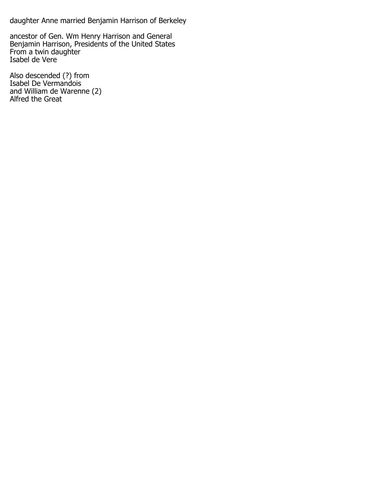daughter Anne married Benjamin Harrison of Berkeley

ancestor of Gen. Wm Henry Harrison and General Benjamin Harrison, Presidents of the United States From a twin daughter Isabel de Vere

Also descended (?) from Isabel De Vermandois and William de Warenne (2) Alfred the Great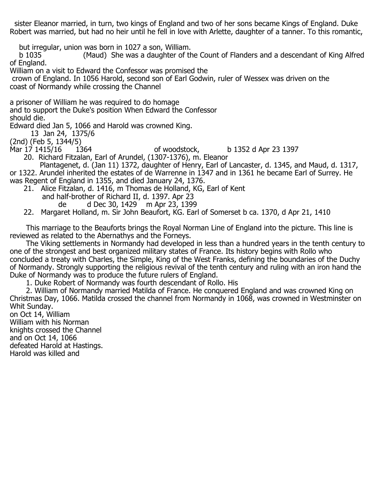sister Eleanor married, in turn, two kings of England and two of her sons became Kings of England. Duke Robert was married, but had no heir until he fell in love with Arlette, daughter of a tanner. To this romantic,

but irregular, union was born in 1027 a son, William.

(Maud) She was a daughter of the Count of Flanders and a descendant of King Alfred of England.

William on a visit to Edward the Confessor was promised the

 crown of England. In 1056 Harold, second son of Earl Godwin, ruler of Wessex was driven on the coast of Normandy while crossing the Channel

a prisoner of William he was required to do homage

and to support the Duke's position When Edward the Confessor

should die.

Edward died Jan 5, 1066 and Harold was crowned King.

13 Jan 24, 1375/6

(2nd) (Feb 5, 1344/5)

of woodstock, b  $1352$  d Apr 23 1397

20. Richard Fitzalan, Earl of Arundel, (1307-1376), m. Eleanor

 Plantagenet, d. (Jan 11) 1372, daughter of Henry, Earl of Lancaster, d. 1345, and Maud, d. 1317, or 1322. Arundel inherited the estates of de Warrenne in 1347 and in 1361 he became Earl of Surrey. He was Regent of England in 1355, and died January 24, 1376.

- 21. Alice Fitzalan, d. 1416, m Thomas de Holland, KG, Earl of Kent and half-brother of Richard II, d. 1397. Apr 23
	- de d Dec 30, 1429 m Apr 23, 1399

22. Margaret Holland, m. Sir John Beaufort, KG. Earl of Somerset b ca. 1370, d Apr 21, 1410

 This marriage to the Beauforts brings the Royal Norman Line of England into the picture. This line is reviewed as related to the Abernathys and the Forneys.

 The Viking settlements in Normandy had developed in less than a hundred years in the tenth century to one of the strongest and best organized military states of France. Its history begins with Rollo who concluded a treaty with Charles, the Simple, King of the West Franks, defining the boundaries of the Duchy of Normandy. Strongly supporting the religious revival of the tenth century and ruling with an iron hand the Duke of Normandy was to produce the future rulers of England.

1. Duke Robert of Normandy was fourth descendant of Rollo. His

 2. William of Normandy married Matilda of France. He conquered England and was crowned King on Christmas Day, 1066. Matilda crossed the channel from Normandy in 1068, was crowned in Westminster on Whit Sunday.

on Oct 14, William William with his Norman knights crossed the Channel and on Oct 14, 1066 defeated Harold at Hastings. Harold was killed and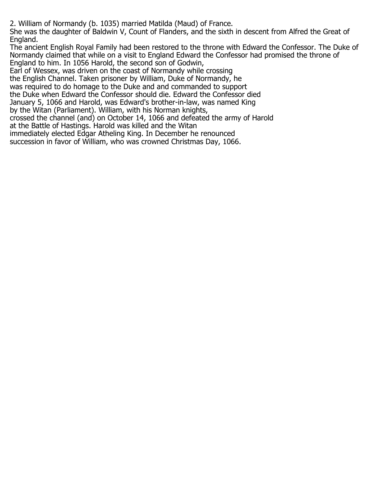2. William of Normandy (b. 1035) married Matilda (Maud) of France.

She was the daughter of Baldwin V, Count of Flanders, and the sixth in descent from Alfred the Great of England.

The ancient English Royal Family had been restored to the throne with Edward the Confessor. The Duke of Normandy claimed that while on a visit to England Edward the Confessor had promised the throne of England to him. In 1056 Harold, the second son of Godwin,

Earl of Wessex, was driven on the coast of Normandy while crossing

the English Channel. Taken prisoner by William, Duke of Normandy, he

was required to do homage to the Duke and and commanded to support

the Duke when Edward the Confessor should die. Edward the Confessor died

January 5, 1066 and Harold, was Edward's brother-in-law, was named King

by the Witan (Parliament). William, with his Norman knights,

crossed the channel (and) on October 14, 1066 and defeated the army of Harold

at the Battle of Hastings. Harold was killed and the Witan

immediately elected Edgar Atheling King. In December he renounced

succession in favor of William, who was crowned Christmas Day, 1066.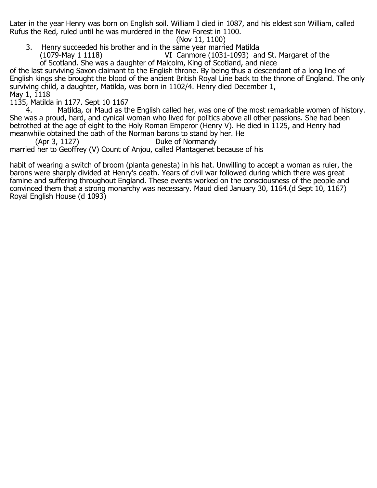Later in the year Henry was born on English soil. William I died in 1087, and his eldest son William, called Rufus the Red, ruled until he was murdered in the New Forest in 1100.

(Nov 11, 1100)<br>3. Henry succeeded his brother and in the same year marrior Henry succeeded his brother and in the same year married Matilda (1079-May 1 1118)  $\sqrt{3}$ VI Canmore (1031-1093) and St. Margaret of the

 of Scotland. She was a daughter of Malcolm, King of Scotland, and niece of the last surviving Saxon claimant to the English throne. By being thus a descendant of a long line of English kings she brought the blood of the ancient British Royal Line back to the throne of England. The only surviving child, a daughter, Matilda, was born in 1102/4. Henry died December 1, May 1, 1118

1135, Matilda in 1177. Sept 10 1167

Matilda, or Maud as the English called her, was one of the most remarkable women of history. She was a proud, hard, and cynical woman who lived for politics above all other passions. She had been betrothed at the age of eight to the Holy Roman Emperor (Henry V). He died in 1125, and Henry had

meanwhile obtained the oath of the Norman barons to stand by her. He<br>(Apr 3, 1127) Duke of Normandy Duke of Normandy married her to Geoffrey (V) Count of Anjou, called Plantagenet because of his

habit of wearing a switch of broom (planta genesta) in his hat. Unwilling to accept a woman as ruler, the barons were sharply divided at Henry's death. Years of civil war followed during which there was great famine and suffering throughout England. These events worked on the consciousness of the people and convinced them that a strong monarchy was necessary. Maud died January 30, 1164.(d Sept 10, 1167) Royal English House (d 1093)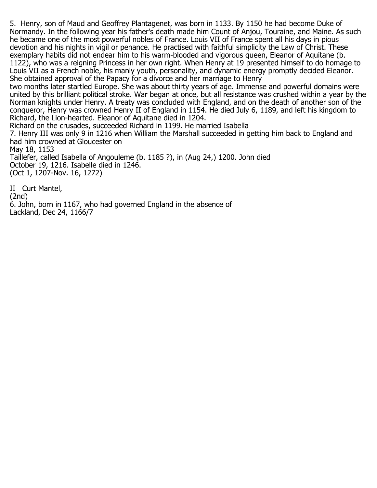5. Henry, son of Maud and Geoffrey Plantagenet, was born in 1133. By 1150 he had become Duke of Normandy. In the following year his father's death made him Count of Anjou, Touraine, and Maine. As such he became one of the most powerful nobles of France. Louis VII of France spent all his days in pious devotion and his nights in vigil or penance. He practised with faithful simplicity the Law of Christ. These exemplary habits did not endear him to his warm-blooded and vigorous queen, Eleanor of Aquitane (b. 1122), who was a reigning Princess in her own right. When Henry at 19 presented himself to do homage to Louis VII as a French noble, his manly youth, personality, and dynamic energy promptly decided Eleanor. She obtained approval of the Papacy for a divorce and her marriage to Henry

two months later startled Europe. She was about thirty years of age. Immense and powerful domains were united by this brilliant political stroke. War began at once, but all resistance was crushed within a year by the Norman knights under Henry. A treaty was concluded with England, and on the death of another son of the conqueror, Henry was crowned Henry II of England in 1154. He died July 6, 1189, and left his kingdom to Richard, the Lion-hearted. Eleanor of Aquitane died in 1204.

Richard on the crusades, succeeded Richard in 1199. He married Isabella 7. Henry III was only 9 in 1216 when William the Marshall succeeded in getting him back to England and had him crowned at Gloucester on May 18, 1153 Taillefer, called Isabella of Angouleme (b. 1185 ?), in (Aug 24,) 1200. John died October 19, 1216. Isabelle died in 1246.

(Oct 1, 1207-Nov. 16, 1272)

II Curt Mantel, (2nd) 6. John, born in 1167, who had governed England in the absence of Lackland, Dec 24, 1166/7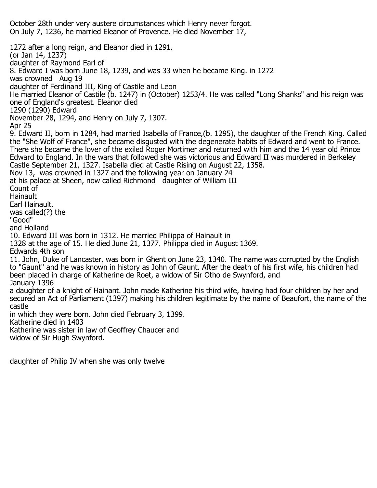October 28th under very austere circumstances which Henry never forgot. On July 7, 1236, he married Eleanor of Provence. He died November 17,

1272 after a long reign, and Eleanor died in 1291. (or Jan 14, 1237) daughter of Raymond Earl of 8. Edward I was born June 18, 1239, and was 33 when he became King. in 1272 was crowned Aug 19 daughter of Ferdinand III, King of Castile and Leon He married Eleanor of Castile (b. 1247) in (October) 1253/4. He was called "Long Shanks" and his reign was one of England's greatest. Eleanor died 1290 (1290) Edward November 28, 1294, and Henry on July 7, 1307. Apr 25 9. Edward II, born in 1284, had married Isabella of France,(b. 1295), the daughter of the French King. Called the "She Wolf of France", she became disgusted with the degenerate habits of Edward and went to France. There she became the lover of the exiled Roger Mortimer and returned with him and the 14 year old Prince Edward to England. In the wars that followed she was victorious and Edward II was murdered in Berkeley Castle September 21, 1327. Isabella died at Castle Rising on August 22, 1358. Nov 13, was crowned in 1327 and the following year on January 24 at his palace at Sheen, now called Richmond daughter of William III Count of **Hainault** Earl Hainault. was called(?) the "Good" and Holland 10. Edward III was born in 1312. He married Philippa of Hainault in 1328 at the age of 15. He died June 21, 1377. Philippa died in August 1369. Edwards 4th son 11. John, Duke of Lancaster, was born in Ghent on June 23, 1340. The name was corrupted by the English to "Gaunt" and he was known in history as John of Gaunt. After the death of his first wife, his children had been placed in charge of Katherine de Roet, a widow of Sir Otho de Swynford, and January 1396 a daughter of a knight of Hainant. John made Katherine his third wife, having had four children by her and secured an Act of Parliament (1397) making his children legitimate by the name of Beaufort, the name of the castle in which they were born. John died February 3, 1399. Katherine died in 1403 Katherine was sister in law of Geoffrey Chaucer and widow of Sir Hugh Swynford.

daughter of Philip IV when she was only twelve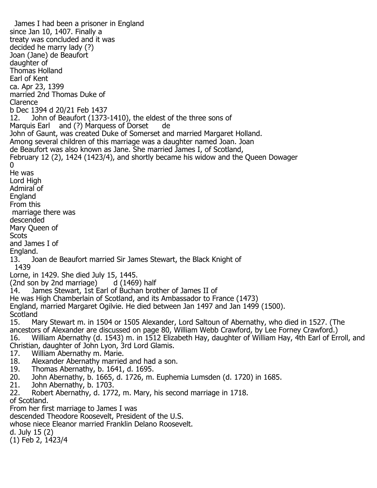James I had been a prisoner in England since Jan 10, 1407. Finally a treaty was concluded and it was decided he marry lady (?) Joan (Jane) de Beaufort daughter of Thomas Holland Earl of Kent ca. Apr 23, 1399 married 2nd Thomas Duke of Clarence b Dec 1394 d 20/21 Feb 1437 John of Beaufort (1373-1410), the eldest of the three sons of Marquis Earl and (?) Marquess of Dorset de John of Gaunt, was created Duke of Somerset and married Margaret Holland. Among several children of this marriage was a daughter named Joan. Joan de Beaufort was also known as Jane. She married James I, of Scotland, February 12 (2), 1424 (1423/4), and shortly became his widow and the Queen Dowager 0 He was Lord High Admiral of England From this marriage there was descended Mary Queen of Scots and James I of England.<br>13. Jo 13. Joan de Beaufort married Sir James Stewart, the Black Knight of 1439 Lorne, in 1429. She died July 15, 1445.<br>(2nd son by 2nd marriage) d (1469) half (2nd son by 2nd marriage) 14. James Stewart, 1st Earl of Buchan brother of James II of He was High Chamberlain of Scotland, and its Ambassador to France (1473) England, married Margaret Ogilvie. He died between Jan 1497 and Jan 1499 (1500). Scotland<br>15. M 15. Mary Stewart m. in 1504 or 1505 Alexander, Lord Saltoun of Abernathy, who died in 1527. (The ancestors of Alexander are discussed on page 80, William Webb Crawford, by Lee Forney Crawford.) 16. William Abernathy (d. 1543) m. in 1512 Elizabeth Hay, daughter of William Hay, 4th Earl of Erroll, and Christian, daughter of John Lyon, 3rd Lord Glamis. 17. William Abernathy m. Marie.<br>18. Alexander Abernathy married 18. Alexander Abernathy married and had a son.<br>19. Thomas Abernathy, b. 1641, d. 1695. 19. Thomas Abernathy, b. 1641, d. 1695.<br>20. John Abernathy, b. 1665, d. 1726, m. 20. John Abernathy, b. 1665, d. 1726, m. Euphemia Lumsden (d. 1720) in 1685. 21. John Abernathy, b. 1703. Robert Abernathy, d. 1772, m. Mary, his second marriage in 1718. of Scotland. From her first marriage to James I was descended Theodore Roosevelt, President of the U.S. whose niece Eleanor married Franklin Delano Roosevelt. d. July 15 (2) (1) Feb 2, 1423/4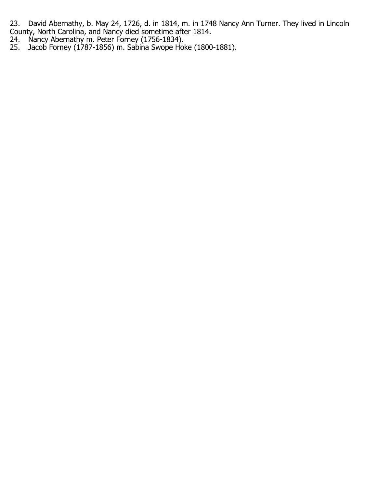23. David Abernathy, b. May 24, 1726, d. in 1814, m. in 1748 Nancy Ann Turner. They lived in Lincoln County, North Carolina, and Nancy died sometime after 1814.

- 24. Nancy Abernathy m. Peter Forney (1756-1834).
- 25. Jacob Forney (1787-1856) m. Sabina Swope Hoke (1800-1881).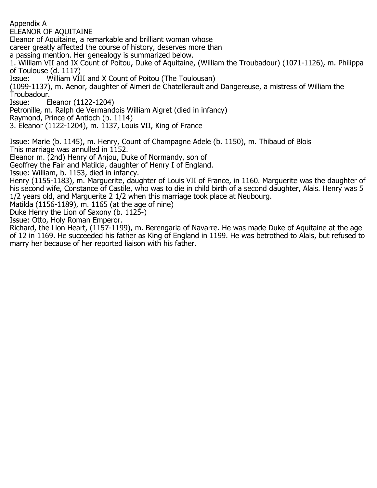Appendix A

ELEANOR OF AQUITAINE

Eleanor of Aquitaine, a remarkable and brilliant woman whose

career greatly affected the course of history, deserves more than

a passing mention. Her genealogy is summarized below.

1. William VII and IX Count of Poitou, Duke of Aquitaine, (William the Troubadour) (1071-1126), m. Philippa of Toulouse (d. 1117)<br>Issue: William VI

William VIII and X Count of Poitou (The Toulousan)

(1099-1137), m. Aenor, daughter of Aimeri de Chatellerault and Dangereuse, a mistress of William the Troubadour.<br>Issue: E

Eleanor (1122-1204)

Petronille, m. Ralph de Vermandois William Aigret (died in infancy)

Raymond, Prince of Antioch (b. 1114)

3. Eleanor (1122-1204), m. 1137, Louis VII, King of France

Issue: Marie (b. 1145), m. Henry, Count of Champagne Adele (b. 1150), m. Thibaud of Blois This marriage was annulled in 1152.

Eleanor m. (2nd) Henry of Anjou, Duke of Normandy, son of

Geoffrey the Fair and Matilda, daughter of Henry I of England.

Issue: William, b. 1153, died in infancy.

Henry (1155-1183), m. Marguerite, daughter of Louis VII of France, in 1160. Marguerite was the daughter of his second wife, Constance of Castile, who was to die in child birth of a second daughter, Alais. Henry was 5 1/2 years old, and Marguerite 2 1/2 when this marriage took place at Neubourg.

Matilda (1156-1189), m. 1165 (at the age of nine)

Duke Henry the Lion of Saxony (b. 1125-)

Issue: Otto, Holy Roman Emperor.

Richard, the Lion Heart, (1157-1199), m. Berengaria of Navarre. He was made Duke of Aquitaine at the age of 12 in 1169. He succeeded his father as King of England in 1199. He was betrothed to Alais, but refused to marry her because of her reported liaison with his father.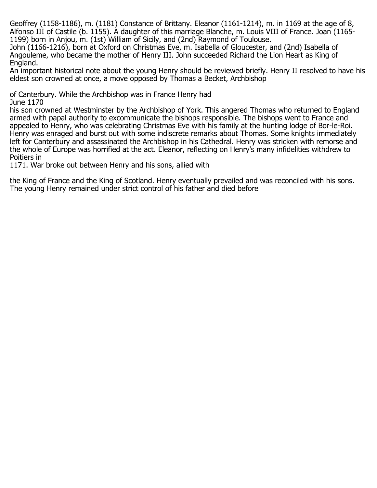Geoffrey (1158-1186), m. (1181) Constance of Brittany. Eleanor (1161-1214), m. in 1169 at the age of 8, Alfonso III of Castile (b. 1155). A daughter of this marriage Blanche, m. Louis VIII of France. Joan (1165- 1199) born in Anjou, m. (1st) William of Sicily, and (2nd) Raymond of Toulouse.

John (1166-1216), born at Oxford on Christmas Eve, m. Isabella of Gloucester, and (2nd) Isabella of Angouleme, who became the mother of Henry III. John succeeded Richard the Lion Heart as King of England.

An important historical note about the young Henry should be reviewed briefly. Henry II resolved to have his eldest son crowned at once, a move opposed by Thomas a Becket, Archbishop

of Canterbury. While the Archbishop was in France Henry had June 1170

his son crowned at Westminster by the Archbishop of York. This angered Thomas who returned to England armed with papal authority to excommunicate the bishops responsible. The bishops went to France and appealed to Henry, who was celebrating Christmas Eve with his family at the hunting lodge of Bor-le-Roi. Henry was enraged and burst out with some indiscrete remarks about Thomas. Some knights immediately left for Canterbury and assassinated the Archbishop in his Cathedral. Henry was stricken with remorse and the whole of Europe was horrified at the act. Eleanor, reflecting on Henry's many infidelities withdrew to Poitiers in

1171. War broke out between Henry and his sons, allied with

the King of France and the King of Scotland. Henry eventually prevailed and was reconciled with his sons. The young Henry remained under strict control of his father and died before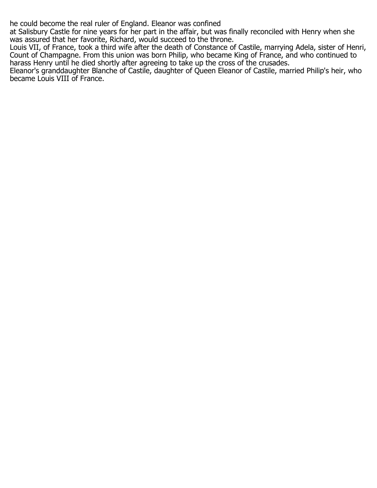he could become the real ruler of England. Eleanor was confined

at Salisbury Castle for nine years for her part in the affair, but was finally reconciled with Henry when she was assured that her favorite, Richard, would succeed to the throne.

Louis VII, of France, took a third wife after the death of Constance of Castile, marrying Adela, sister of Henri, Count of Champagne. From this union was born Philip, who became King of France, and who continued to harass Henry until he died shortly after agreeing to take up the cross of the crusades.

Eleanor's granddaughter Blanche of Castile, daughter of Queen Eleanor of Castile, married Philip's heir, who became Louis VIII of France.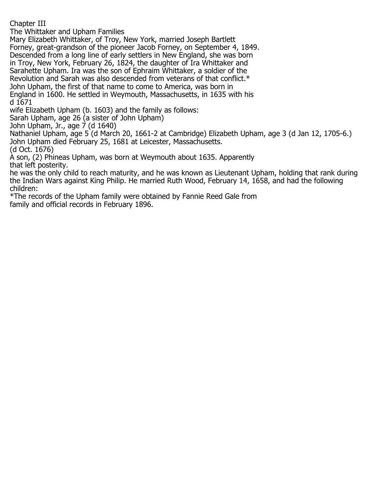Chapter III

The Whittaker and Upham Families

Mary Elizabeth Whittaker, of Troy, New York, married Joseph Bartlett

Forney, great-grandson of the pioneer Jacob Forney, on September 4, 1849.

Descended from a long line of early settlers in New England, she was born

in Troy, New York, February 26, 1824, the daughter of Ira Whittaker and

Sarahette Upham. Ira was the son of Ephraim Whittaker, a soldier of the

Revolution and Sarah was also descended from veterans of that conflict.\*

John Upham, the first of that name to come to America, was born in

England in 1600. He settled in Weymouth, Massachusetts, in 1635 with his d 1671

wife Elizabeth Upham (b. 1603) and the family as follows:

Sarah Upham, age 26 (a sister of John Upham)

John Upham, Jr., age 7 (d 1640)

Nathaniel Upham, age 5 (d March 20, 1661-2 at Cambridge) Elizabeth Upham, age 3 (d Jan 12, 1705-6.) John Upham died February 25, 1681 at Leicester, Massachusetts.

(d Oct. 1676)

A son, (2) Phineas Upham, was born at Weymouth about 1635. Apparently that left posterity.

he was the only child to reach maturity, and he was known as Lieutenant Upham, holding that rank during the Indian Wars against King Philip. He married Ruth Wood, February 14, 1658, and had the following children:

\*The records of the Upham family were obtained by Fannie Reed Gale from family and official records in February 1896.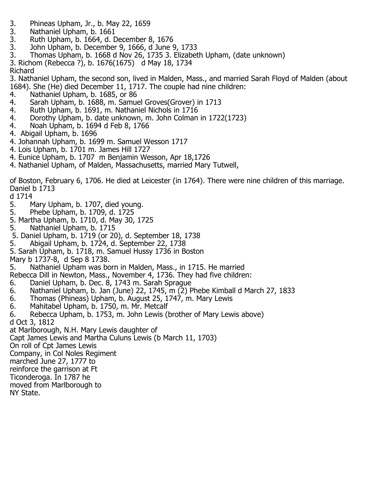- 3. Phineas Upham, Jr., b. May 22, 1659
- 3. Nathaniel Upham, b. 1661
- 3. Ruth Upham, b. 1664, d. December 8, 1676
- 3. John Upham, b. December 9, 1666, d June 9, 1733
- 3. Thomas Upham, b. 1668 d Nov 26, 1735 3. Elizabeth Upham, (date unknown)
- 3. Richom (Rebecca ?), b. 1676(1675) d May 18, 1734

Richard

3. Nathaniel Upham, the second son, lived in Malden, Mass., and married Sarah Floyd of Malden (about 1684). She (He) died December 11, 1717. The couple had nine children:<br>4. Nathaniel Upham, b. 1685, or 86

- 4. Nathaniel Upham, b. 1685, or 86
- 4. Sarah Upham, b. 1688, m. Samuel Groves(Grover) in 1713<br>4. Ruth Upham, b. 1691, m. Nathaniel Nichols in 1716
- 4. Ruth Upham, b. 1691, m. Nathaniel Nichols in 1716
- 4. Dorothy Upham, b. date unknown, m. John Colman in 1722(1723)
- 4. Noah Upham, b. 1694 d Feb 8, 1766
- 4. Abigail Upham, b. 1696
- 4. Johannah Upham, b. 1699 m. Samuel Wesson 1717
- 4. Lois Upham, b. 1701 m. James Hill 1727
- 4. Eunice Upham, b. 1707 m Benjamin Wesson, Apr 18,1726
- 4. Nathaniel Upham, of Malden, Massachusetts, married Mary Tutwell,

of Boston, February 6, 1706. He died at Leicester (in 1764). There were nine children of this marriage. Daniel b 1713

d 1714<br>5. M

- 5. Mary Upham, b. 1707, died young.
- 5. Phebe Upham, b. 1709, d. 1725
- 5. Martha Upham, b. 1710, d. May 30, 1725
- 5. Nathaniel Upham, b. 1715
- 5. Daniel Upham, b. 1719 (or 20), d. September 18, 1738
- 5. Abigail Upham, b. 1724, d. September 22, 1738
- 5. Sarah Upham, b. 1718, m. Samuel Hussy 1736 in Boston

- Mary b 1737-8, d Sep 8 1738. Nathaniel Upham was born in Malden, Mass., in 1715. He married
- Rebecca Dill in Newton, Mass., November 4, 1736. They had five children:
- 6. Daniel Upham, b. Dec. 8, 1743 m. Sarah Sprague<br>6. Nathaniel Upham, b. Jan (June) 22, 1745, m (2) P
- 6. Nathaniel Upham, b. Jan (June) 22, 1745, m (2) Phebe Kimball d March 27, 1833
- 6. Thomas (Phineas) Upham, b. August 25, 1747, m. Mary Lewis
- 6. Mahitabel Upham, b. 1750, m. Mr. Metcalf<br>6. Rebecca Upham, b. 1753, m. John Lewis (l
- Rebecca Upham, b. 1753, m. John Lewis (brother of Mary Lewis above)

d Oct 3, 1812

at Marlborough, N.H. Mary Lewis daughter of

Capt James Lewis and Martha Culuns Lewis (b March 11, 1703)

On roll of Cpt James Lewis

Company, in Col Noles Regiment

marched June 27, 1777 to

reinforce the garrison at Ft

Ticonderoga. In 1787 he

moved from Marlborough to

NY State.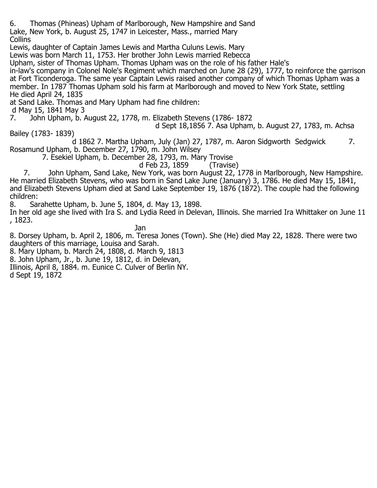6. Thomas (Phineas) Upham of Marlborough, New Hampshire and Sand Lake, New York, b. August 25, 1747 in Leicester, Mass., married Mary **Collins** 

Lewis, daughter of Captain James Lewis and Martha Culuns Lewis. Mary

Lewis was born March 11, 1753. Her brother John Lewis married Rebecca

Upham, sister of Thomas Upham. Thomas Upham was on the role of his father Hale's

in-law's company in Colonel Nole's Regiment which marched on June 28 (29), 1777, to reinforce the garrison at Fort Ticonderoga. The same year Captain Lewis raised another company of which Thomas Upham was a member. In 1787 Thomas Upham sold his farm at Marlborough and moved to New York State, settling He died April 24, 1835

at Sand Lake. Thomas and Mary Upham had fine children:

d May 15, 1841 May 3

7. John Upham, b. August 22, 1778, m. Elizabeth Stevens (1786- 1872

d Sept 18,1856 7. Asa Upham, b. August 27, 1783, m. Achsa

Bailey (1783- 1839)

 d 1862 7. Martha Upham, July (Jan) 27, 1787, m. Aaron Sidgworth Sedgwick 7. Rosamund Upham, b. December 27, 1790, m. John Wilsey

7. Esekiel Upham, b. December 28, 1793, m. Mary Trovise

d Feb 23, 1859 (Travise)<br>7. John Upham, Sand Lake, New York, was born August 22, 1 John Upham, Sand Lake, New York, was born August 22, 1778 in Marlborough, New Hampshire. He married Elizabeth Stevens, who was born in Sand Lake June (January) 3, 1786. He died May 15, 1841, and Elizabeth Stevens Upham died at Sand Lake September 19, 1876 (1872). The couple had the following children:<br>8. Sai

8. Sarahette Upham, b. June 5, 1804, d. May 13, 1898.

In her old age she lived with Ira S. and Lydia Reed in Delevan, Illinois. She married Ira Whittaker on June 11 , 1823.

in a bhainn an t-ainm an t-ainm an Dan Bhainn an t-ainm an t-ainm an t-ainm an t-ainm an t-ainm an t-ainm an t-8. Dorsey Upham, b. April 2, 1806, m. Teresa Jones (Town). She (He) died May 22, 1828. There were two daughters of this marriage, Louisa and Sarah.

8. Mary Upham, b. March 24, 1808, d. March 9, 1813

8. John Upham, Jr., b. June 19, 1812, d. in Delevan,

Illinois, April 8, 1884. m. Eunice C. Culver of Berlin NY.

d Sept 19, 1872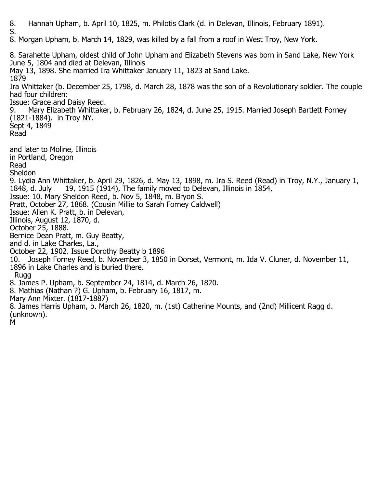8. Hannah Upham, b. April 10, 1825, m. Philotis Clark (d. in Delevan, Illinois, February 1891). S. 8. Morgan Upham, b. March 14, 1829, was killed by a fall from a roof in West Troy, New York. 8. Sarahette Upham, oldest child of John Upham and Elizabeth Stevens was born in Sand Lake, New York June 5, 1804 and died at Delevan, Illinois May 13, 1898. She married Ira Whittaker January 11, 1823 at Sand Lake. 1879 Ira Whittaker (b. December 25, 1798, d. March 28, 1878 was the son of a Revolutionary soldier. The couple had four children: Issue: Grace and Daisy Reed. 9. Mary Elizabeth Whittaker, b. February 26, 1824, d. June 25, 1915. Married Joseph Bartlett Forney (1821-1884). in Troy NY. Sept 4, 1849 Read and later to Moline, Illinois in Portland, Oregon Read Sheldon 9. Lydia Ann Whittaker, b. April 29, 1826, d. May 13, 1898, m. Ira S. Reed (Read) in Troy, N.Y., January 1, 1848, d. July 19, 1915 (1914), The family moved to Delevan, Illinois in 1854, Issue: 10. Mary Sheldon Reed, b. Nov 5, 1848, m. Bryon S. Pratt, October 27, 1868. (Cousin Millie to Sarah Forney Caldwell) Issue: Allen K. Pratt, b. in Delevan, Illinois, August 12, 1870, d. October 25, 1888. Bernice Dean Pratt, m. Guy Beatty, and d. in Lake Charles, La., October 22, 1902. Issue Dorothy Beatty b 1896 10. Joseph Forney Reed, b. November 3, 1850 in Dorset, Vermont, m. Ida V. Cluner, d. November 11, 1896 in Lake Charles and is buried there. Rugg 8. James P. Upham, b. September 24, 1814, d. March 26, 1820. 8. Mathias (Nathan ?) G. Upham, b. February 16, 1817, m. Mary Ann Mixter. (1817-1887) 8. James Harris Upham, b. March 26, 1820, m. (1st) Catherine Mounts, and (2nd) Millicent Ragg d. (unknown). M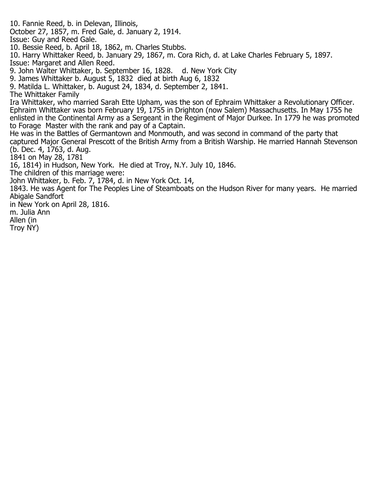10. Fannie Reed, b. in Delevan, Illinois, October 27, 1857, m. Fred Gale, d. January 2, 1914. Issue: Guy and Reed Gale. 10. Bessie Reed, b. April 18, 1862, m. Charles Stubbs. 10. Harry Whittaker Reed, b. January 29, 1867, m. Cora Rich, d. at Lake Charles February 5, 1897. Issue: Margaret and Allen Reed. 9. John Walter Whittaker, b. September 16, 1828. d. New York City 9. James Whittaker b. August 5, 1832 died at birth Aug 6, 1832 9. Matilda L. Whittaker, b. August 24, 1834, d. September 2, 1841. The Whittaker Family Ira Whittaker, who married Sarah Ette Upham, was the son of Ephraim Whittaker a Revolutionary Officer. Ephraim Whittaker was born February 19, 1755 in Drighton (now Salem) Massachusetts. In May 1755 he enlisted in the Continental Army as a Sergeant in the Regiment of Major Durkee. In 1779 he was promoted to Forage Master with the rank and pay of a Captain. He was in the Battles of Germantown and Monmouth, and was second in command of the party that captured Major General Prescott of the British Army from a British Warship. He married Hannah Stevenson (b. Dec. 4, 1763, d. Aug. 1841 on May 28, 1781 16, 1814) in Hudson, New York. He died at Troy, N.Y. July 10, 1846. The children of this marriage were: John Whittaker, b. Feb. 7, 1784, d. in New York Oct. 14, 1843. He was Agent for The Peoples Line of Steamboats on the Hudson River for many years. He married Abigale Sandfort in New York on April 28, 1816. m. Julia Ann Allen (in Troy NY)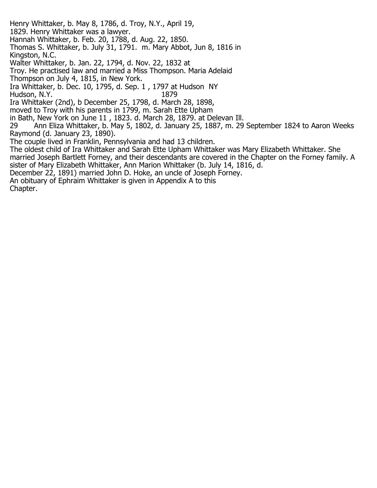Henry Whittaker, b. May 8, 1786, d. Troy, N.Y., April 19, 1829. Henry Whittaker was a lawyer. Hannah Whittaker, b. Feb. 20, 1788, d. Aug. 22, 1850. Thomas S. Whittaker, b. July 31, 1791. m. Mary Abbot, Jun 8, 1816 in Kingston, N.C. Walter Whittaker, b. Jan. 22, 1794, d. Nov. 22, 1832 at Troy. He practised law and married a Miss Thompson. Maria Adelaid

Thompson on July 4, 1815, in New York.

Ira Whittaker, b. Dec. 10, 1795, d. Sep. 1 , 1797 at Hudson NY Hudson, N.Y.

Ira Whittaker (2nd), b December 25, 1798, d. March 28, 1898,

moved to Troy with his parents in 1799, m. Sarah Ette Upham

in Bath, New York on June 11, 1823. d. March 28, 1879. at Delevan Ill.<br>29 Ann Eliza Whittaker, b. May 5, 1802, d. January 25, 1887, m. 29

29 Ann Eliza Whittaker, b. May 5, 1802, d. January 25, 1887, m. 29 September 1824 to Aaron Weeks Raymond (d. January 23, 1890).

The couple lived in Franklin, Pennsylvania and had 13 children.

The oldest child of Ira Whittaker and Sarah Ette Upham Whittaker was Mary Elizabeth Whittaker. She married Joseph Bartlett Forney, and their descendants are covered in the Chapter on the Forney family. A sister of Mary Elizabeth Whittaker, Ann Marion Whittaker (b. July 14, 1816, d.

December 22, 1891) married John D. Hoke, an uncle of Joseph Forney.

An obituary of Ephraim Whittaker is given in Appendix A to this

Chapter.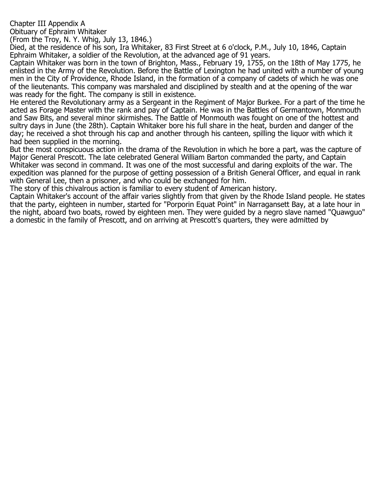# Chapter III Appendix A

Obituary of Ephraim Whitaker

(From the Troy, N. Y. Whig, July 13, 1846.)

Died, at the residence of his son, Ira Whitaker, 83 First Street at 6 o'clock, P.M., July 10, 1846, Captain Ephraim Whitaker, a soldier of the Revolution, at the advanced age of 91 years.

Captain Whitaker was born in the town of Brighton, Mass., February 19, 1755, on the 18th of May 1775, he enlisted in the Army of the Revolution. Before the Battle of Lexington he had united with a number of young men in the City of Providence, Rhode Island, in the formation of a company of cadets of which he was one of the lieutenants. This company was marshaled and disciplined by stealth and at the opening of the war was ready for the fight. The company is still in existence.

He entered the Revolutionary army as a Sergeant in the Regiment of Major Burkee. For a part of the time he acted as Forage Master with the rank and pay of Captain. He was in the Battles of Germantown, Monmouth and Saw Bits, and several minor skirmishes. The Battle of Monmouth was fought on one of the hottest and sultry days in June (the 28th). Captain Whitaker bore his full share in the heat, burden and danger of the day; he received a shot through his cap and another through his canteen, spilling the liquor with which it had been supplied in the morning.

But the most conspicuous action in the drama of the Revolution in which he bore a part, was the capture of Major General Prescott. The late celebrated General William Barton commanded the party, and Captain Whitaker was second in command. It was one of the most successful and daring exploits of the war. The expedition was planned for the purpose of getting possession of a British General Officer, and equal in rank with General Lee, then a prisoner, and who could be exchanged for him.

The story of this chivalrous action is familiar to every student of American history.

Captain Whitaker's account of the affair varies slightly from that given by the Rhode Island people. He states that the party, eighteen in number, started for "Porporin Equat Point" in Narragansett Bay, at a late hour in the night, aboard two boats, rowed by eighteen men. They were guided by a negro slave named "Quawguo" a domestic in the family of Prescott, and on arriving at Prescott's quarters, they were admitted by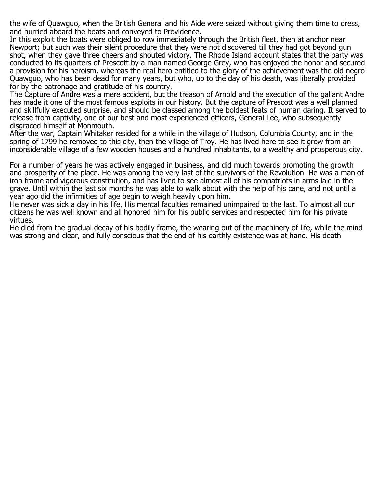the wife of Quawguo, when the British General and his Aide were seized without giving them time to dress, and hurried aboard the boats and conveyed to Providence.

In this exploit the boats were obliged to row immediately through the British fleet, then at anchor near Newport; but such was their silent procedure that they were not discovered till they had got beyond gun shot, when they gave three cheers and shouted victory. The Rhode Island account states that the party was conducted to its quarters of Prescott by a man named George Grey, who has enjoyed the honor and secured a provision for his heroism, whereas the real hero entitled to the glory of the achievement was the old negro Quawguo, who has been dead for many years, but who, up to the day of his death, was liberally provided for by the patronage and gratitude of his country.

The Capture of Andre was a mere accident, but the treason of Arnold and the execution of the gallant Andre has made it one of the most famous exploits in our history. But the capture of Prescott was a well planned and skillfully executed surprise, and should be classed among the boldest feats of human daring. It served to release from captivity, one of our best and most experienced officers, General Lee, who subsequently disgraced himself at Monmouth.

After the war, Captain Whitaker resided for a while in the village of Hudson, Columbia County, and in the spring of 1799 he removed to this city, then the village of Troy. He has lived here to see it grow from an inconsiderable village of a few wooden houses and a hundred inhabitants, to a wealthy and prosperous city.

For a number of years he was actively engaged in business, and did much towards promoting the growth and prosperity of the place. He was among the very last of the survivors of the Revolution. He was a man of iron frame and vigorous constitution, and has lived to see almost all of his compatriots in arms laid in the grave. Until within the last six months he was able to walk about with the help of his cane, and not until a year ago did the infirmities of age begin to weigh heavily upon him.

He never was sick a day in his life. His mental faculties remained unimpaired to the last. To almost all our citizens he was well known and all honored him for his public services and respected him for his private virtues.

He died from the gradual decay of his bodily frame, the wearing out of the machinery of life, while the mind was strong and clear, and fully conscious that the end of his earthly existence was at hand. His death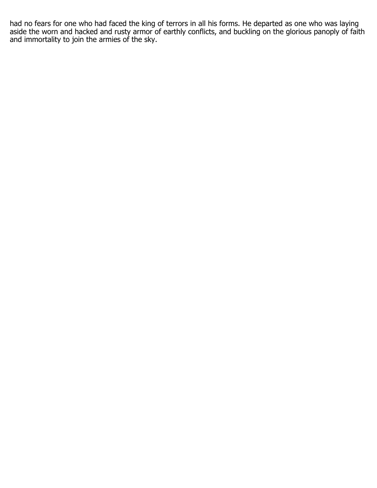had no fears for one who had faced the king of terrors in all his forms. He departed as one who was laying aside the worn and hacked and rusty armor of earthly conflicts, and buckling on the glorious panoply of faith and immortality to join the armies of the sky.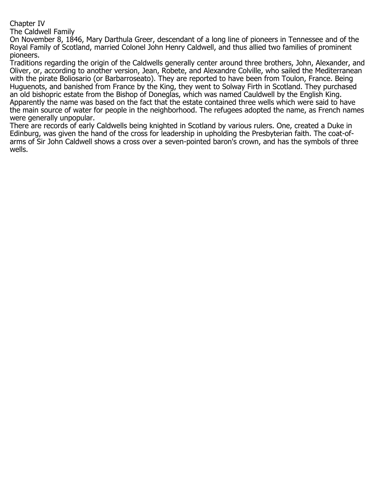## Chapter IV

The Caldwell Family

On November 8, 1846, Mary Darthula Greer, descendant of a long line of pioneers in Tennessee and of the Royal Family of Scotland, married Colonel John Henry Caldwell, and thus allied two families of prominent pioneers.

Traditions regarding the origin of the Caldwells generally center around three brothers, John, Alexander, and Oliver, or, according to another version, Jean, Robete, and Alexandre Colville, who sailed the Mediterranean with the pirate Boliosario (or Barbarroseato). They are reported to have been from Toulon, France. Being Huguenots, and banished from France by the King, they went to Solway Firth in Scotland. They purchased an old bishopric estate from the Bishop of Doneglas, which was named Cauldwell by the English King. Apparently the name was based on the fact that the estate contained three wells which were said to have the main source of water for people in the neighborhood. The refugees adopted the name, as French names were generally unpopular.

There are records of early Caldwells being knighted in Scotland by various rulers. One, created a Duke in Edinburg, was given the hand of the cross for leadership in upholding the Presbyterian faith. The coat-ofarms of Sir John Caldwell shows a cross over a seven-pointed baron's crown, and has the symbols of three wells.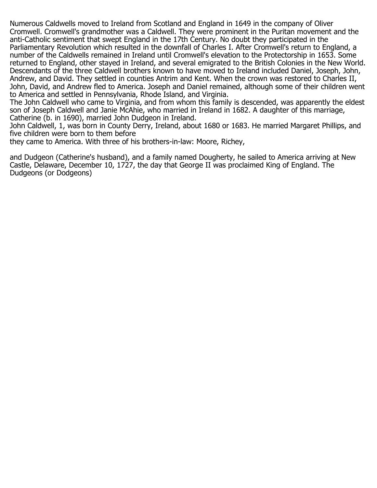Numerous Caldwells moved to Ireland from Scotland and England in 1649 in the company of Oliver Cromwell. Cromwell's grandmother was a Caldwell. They were prominent in the Puritan movement and the anti-Catholic sentiment that swept England in the 17th Century. No doubt they participated in the Parliamentary Revolution which resulted in the downfall of Charles I. After Cromwell's return to England, a number of the Caldwells remained in Ireland until Cromwell's elevation to the Protectorship in 1653. Some returned to England, other stayed in Ireland, and several emigrated to the British Colonies in the New World. Descendants of the three Caldwell brothers known to have moved to Ireland included Daniel, Joseph, John, Andrew, and David. They settled in counties Antrim and Kent. When the crown was restored to Charles II, John, David, and Andrew fled to America. Joseph and Daniel remained, although some of their children went to America and settled in Pennsylvania, Rhode Island, and Virginia.

The John Caldwell who came to Virginia, and from whom this family is descended, was apparently the eldest son of Joseph Caldwell and Janie McAhie, who married in Ireland in 1682. A daughter of this marriage, Catherine (b. in 1690), married John Dudgeon in Ireland.

John Caldwell, 1, was born in County Derry, Ireland, about 1680 or 1683. He married Margaret Phillips, and five children were born to them before

they came to America. With three of his brothers-in-law: Moore, Richey,

and Dudgeon (Catherine's husband), and a family named Dougherty, he sailed to America arriving at New Castle, Delaware, December 10, 1727, the day that George II was proclaimed King of England. The Dudgeons (or Dodgeons)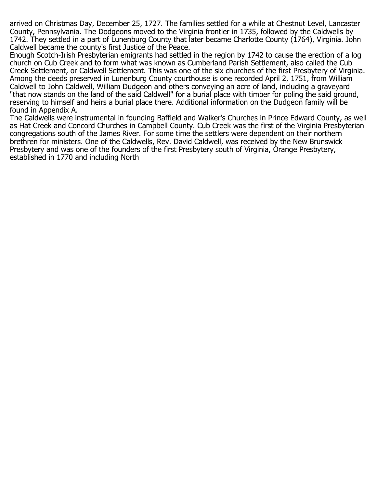arrived on Christmas Day, December 25, 1727. The families settled for a while at Chestnut Level, Lancaster County, Pennsylvania. The Dodgeons moved to the Virginia frontier in 1735, followed by the Caldwells by 1742. They settled in a part of Lunenburg County that later became Charlotte County (1764), Virginia. John Caldwell became the county's first Justice of the Peace.

Enough Scotch-Irish Presbyterian emigrants had settled in the region by 1742 to cause the erection of a log church on Cub Creek and to form what was known as Cumberland Parish Settlement, also called the Cub Creek Settlement, or Caldwell Settlement. This was one of the six churches of the first Presbytery of Virginia. Among the deeds preserved in Lunenburg County courthouse is one recorded April 2, 1751, from William Caldwell to John Caldwell, William Dudgeon and others conveying an acre of land, including a graveyard "that now stands on the land of the said Caldwell" for a burial place with timber for poling the said ground, reserving to himself and heirs a burial place there. Additional information on the Dudgeon family will be found in Appendix A.

The Caldwells were instrumental in founding Baffield and Walker's Churches in Prince Edward County, as well as Hat Creek and Concord Churches in Campbell County. Cub Creek was the first of the Virginia Presbyterian congregations south of the James River. For some time the settlers were dependent on their northern brethren for ministers. One of the Caldwells, Rev. David Caldwell, was received by the New Brunswick Presbytery and was one of the founders of the first Presbytery south of Virginia, Orange Presbytery, established in 1770 and including North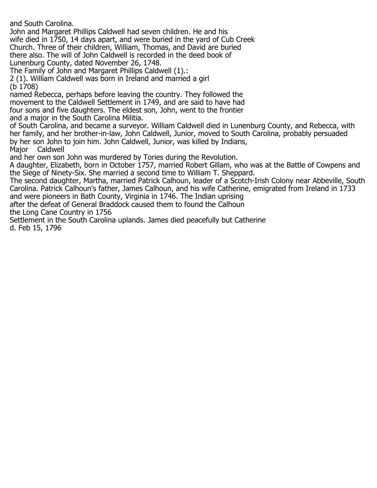and South Carolina.

John and Margaret Phillips Caldwell had seven children. He and his wife died in 1750, 14 days apart, and were buried in the yard of Cub Creek Church. Three of their children, William, Thomas, and David are buried there also. The will of John Caldwell is recorded in the deed book of Lunenburg County, dated November 26, 1748.

The Family of John and Margaret Phillips Caldwell (1).:

2 (1). William Caldwell was born in Ireland and married a girl (b 1708)

named Rebecca, perhaps before leaving the country. They followed the movement to the Caldwell Settlement in 1749, and are said to have had four sons and five daughters. The eldest son, John, went to the frontier and a major in the South Carolina Militia.

of South Carolina, and became a surveyor. William Caldwell died in Lunenburg County, and Rebecca, with her family, and her brother-in-law, John Caldwell, Junior, moved to South Carolina, probably persuaded by her son John to join him. John Caldwell, Junior, was killed by Indians, Caldwell

and her own son John was murdered by Tories during the Revolution.

A daughter, Elizabeth, born in October 1757, married Robert Gillam, who was at the Battle of Cowpens and the Siege of Ninety-Six. She married a second time to William T. Sheppard.

The second daughter, Martha, married Patrick Calhoun, leader of a Scotch-Irish Colony near Abbeville, South Carolina. Patrick Calhoun's father, James Calhoun, and his wife Catherine, emigrated from Ireland in 1733 and were pioneers in Bath County, Virginia in 1746. The Indian uprising

after the defeat of General Braddock caused them to found the Calhoun the Long Cane Country in 1756

Settlement in the South Carolina uplands. James died peacefully but Catherine d. Feb 15, 1796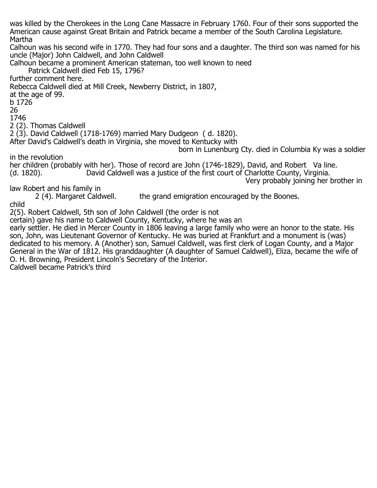was killed by the Cherokees in the Long Cane Massacre in February 1760. Four of their sons supported the American cause against Great Britain and Patrick became a member of the South Carolina Legislature. Martha Calhoun was his second wife in 1770. They had four sons and a daughter. The third son was named for his uncle (Major) John Caldwell, and John Caldwell Calhoun became a prominent American stateman, too well known to need Patrick Caldwell died Feb 15, 1796? further comment here. Rebecca Caldwell died at Mill Creek, Newberry District, in 1807, at the age of 99. b 1726 26 1746 2 (2). Thomas Caldwell 2 (3). David Caldwell (1718-1769) married Mary Dudgeon ( d. 1820). After David's Caldwell's death in Virginia, she moved to Kentucky with born in Lunenburg Cty. died in Columbia Ky was a soldier in the revolution her children (probably with her). Those of record are John (1746-1829), David, and Robert Va line.<br>(d. 1820). David Caldwell was a justice of the first court of Charlotte County, Virginia. David Caldwell was a justice of the first court of Charlotte County, Virginia. Very probably joining her brother in law Robert and his family in<br>2 (4). Margaret Caldwell. the grand emigration encouraged by the Boones. child 2(5). Robert Caldwell, 5th son of John Caldwell (the order is not certain) gave his name to Caldwell County, Kentucky, where he was an early settler. He died in Mercer County in 1806 leaving a large family who were an honor to the state. His son, John, was Lieutenant Governor of Kentucky. He was buried at Frankfurt and a monument is (was) dedicated to his memory. A (Another) son, Samuel Caldwell, was first clerk of Logan County, and a Major

General in the War of 1812. His granddaughter (A daughter of Samuel Caldwell), Eliza, became the wife of O. H. Browning, President Lincoln's Secretary of the Interior.

Caldwell became Patrick's third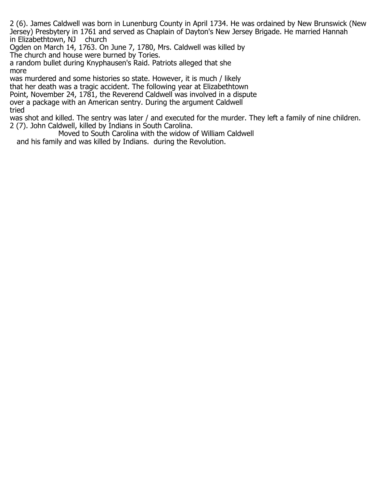2 (6). James Caldwell was born in Lunenburg County in April 1734. He was ordained by New Brunswick (New Jersey) Presbytery in 1761 and served as Chaplain of Dayton's New Jersey Brigade. He married Hannah in Elizabethtown, NJ

Ogden on March 14, 1763. On June 7, 1780, Mrs. Caldwell was killed by The church and house were burned by Tories.

a random bullet during Knyphausen's Raid. Patriots alleged that she more

was murdered and some histories so state. However, it is much / likely that her death was a tragic accident. The following year at Elizabethtown Point, November 24, 1781, the Reverend Caldwell was involved in a dispute over a package with an American sentry. During the argument Caldwell tried

was shot and killed. The sentry was later / and executed for the murder. They left a family of nine children. 2 (7). John Caldwell, killed by Indians in South Carolina.

 Moved to South Carolina with the widow of William Caldwell and his family and was killed by Indians. during the Revolution.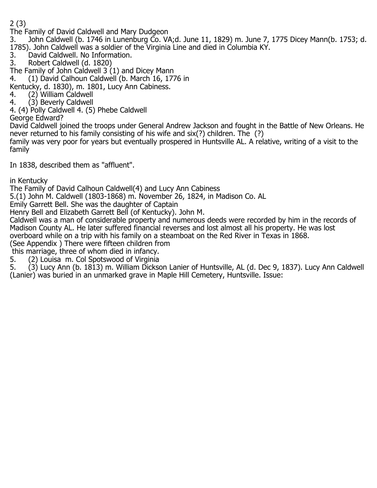2 (3)

The Family of David Caldwell and Mary Dudgeon

3. John Caldwell (b. 1746 in Lunenburg Co. VA;d. June 11, 1829) m. June 7, 1775 Dicey Mann(b. 1753; d. 1785). John Caldwell was a soldier of the Virginia Line and died in Columbia KY.<br>3. David Caldwell. No Information.

David Caldwell. No Information.

3. Robert Caldwell (d. 1820)

The Family of John Caldwell 3 (1) and Dicey Mann<br>4. (1) David Calhoun Caldwell (b. March 16, 177

4. (1) David Calhoun Caldwell (b. March 16, 1776 in

Kentucky, d. 1830), m. 1801, Lucy Ann Cabiness.<br>4. (2) William Caldwell

4. (2) William Caldwell<br>4. (3) Beverly Caldwell

(3) Beverly Caldwell

4. (4) Polly Caldwell 4. (5) Phebe Caldwell

George Edward?

David Caldwell joined the troops under General Andrew Jackson and fought in the Battle of New Orleans. He never returned to his family consisting of his wife and six(?) children. The (?)

family was very poor for years but eventually prospered in Huntsville AL. A relative, writing of a visit to the family

In 1838, described them as "affluent".

in Kentucky

The Family of David Calhoun Caldwell(4) and Lucy Ann Cabiness

5.(1) John M. Caldwell (1803-1868) m. November 26, 1824, in Madison Co. AL

Emily Garrett Bell. She was the daughter of Captain

Henry Bell and Elizabeth Garrett Bell (of Kentucky). John M.

Caldwell was a man of considerable property and numerous deeds were recorded by him in the records of Madison County AL. He later suffered financial reverses and lost almost all his property. He was lost overboard while on a trip with his family on a steamboat on the Red River in Texas in 1868.

(See Appendix ) There were fifteen children from

this marriage, three of whom died in infancy.<br>5. (2) Louisa m. Col Spotswood of Virginia

5. (2) Louisa m. Col Spotswood of Virginia<br>5. (3) Lucy Ann (b. 1813) m. William Dickso 5. (3) Lucy Ann (b. 1813) m. William Dickson Lanier of Huntsville, AL (d. Dec 9, 1837). Lucy Ann Caldwell (Lanier) was buried in an unmarked grave in Maple Hill Cemetery, Huntsville. Issue: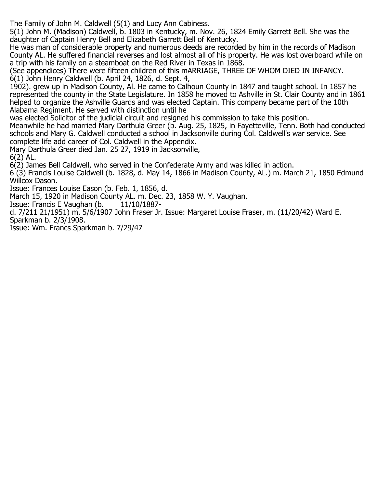The Family of John M. Caldwell (5(1) and Lucy Ann Cabiness.

5(1) John M. (Madison) Caldwell, b. 1803 in Kentucky, m. Nov. 26, 1824 Emily Garrett Bell. She was the daughter of Captain Henry Bell and Elizabeth Garrett Bell of Kentucky.

He was man of considerable property and numerous deeds are recorded by him in the records of Madison County AL. He suffered financial reverses and lost almost all of his property. He was lost overboard while on a trip with his family on a steamboat on the Red River in Texas in 1868.

(See appendices) There were fifteen children of this mARRIAGE, THREE OF WHOM DIED IN INFANCY. 6(1) John Henry Caldwell (b. April 24, 1826, d. Sept. 4,

1902). grew up in Madison County, Al. He came to Calhoun County in 1847 and taught school. In 1857 he represented the county in the State Legislature. In 1858 he moved to Ashville in St. Clair County and in 1861 helped to organize the Ashville Guards and was elected Captain. This company became part of the 10th Alabama Regiment. He served with distinction until he

was elected Solicitor of the judicial circuit and resigned his commission to take this position.

Meanwhile he had married Mary Darthula Greer (b. Aug. 25, 1825, in Fayetteville, Tenn. Both had conducted schools and Mary G. Caldwell conducted a school in Jacksonville during Col. Caldwell's war service. See complete life add career of Col. Caldwell in the Appendix.

Mary Darthula Greer died Jan. 25 27, 1919 in Jacksonville,

6(2) AL.

6(2) James Bell Caldwell, who served in the Confederate Army and was killed in action.

6 (3) Francis Louise Caldwell (b. 1828, d. May 14, 1866 in Madison County, AL.) m. March 21, 1850 Edmund Willcox Dason.

Issue: Frances Louise Eason (b. Feb. 1, 1856, d.

March 15, 1920 in Madison County AL. m. Dec. 23, 1858 W. Y. Vaughan.<br>Issue: Francis E Vaughan (b. 11/10/1887-

Issue: Francis E Vaughan (b.

d. 7/211 21/1951) m. 5/6/1907 John Fraser Jr. Issue: Margaret Louise Fraser, m. (11/20/42) Ward E. Sparkman b. 2/3/1908.

Issue: Wm. Francs Sparkman b. 7/29/47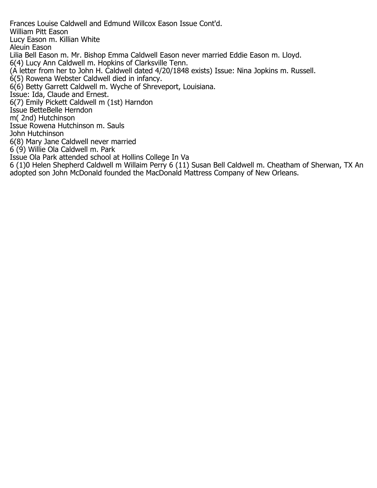Frances Louise Caldwell and Edmund Willcox Eason Issue Cont'd. William Pitt Eason Lucy Eason m. Killian White Aleuin Eason Lilia Bell Eason m. Mr. Bishop Emma Caldwell Eason never married Eddie Eason m. Lloyd. 6(4) Lucy Ann Caldwell m. Hopkins of Clarksville Tenn. (A letter from her to John H. Caldwell dated 4/20/1848 exists) Issue: Nina Jopkins m. Russell. 6(5) Rowena Webster Caldwell died in infancy. 6(6) Betty Garrett Caldwell m. Wyche of Shreveport, Louisiana. Issue: Ida, Claude and Ernest. 6(7) Emily Pickett Caldwell m (1st) Harndon Issue BetteBelle Herndon m( 2nd) Hutchinson Issue Rowena Hutchinson m. Sauls John Hutchinson 6(8) Mary Jane Caldwell never married 6 (9) Willie Ola Caldwell m. Park Issue Ola Park attended school at Hollins College In Va 6 (1)0 Helen Shepherd Caldwell m Willaim Perry 6 (11) Susan Bell Caldwell m. Cheatham of Sherwan, TX An adopted son John McDonald founded the MacDonald Mattress Company of New Orleans.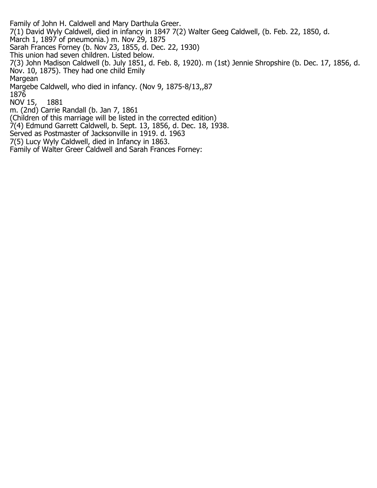Family of John H. Caldwell and Mary Darthula Greer. 7(1) David Wyly Caldwell, died in infancy in 1847 7(2) Walter Geeg Caldwell, (b. Feb. 22, 1850, d. March 1, 1897 of pneumonia.) m. Nov 29, 1875 Sarah Frances Forney (b. Nov 23, 1855, d. Dec. 22, 1930) This union had seven children. Listed below. 7(3) John Madison Caldwell (b. July 1851, d. Feb. 8, 1920). m (1st) Jennie Shropshire (b. Dec. 17, 1856, d. Nov. 10, 1875). They had one child Emily **Margean** Margebe Caldwell, who died in infancy. (Nov 9, 1875-8/13,,87 1876 NOV 15, 1881 m. (2nd) Carrie Randall (b. Jan 7, 1861 (Children of this marriage will be listed in the corrected edition) 7(4) Edmund Garrett Caldwell, b. Sept. 13, 1856, d. Dec. 18, 1938. Served as Postmaster of Jacksonville in 1919. d. 1963

7(5) Lucy Wyly Caldwell, died in Infancy in 1863.

Family of Walter Greer Caldwell and Sarah Frances Forney: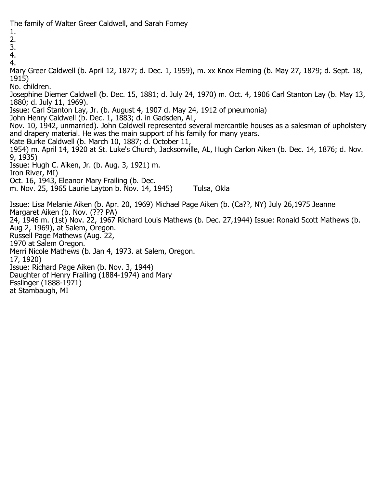The family of Walter Greer Caldwell, and Sarah Forney

1.

2.

3.

4.

4.

Mary Greer Caldwell (b. April 12, 1877; d. Dec. 1, 1959), m. xx Knox Fleming (b. May 27, 1879; d. Sept. 18, 1915)

No. children.

Josephine Diemer Caldwell (b. Dec. 15, 1881; d. July 24, 1970) m. Oct. 4, 1906 Carl Stanton Lay (b. May 13, 1880; d. July 11, 1969).

Issue: Carl Stanton Lay, Jr. (b. August 4, 1907 d. May 24, 1912 of pneumonia)

John Henry Caldwell (b. Dec. 1, 1883; d. in Gadsden, AL,

Nov. 10, 1942, unmarried). John Caldwell represented several mercantile houses as a salesman of upholstery and drapery material. He was the main support of his family for many years.

Kate Burke Caldwell (b. March 10, 1887; d. October 11,

1954) m. April 14, 1920 at St. Luke's Church, Jacksonville, AL, Hugh Carlon Aiken (b. Dec. 14, 1876; d. Nov. 9, 1935)

Issue: Hugh C. Aiken, Jr. (b. Aug. 3, 1921) m.

Iron River, MI)

Oct. 16, 1943, Eleanor Mary Frailing (b. Dec.

m. Nov. 25, 1965 Laurie Layton b. Nov. 14, 1945) Tulsa, Okla

Issue: Lisa Melanie Aiken (b. Apr. 20, 1969) Michael Page Aiken (b. (Ca??, NY) July 26,1975 Jeanne Margaret Aiken (b. Nov. (??? PA)

24, 1946 m. (1st) Nov. 22, 1967 Richard Louis Mathews (b. Dec. 27,1944) Issue: Ronald Scott Mathews (b. Aug 2, 1969), at Salem, Oregon.

Russell Page Mathews (Aug. 22,

1970 at Salem Oregon.

Merri Nicole Mathews (b. Jan 4, 1973. at Salem, Oregon.

17, 1920)

Issue: Richard Page Aiken (b. Nov. 3, 1944)

Daughter of Henry Frailing (1884-1974) and Mary

Esslinger (1888-1971)

at Stambaugh, MI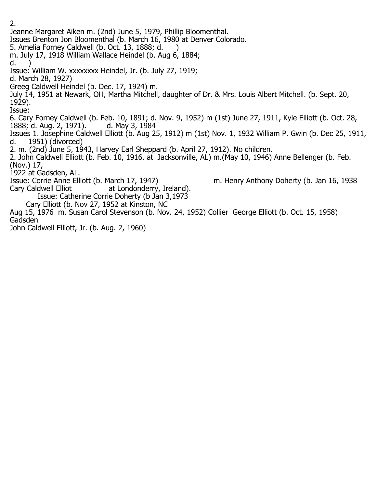2. Jeanne Margaret Aiken m. (2nd) June 5, 1979, Phillip Bloomenthal. Issues Brenton Jon Bloomenthal (b. March 16, 1980 at Denver Colorado. 5. Amelia Forney Caldwell (b. Oct. 13, 1888; d. ) m. July 17, 1918 William Wallace Heindel (b. Aug 6, 1884; d. Issue: William W. xxxxxxxx Heindel, Jr. (b. July 27, 1919; d. March 28, 1927) Greeg Caldwell Heindel (b. Dec. 17, 1924) m. July 14, 1951 at Newark, OH, Martha Mitchell, daughter of Dr. & Mrs. Louis Albert Mitchell. (b. Sept. 20, 1929). Issue: 6. Cary Forney Caldwell (b. Feb. 10, 1891; d. Nov. 9, 1952) m (1st) June 27, 1911, Kyle Elliott (b. Oct. 28, 1888; d. Aug. 2, 1971). Issues 1. Josephine Caldwell Elliott (b. Aug 25, 1912) m (1st) Nov. 1, 1932 William P. Gwin (b. Dec 25, 1911, 1951) (divorced) 2. m. (2nd) June 5, 1943, Harvey Earl Sheppard (b. April 27, 1912). No children. 2. John Caldwell Elliott (b. Feb. 10, 1916, at Jacksonville, AL) m.(May 10, 1946) Anne Bellenger (b. Feb. (Nov.) 17, 1922 at Gadsden, AL. Issue: Corrie Anne Elliott (b. March 17, 1947) m. Henry Anthony Doherty (b. Jan 16, 1938 Cary Caldwell Elliot at Londonderry, Ireland). Issue: Catherine Corrie Doherty (b Jan 3,1973 Cary Elliott (b. Nov 27, 1952 at Kinston, NC Aug 15, 1976 m. Susan Carol Stevenson (b. Nov. 24, 1952) Collier George Elliott (b. Oct. 15, 1958) Gadsden

John Caldwell Elliott, Jr. (b. Aug. 2, 1960)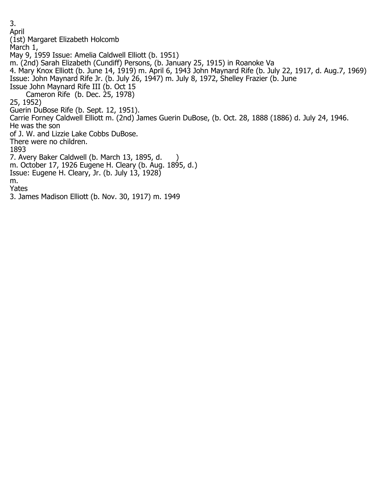3. April (1st) Margaret Elizabeth Holcomb March 1, May 9, 1959 Issue: Amelia Caldwell Elliott (b. 1951) m. (2nd) Sarah Elizabeth (Cundiff) Persons, (b. January 25, 1915) in Roanoke Va 4. Mary Knox Elliott (b. June 14, 1919) m. April 6, 1943 John Maynard Rife (b. July 22, 1917, d. Aug.7, 1969) Issue: John Maynard Rife Jr. (b. July 26, 1947) m. July 8, 1972, Shelley Frazier (b. June Issue John Maynard Rife III (b. Oct 15 Cameron Rife (b. Dec. 25, 1978) 25, 1952) Guerin DuBose Rife (b. Sept. 12, 1951). Carrie Forney Caldwell Elliott m. (2nd) James Guerin DuBose, (b. Oct. 28, 1888 (1886) d. July 24, 1946. He was the son of J. W. and Lizzie Lake Cobbs DuBose. There were no children. 1893 7. Avery Baker Caldwell (b. March 13, 1895, d. ) m. October 17, 1926 Eugene H. Cleary (b. Aug. 1895, d.) Issue: Eugene H. Cleary, Jr. (b. July 13, 1928) m. Yates 3. James Madison Elliott (b. Nov. 30, 1917) m. 1949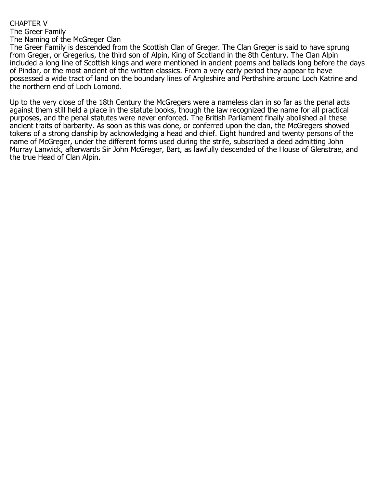## CHAPTER V

The Greer Family

The Naming of the McGreger Clan

The Greer Family is descended from the Scottish Clan of Greger. The Clan Greger is said to have sprung from Greger, or Gregerius, the third son of Alpin, King of Scotland in the 8th Century. The Clan Alpin included a long line of Scottish kings and were mentioned in ancient poems and ballads long before the days of Pindar, or the most ancient of the written classics. From a very early period they appear to have possessed a wide tract of land on the boundary lines of Argleshire and Perthshire around Loch Katrine and the northern end of Loch Lomond.

Up to the very close of the 18th Century the McGregers were a nameless clan in so far as the penal acts against them still held a place in the statute books, though the law recognized the name for all practical purposes, and the penal statutes were never enforced. The British Parliament finally abolished all these ancient traits of barbarity. As soon as this was done, or conferred upon the clan, the McGregers showed tokens of a strong clanship by acknowledging a head and chief. Eight hundred and twenty persons of the name of McGreger, under the different forms used during the strife, subscribed a deed admitting John Murray Lanwick, afterwards Sir John McGreger, Bart, as lawfully descended of the House of Glenstrae, and the true Head of Clan Alpin.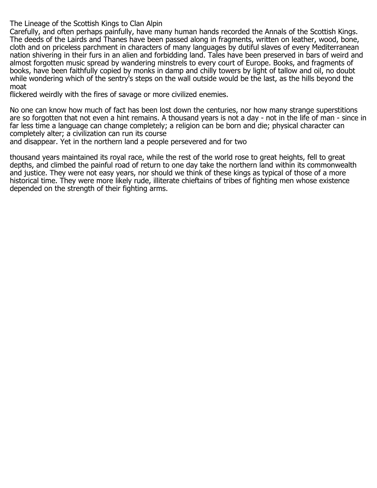The Lineage of the Scottish Kings to Clan Alpin

Carefully, and often perhaps painfully, have many human hands recorded the Annals of the Scottish Kings. The deeds of the Lairds and Thanes have been passed along in fragments, written on leather, wood, bone, cloth and on priceless parchment in characters of many languages by dutiful slaves of every Mediterranean nation shivering in their furs in an alien and forbidding land. Tales have been preserved in bars of weird and almost forgotten music spread by wandering minstrels to every court of Europe. Books, and fragments of books, have been faithfully copied by monks in damp and chilly towers by light of tallow and oil, no doubt while wondering which of the sentry's steps on the wall outside would be the last, as the hills beyond the moat

flickered weirdly with the fires of savage or more civilized enemies.

No one can know how much of fact has been lost down the centuries, nor how many strange superstitions are so forgotten that not even a hint remains. A thousand years is not a day - not in the life of man - since in far less time a language can change completely; a religion can be born and die; physical character can completely alter; a civilization can run its course

and disappear. Yet in the northern land a people persevered and for two

thousand years maintained its royal race, while the rest of the world rose to great heights, fell to great depths, and climbed the painful road of return to one day take the northern land within its commonwealth and justice. They were not easy years, nor should we think of these kings as typical of those of a more historical time. They were more likely rude, illiterate chieftains of tribes of fighting men whose existence depended on the strength of their fighting arms.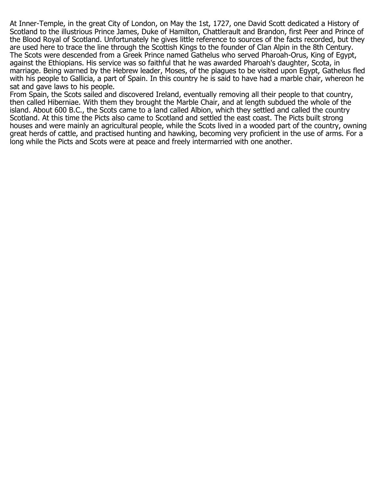At Inner-Temple, in the great City of London, on May the 1st, 1727, one David Scott dedicated a History of Scotland to the illustrious Prince James, Duke of Hamilton, Chattlerault and Brandon, first Peer and Prince of the Blood Royal of Scotland. Unfortunately he gives little reference to sources of the facts recorded, but they are used here to trace the line through the Scottish Kings to the founder of Clan Alpin in the 8th Century. The Scots were descended from a Greek Prince named Gathelus who served Pharoah-Orus, King of Egypt, against the Ethiopians. His service was so faithful that he was awarded Pharoah's daughter, Scota, in marriage. Being warned by the Hebrew leader, Moses, of the plagues to be visited upon Egypt, Gathelus fled with his people to Gallicia, a part of Spain. In this country he is said to have had a marble chair, whereon he sat and gave laws to his people.

From Spain, the Scots sailed and discovered Ireland, eventually removing all their people to that country, then called Hiberniae. With them they brought the Marble Chair, and at length subdued the whole of the island. About 600 B.C., the Scots came to a land called Albion, which they settled and called the country Scotland. At this time the Picts also came to Scotland and settled the east coast. The Picts built strong houses and were mainly an agricultural people, while the Scots lived in a wooded part of the country, owning great herds of cattle, and practised hunting and hawking, becoming very proficient in the use of arms. For a long while the Picts and Scots were at peace and freely intermarried with one another.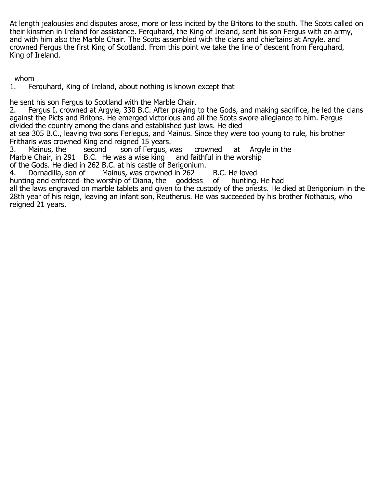At length jealousies and disputes arose, more or less incited by the Britons to the south. The Scots called on their kinsmen in Ireland for assistance. Ferquhard, the King of Ireland, sent his son Fergus with an army, and with him also the Marble Chair. The Scots assembled with the clans and chieftains at Argyle, and crowned Fergus the first King of Scotland. From this point we take the line of descent from Ferquhard, King of Ireland.

whom

1. Ferquhard, King of Ireland, about nothing is known except that

he sent his son Fergus to Scotland with the Marble Chair.

2. Fergus I, crowned at Argyle, 330 B.C. After praying to the Gods, and making sacrifice, he led the clans against the Picts and Britons. He emerged victorious and all the Scots swore allegiance to him. Fergus divided the country among the clans and established just laws. He died

at sea 305 B.C., leaving two sons Ferlegus, and Mainus. Since they were too young to rule, his brother Fritharis was crowned King and reigned 15 years.<br>3. Mainus, the second son of Fergus, v

3. Mainus, the second son of Fergus, was crowned at Argyle in the Marble Chair, in 291 B.C. He was a wise king and faithful in the worship Marble Chair, in 291 B.C. He was a wise king of the Gods. He died in 262 B.C. at his castle of Berigonium.<br>4. Dornadilla, son of Mainus, was crowned in 262

Mainus, was crowned in 262 B.C. He loved<br>vorship of Diana, the goddess of hunting. He had hunting and enforced the worship of Diana, the

all the laws engraved on marble tablets and given to the custody of the priests. He died at Berigonium in the 28th year of his reign, leaving an infant son, Reutherus. He was succeeded by his brother Nothatus, who reigned 21 years.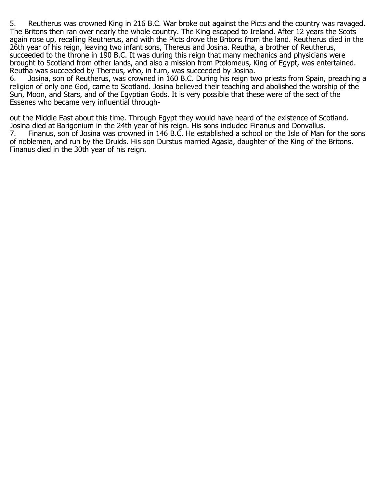5. Reutherus was crowned King in 216 B.C. War broke out against the Picts and the country was ravaged. The Britons then ran over nearly the whole country. The King escaped to Ireland. After 12 years the Scots again rose up, recalling Reutherus, and with the Picts drove the Britons from the land. Reutherus died in the 26th year of his reign, leaving two infant sons, Thereus and Josina. Reutha, a brother of Reutherus, succeeded to the throne in 190 B.C. It was during this reign that many mechanics and physicians were brought to Scotland from other lands, and also a mission from Ptolomeus, King of Egypt, was entertained. Reutha was succeeded by Thereus, who, in turn, was succeeded by Josina.

6. Josina, son of Reutherus, was crowned in 160 B.C. During his reign two priests from Spain, preaching a religion of only one God, came to Scotland. Josina believed their teaching and abolished the worship of the Sun, Moon, and Stars, and of the Egyptian Gods. It is very possible that these were of the sect of the Essenes who became very influential through-

out the Middle East about this time. Through Egypt they would have heard of the existence of Scotland. Josina died at Barigonium in the 24th year of his reign. His sons included Finanus and Donvallus.<br>7. Finanus, son of Josina was crowned in 146 B.C. He established a school on the Isle of Man Finanus, son of Josina was crowned in 146 B.C. He established a school on the Isle of Man for the sons of noblemen, and run by the Druids. His son Durstus married Agasia, daughter of the King of the Britons. Finanus died in the 30th year of his reign.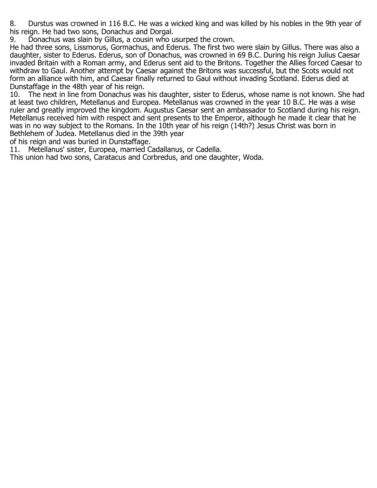8. Durstus was crowned in 116 B.C. He was a wicked king and was killed by his nobles in the 9th year of his reign. He had two sons, Donachus and Dorgal.

9. Donachus was slain by Gillus, a cousin who usurped the crown.

He had three sons, Lissmorus, Gormachus, and Ederus. The first two were slain by Gillus. There was also a daughter, sister to Ederus. Ederus, son of Donachus, was crowned in 69 B.C. During his reign Julius Caesar invaded Britain with a Roman army, and Ederus sent aid to the Britons. Together the Allies forced Caesar to withdraw to Gaul. Another attempt by Caesar against the Britons was successful, but the Scots would not form an alliance with him, and Caesar finally returned to Gaul without invading Scotland. Ederus died at Dunstaffage in the 48th year of his reign.

The next in line from Donachus was his daughter, sister to Ederus, whose name is not known. She had at least two children, Metellanus and Europea. Metellanus was crowned in the year 10 B.C. He was a wise ruler and greatly improved the kingdom. Augustus Caesar sent an ambassador to Scotland during his reign. Metellanus received him with respect and sent presents to the Emperor, although he made it clear that he was in no way subject to the Romans. In the 10th year of his reign (14th?) Jesus Christ was born in Bethlehem of Judea. Metellanus died in the 39th year

of his reign and was buried in Dunstaffage.

11. Metellanus' sister, Europea, married Cadallanus, or Cadella.

This union had two sons, Caratacus and Corbredus, and one daughter, Woda.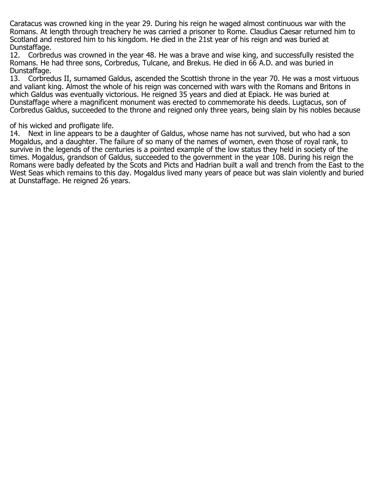Caratacus was crowned king in the year 29. During his reign he waged almost continuous war with the Romans. At length through treachery he was carried a prisoner to Rome. Claudius Caesar returned him to Scotland and restored him to his kingdom. He died in the 21st year of his reign and was buried at Dunstaffage.<br>12. Corbrec

12. Corbredus was crowned in the year 48. He was a brave and wise king, and successfully resisted the Romans. He had three sons, Corbredus, Tulcane, and Brekus. He died in 66 A.D. and was buried in Dunstaffage.<br>13. Corbred

13. Corbredus II, surnamed Galdus, ascended the Scottish throne in the year 70. He was a most virtuous and valiant king. Almost the whole of his reign was concerned with wars with the Romans and Britons in which Galdus was eventually victorious. He reigned 35 years and died at Epiack. He was buried at Dunstaffage where a magnificent monument was erected to commemorate his deeds. Lugtacus, son of Corbredus Galdus, succeeded to the throne and reigned only three years, being slain by his nobles because

## of his wicked and profligate life.<br>14. Next in line appears to be

Next in line appears to be a daughter of Galdus, whose name has not survived, but who had a son Mogaldus, and a daughter. The failure of so many of the names of women, even those of royal rank, to survive in the legends of the centuries is a pointed example of the low status they held in society of the times. Mogaldus, grandson of Galdus, succeeded to the government in the year 108. During his reign the Romans were badly defeated by the Scots and Picts and Hadrian built a wall and trench from the East to the West Seas which remains to this day. Mogaldus lived many years of peace but was slain violently and buried at Dunstaffage. He reigned 26 years.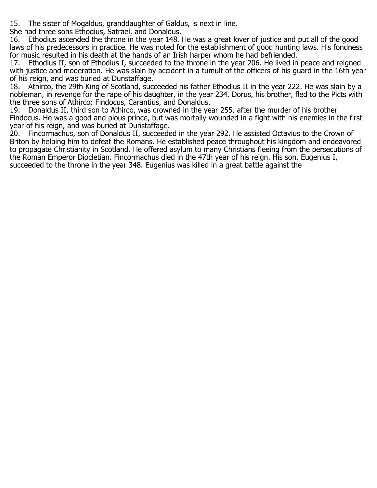15. The sister of Mogaldus, granddaughter of Galdus, is next in line.

She had three sons Ethodius, Satrael, and Donaldus.

16. Ethodius ascended the throne in the year 148. He was a great lover of justice and put all of the good laws of his predecessors in practice. He was noted for the establishment of good hunting laws. His fondness for music resulted in his death at the hands of an Irish harper whom he had befriended.

17. Ethodius II, son of Ethodius I, succeeded to the throne in the year 206. He lived in peace and reigned with justice and moderation. He was slain by accident in a tumult of the officers of his guard in the 16th year of his reign, and was buried at Dunstaffage.

18. Athirco, the 29th King of Scotland, succeeded his father Ethodius II in the year 222. He was slain by a nobleman, in revenge for the rape of his daughter, in the year 234. Dorus, his brother, fled to the Picts with the three sons of Athirco: Findocus, Carantius, and Donaldus.

19. Donaldus II, third son to Athirco, was crowned in the year 255, after the murder of his brother Findocus. He was a good and pious prince, but was mortally wounded in a fight with his enemies in the first year of his reign, and was buried at Dunstaffage.<br>20. Fincormachus, son of Donaldus II, succeede

20. Fincormachus, son of Donaldus II, succeeded in the year 292. He assisted Octavius to the Crown of Briton by helping him to defeat the Romans. He established peace throughout his kingdom and endeavored to propagate Christianity in Scotland. He offered asylum to many Christians fleeing from the persecutions of the Roman Emperor Diocletian. Fincormachus died in the 47th year of his reign. His son, Eugenius I, succeeded to the throne in the year 348. Eugenius was killed in a great battle against the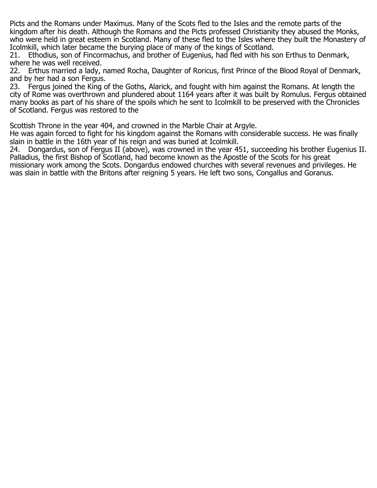Picts and the Romans under Maximus. Many of the Scots fled to the Isles and the remote parts of the kingdom after his death. Although the Romans and the Picts professed Christianity they abused the Monks, who were held in great esteem in Scotland. Many of these fled to the Isles where they built the Monastery of Icolmkill, which later became the burying place of many of the kings of Scotland.

21. Ethodius, son of Fincormachus, and brother of Eugenius, had fled with his son Erthus to Denmark, where he was well received.<br>22. Erthus married a ladv.

Erthus married a lady, named Rocha, Daughter of Roricus, first Prince of the Blood Royal of Denmark, and by her had a son Fergus.

23. Fergus joined the King of the Goths, Alarick, and fought with him against the Romans. At length the city of Rome was overthrown and plundered about 1164 years after it was built by Romulus. Fergus obtained many books as part of his share of the spoils which he sent to Icolmkill to be preserved with the Chronicles of Scotland. Fergus was restored to the

Scottish Throne in the year 404, and crowned in the Marble Chair at Argyle.

He was again forced to fight for his kingdom against the Romans with considerable success. He was finally slain in battle in the 16th year of his reign and was buried at Icolmkill.<br>24. Dongardus, son of Fergus II (above), was crowned in the vear 4!

24. Dongardus, son of Fergus II (above), was crowned in the year 451, succeeding his brother Eugenius II. Palladius, the first Bishop of Scotland, had become known as the Apostle of the Scots for his great missionary work among the Scots. Dongardus endowed churches with several revenues and privileges. He was slain in battle with the Britons after reigning 5 years. He left two sons, Congallus and Goranus.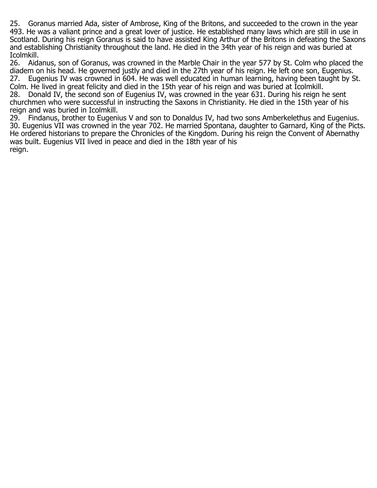25. Goranus married Ada, sister of Ambrose, King of the Britons, and succeeded to the crown in the year 493. He was a valiant prince and a great lover of justice. He established many laws which are still in use in Scotland. During his reign Goranus is said to have assisted King Arthur of the Britons in defeating the Saxons and establishing Christianity throughout the land. He died in the 34th year of his reign and was buried at Icolmkill.

26. Aidanus, son of Goranus, was crowned in the Marble Chair in the year 577 by St. Colm who placed the diadem on his head. He governed justly and died in the 27th year of his reign. He left one son, Eugenius. 27. Eugenius IV was crowned in 604. He was well educated in human learning, having been taught by St. Colm. He lived in great felicity and died in the 15th year of his reign and was buried at Icolmkill.<br>28. Donald IV, the second son of Eugenius IV, was crowned in the year 631. During his reign h Donald IV, the second son of Eugenius IV, was crowned in the year 631. During his reign he sent

churchmen who were successful in instructing the Saxons in Christianity. He died in the 15th year of his reign and was buried in Icolmkill.

29. Findanus, brother to Eugenius V and son to Donaldus IV, had two sons Amberkelethus and Eugenius. 30. Eugenius VII was crowned in the year 702. He married Spontana, daughter to Garnard, King of the Picts. He ordered historians to prepare the Chronicles of the Kingdom. During his reign the Convent of Abernathy was built. Eugenius VII lived in peace and died in the 18th year of his reign.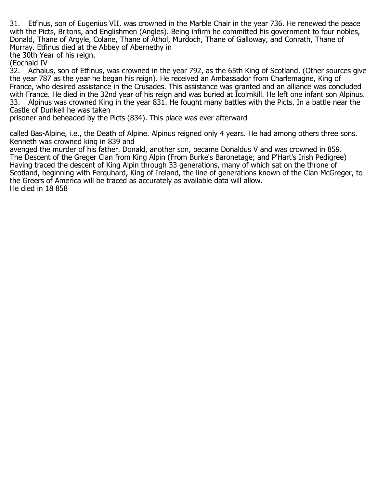31. Etfinus, son of Eugenius VII, was crowned in the Marble Chair in the year 736. He renewed the peace with the Picts, Britons, and Englishmen (Angles). Being infirm he committed his government to four nobles, Donald, Thane of Argyle, Colane, Thane of Athol, Murdoch, Thane of Galloway, and Conrath, Thane of Murray. Etfinus died at the Abbey of Abernethy in

the 30th Year of his reign.

(Eochaid IV<br>32. Achaiu

32. Achaius, son of Etfinus, was crowned in the year 792, as the 65th King of Scotland. (Other sources give the year 787 as the year he began his reign). He received an Ambassador from Charlemagne, King of France, who desired assistance in the Crusades. This assistance was granted and an alliance was concluded with France. He died in the 32nd year of his reign and was buried at Icolmkill. He left one infant son Alpinus.<br>33. Alpinus was crowned King in the year 831. He fought many battles with the Picts. In a battle near the 33. Alpinus was crowned King in the year 831. He fought many battles with the Picts. In a battle near the Castle of Dunkell he was taken

prisoner and beheaded by the Picts (834). This place was ever afterward

called Bas-Alpine, i.e., the Death of Alpine. Alpinus reigned only 4 years. He had among others three sons. Kenneth was crowned kinq in 839 and

avenged the murder of his father. Donald, another son, became Donaldus V and was crowned in 859. The Descent of the Greger Clan from King Alpin (From Burke's Baronetage; and P'Hart's Irish Pedigree) Having traced the descent of King Alpin through 33 generations, many of which sat on the throne of Scotland, beginning with Ferquhard, King of Ireland, the line of generations known of the Clan McGreger, to the Greers of America will be traced as accurately as available data will allow. He died in 18 858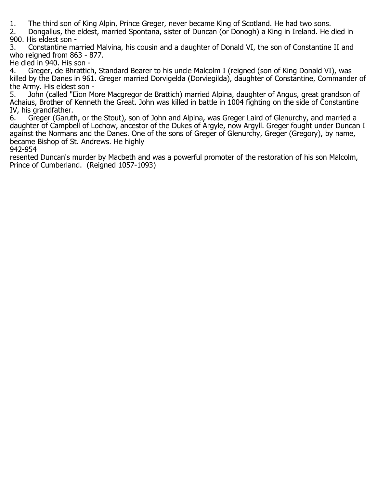1. The third son of King Alpin, Prince Greger, never became King of Scotland. He had two sons.<br>2. Dongallus, the eldest, married Spontana, sister of Duncan (or Donogh) a King in Ireland. He o 2. Dongallus, the eldest, married Spontana, sister of Duncan (or Donogh) a King in Ireland. He died in 900. His eldest son -<br>3. Constantine ma

3. Constantine married Malvina, his cousin and a daughter of Donald VI, the son of Constantine II and who reigned from 863 - 877.

He died in 940. His son -<br>4. Greger, de Bhratticl

4. Greger, de Bhrattich, Standard Bearer to his uncle Malcolm I (reigned (son of King Donald VI), was killed by the Danes in 961. Greger married Dorvigelda (Dorviegilda), daughter of Constantine, Commander of

the Army. His eldest son -<br>5. John (called "Eion M John (called "Eion More Macgregor de Brattich) married Alpina, daughter of Angus, great grandson of Achaius, Brother of Kenneth the Great. John was killed in battle in 1004 fighting on the side of Constantine IV, his grandfather.<br>6. Greger (Garutl

6. Greger (Garuth, or the Stout), son of John and Alpina, was Greger Laird of Glenurchy, and married a daughter of Campbell of Lochow, ancestor of the Dukes of Argyle, now Argyll. Greger fought under Duncan I against the Normans and the Danes. One of the sons of Greger of Glenurchy, Greger (Gregory), by name, became Bishop of St. Andrews. He highly

942-954

resented Duncan's murder by Macbeth and was a powerful promoter of the restoration of his son Malcolm, Prince of Cumberland. (Reigned 1057-1093)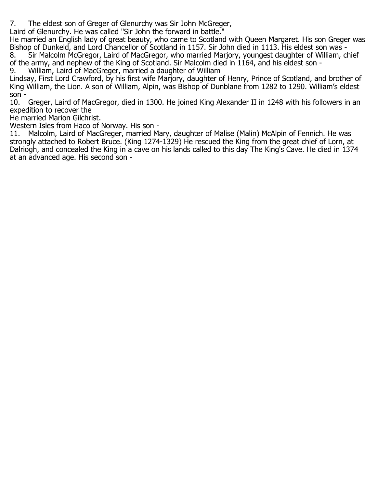7. The eldest son of Greger of Glenurchy was Sir John McGreger,

Laird of Glenurchy. He was called "Sir John the forward in battle."

He married an English lady of great beauty, who came to Scotland with Queen Margaret. His son Greger was Bishop of Dunkeld, and Lord Chancellor of Scotland in 1157. Sir John died in 1113. His eldest son was - 8. Sir Malcolm McGregor, Laird of MacGregor, who married Marjory, youngest daughter of William, chief of the army, and nephew of the King of Scotland. Sir Malcolm died in 1164, and his eldest son -<br>9. William, Laird of MacGreger, married a daughter of William

William, Laird of MacGreger, married a daughter of William

Lindsay, First Lord Crawford, by his first wife Marjory, daughter of Henry, Prince of Scotland, and brother of King William, the Lion. A son of William, Alpin, was Bishop of Dunblane from 1282 to 1290. William's eldest

son -  $10.$ Greger, Laird of MacGregor, died in 1300. He joined King Alexander II in 1248 with his followers in an expedition to recover the

He married Marion Gilchrist.

Western Isles from Haco of Norway. His son -

11. Malcolm, Laird of MacGreger, married Mary, daughter of Malise (Malin) McAlpin of Fennich. He was strongly attached to Robert Bruce. (King 1274-1329) He rescued the King from the great chief of Lorn, at Dalriogh, and concealed the King in a cave on his lands called to this day The King's Cave. He died in 1374 at an advanced age. His second son -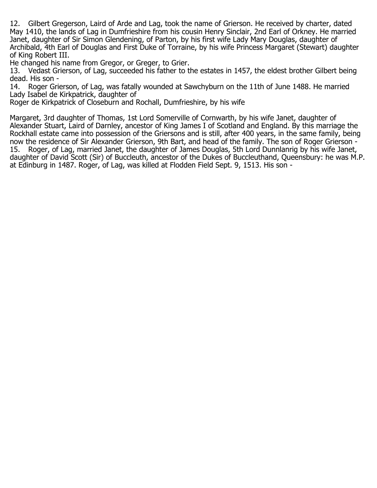12. Gilbert Gregerson, Laird of Arde and Lag, took the name of Grierson. He received by charter, dated May 1410, the lands of Lag in Dumfrieshire from his cousin Henry Sinclair, 2nd Earl of Orkney. He married Janet, daughter of Sir Simon Glendening, of Parton, by his first wife Lady Mary Douglas, daughter of Archibald, 4th Earl of Douglas and First Duke of Torraine, by his wife Princess Margaret (Stewart) daughter of King Robert III.

He changed his name from Gregor, or Greger, to Grier.<br>13. Vedast Grierson, of Lag, succeeded his father to t

13. Vedast Grierson, of Lag, succeeded his father to the estates in 1457, the eldest brother Gilbert being dead. His son -<br>14. Roger Gri

Roger Grierson, of Lag, was fatally wounded at Sawchyburn on the 11th of June 1488. He married Lady Isabel de Kirkpatrick, daughter of

Roger de Kirkpatrick of Closeburn and Rochall, Dumfrieshire, by his wife

Margaret, 3rd daughter of Thomas, 1st Lord Somerville of Cornwarth, by his wife Janet, daughter of Alexander Stuart, Laird of Darnley, ancestor of King James I of Scotland and England. By this marriage the Rockhall estate came into possession of the Griersons and is still, after 400 years, in the same family, being now the residence of Sir Alexander Grierson, 9th Bart, and head of the family. The son of Roger Grierson -<br>15. Roger, of Lag, married Janet, the daughter of James Douglas, 5th Lord Dunnlanrig by his wife Janet, 15. Roger, of Lag, married Janet, the daughter of James Douglas, 5th Lord Dunnlanrig by his wife Janet, daughter of David Scott (Sir) of Buccleuth, ancestor of the Dukes of Buccleuthand, Queensbury: he was M.P. at Edinburg in 1487. Roger, of Lag, was killed at Flodden Field Sept. 9, 1513. His son -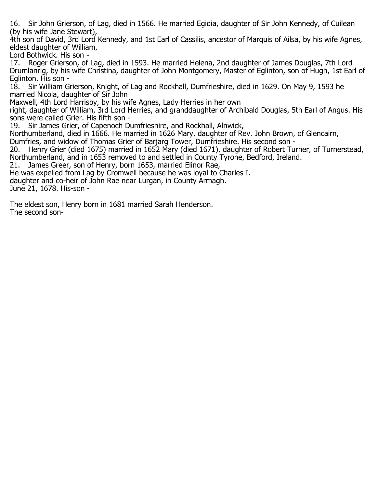16. Sir John Grierson, of Lag, died in 1566. He married Egidia, daughter of Sir John Kennedy, of Cuilean (by his wife Jane Stewart),

4th son of David, 3rd Lord Kennedy, and 1st Earl of Cassilis, ancestor of Marquis of Ailsa, by his wife Agnes, eldest daughter of William,

Lord Bothwick. His son -

17. Roger Grierson, of Lag, died in 1593. He married Helena, 2nd daughter of James Douglas, 7th Lord Drumlanrig, by his wife Christina, daughter of John Montgomery, Master of Eglinton, son of Hugh, 1st Earl of Eglinton. His son -

18. Sir William Grierson, Knight, of Lag and Rockhall, Dumfrieshire, died in 1629. On May 9, 1593 he married Nicola, daughter of Sir John

Maxwell, 4th Lord Harrisby, by his wife Agnes, Lady Herries in her own

right, daughter of William, 3rd Lord Herries, and granddaughter of Archibald Douglas, 5th Earl of Angus. His sons were called Grier. His fifth son -<br>19. Sir James Grier, of Capenoch Di

Sir James Grier, of Capenoch Dumfrieshire, and Rockhall, Alnwick,

Northumberland, died in 1666. He married in 1626 Mary, daughter of Rev. John Brown, of Glencairn,

Dumfries, and widow of Thomas Grier of Barjarg Tower, Dumfrieshire. His second son -<br>20. Henry Grier (died 1675) married in 1652 Mary (died 1671), daughter of Robert Tu

20. Henry Grier (died 1675) married in 1652 Mary (died 1671), daughter of Robert Turner, of Turnerstead, Northumberland, and in 1653 removed to and settled in County Tyrone, Bedford, Ireland.

21. James Greer, son of Henry, born 1653, married Elinor Rae,

He was expelled from Lag by Cromwell because he was loyal to Charles I.

daughter and co-heir of John Rae near Lurgan, in County Armagh.

June 21, 1678. His-son -

The eldest son, Henry born in 1681 married Sarah Henderson. The second son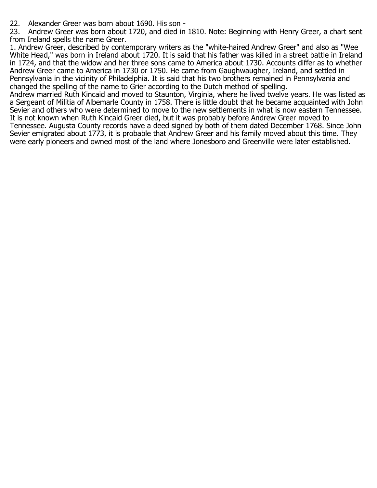22. Alexander Greer was born about 1690. His son -<br>23. Andrew Greer was born about 1720, and died in

23. Andrew Greer was born about 1720, and died in 1810. Note: Beginning with Henry Greer, a chart sent from Ireland spells the name Greer.

1. Andrew Greer, described by contemporary writers as the "white-haired Andrew Greer" and also as "Wee White Head," was born in Ireland about 1720. It is said that his father was killed in a street battle in Ireland in 1724, and that the widow and her three sons came to America about 1730. Accounts differ as to whether Andrew Greer came to America in 1730 or 1750. He came from Gaughwaugher, Ireland, and settled in Pennsylvania in the vicinity of Philadelphia. It is said that his two brothers remained in Pennsylvania and changed the spelling of the name to Grier according to the Dutch method of spelling.

Andrew married Ruth Kincaid and moved to Staunton, Virginia, where he lived twelve years. He was listed as a Sergeant of Militia of Albemarle County in 1758. There is little doubt that he became acquainted with John Sevier and others who were determined to move to the new settlements in what is now eastern Tennessee. It is not known when Ruth Kincaid Greer died, but it was probably before Andrew Greer moved to Tennessee. Augusta County records have a deed signed by both of them dated December 1768. Since John Sevier emigrated about 1773, it is probable that Andrew Greer and his family moved about this time. They were early pioneers and owned most of the land where Jonesboro and Greenville were later established.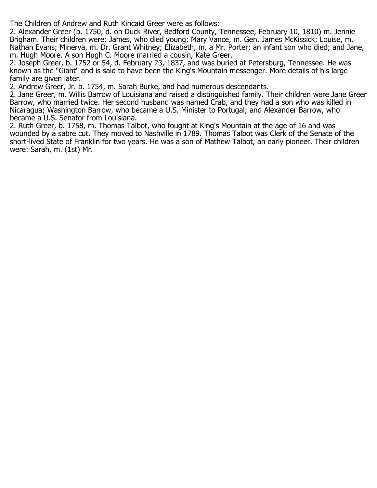The Children of Andrew and Ruth Kincaid Greer were as follows:

2. Alexander Greer (b. 1750, d. on Duck River, Bedford County, Tennessee, February 10, 1810) m. Jennie Brigham. Their children were: James, who died young; Mary Vance, m. Gen. James McKissick; Louise, m. Nathan Evans; Minerva, m. Dr. Grant Whitney; Elizabeth, m. a Mr. Porter; an infant son who died; and Jane, m. Hugh Moore. A son Hugh C. Moore married a cousin, Kate Greer.

2. Joseph Greer, b. 1752 or 54, d. February 23, 1837, and was buried at Petersburg, Tennessee. He was known as the "Giant" and is said to have been the King's Mountain messenger. More details of his large family are given later.

2. Andrew Greer, Jr. b. 1754, m. Sarah Burke, and had numerous descendants.

2. Jane Greer, m. Willis Barrow of Louisiana and raised a distinguished family. Their children were Jane Greer Barrow, who married twice. Her second husband was named Crab, and they had a son who was killed in Nicaragua; Washington Barrow, who became a U.S. Minister to Portugal; and Alexander Barrow, who became a U.S. Senator from Louisiana.

2. Ruth Greer, b. 1758, m. Thomas Talbot, who fought at King's Mountain at the age of 16 and was wounded by a sabre cut. They moved to Nashville in 1789. Thomas Talbot was Clerk of the Senate of the short-lived State of Franklin for two years. He was a son of Mathew Talbot, an early pioneer. Their children were: Sarah, m. (1st) Mr.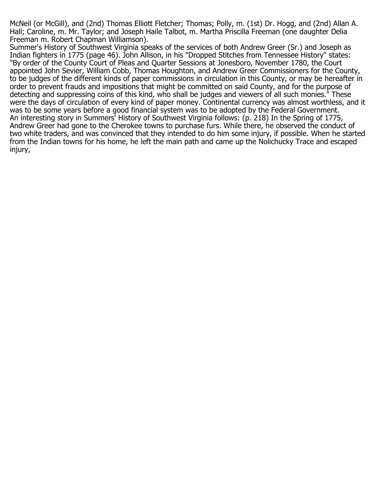McNeil (or McGill), and (2nd) Thomas Elliott Fletcher; Thomas; Polly, m. (1st) Dr. Hogg, and (2nd) Allan A. Hall; Caroline, m. Mr. Taylor; and Joseph Haile Talbot, m. Martha Priscilla Freeman (one daughter Delia Freeman m. Robert Chapman Williamson).

Summer's History of Southwest Virginia speaks of the services of both Andrew Greer (Sr.) and Joseph as Indian fighters in 1775 (page 46). John Allison, in his "Dropped Stitches from Tennessee History" states: "By order of the County Court of Pleas and Quarter Sessions at Jonesboro, November 1780, the Court appointed John Sevier, William Cobb, Thomas Houghton, and Andrew Greer Commissioners for the County, to be judges of the different kinds of paper commissions in circulation in this County, or may be hereafter in order to prevent frauds and impositions that might be committed on said County, and for the purpose of detecting and suppressing coins of this kind, who shall be judges and viewers of all such monies." These were the days of circulation of every kind of paper money. Continental currency was almost worthless, and it was to be some years before a good financial system was to be adopted by the Federal Government. An interesting story in Summers' History of Southwest Virginia follows: (p. 218) In the Spring of 1775, Andrew Greer had gone to the Cherokee towns to purchase furs. While there, he observed the conduct of two white traders, and was convinced that they intended to do him some injury, if possible. When he started from the Indian towns for his home, he left the main path and came up the Nolichucky Trace and escaped injury,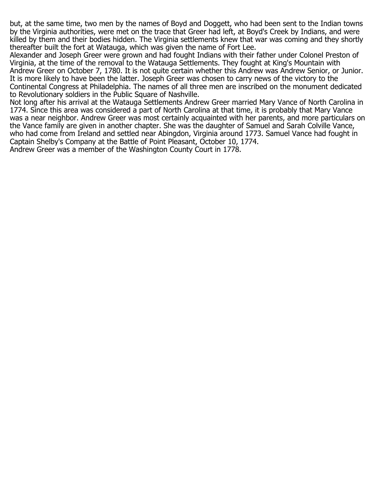but, at the same time, two men by the names of Boyd and Doggett, who had been sent to the Indian towns by the Virginia authorities, were met on the trace that Greer had left, at Boyd's Creek by Indians, and were killed by them and their bodies hidden. The Virginia settlements knew that war was coming and they shortly thereafter built the fort at Watauga, which was given the name of Fort Lee.

Alexander and Joseph Greer were grown and had fought Indians with their father under Colonel Preston of Virginia, at the time of the removal to the Watauga Settlements. They fought at King's Mountain with Andrew Greer on October 7, 1780. It is not quite certain whether this Andrew was Andrew Senior, or Junior. It is more likely to have been the latter. Joseph Greer was chosen to carry news of the victory to the Continental Congress at Philadelphia. The names of all three men are inscribed on the monument dedicated to Revolutionary soldiers in the Public Square of Nashville.

Not long after his arrival at the Watauga Settlements Andrew Greer married Mary Vance of North Carolina in 1774. Since this area was considered a part of North Carolina at that time, it is probably that Mary Vance was a near neighbor. Andrew Greer was most certainly acquainted with her parents, and more particulars on the Vance family are given in another chapter. She was the daughter of Samuel and Sarah Colville Vance, who had come from Ireland and settled near Abingdon, Virginia around 1773. Samuel Vance had fought in Captain Shelby's Company at the Battle of Point Pleasant, October 10, 1774. Andrew Greer was a member of the Washington County Court in 1778.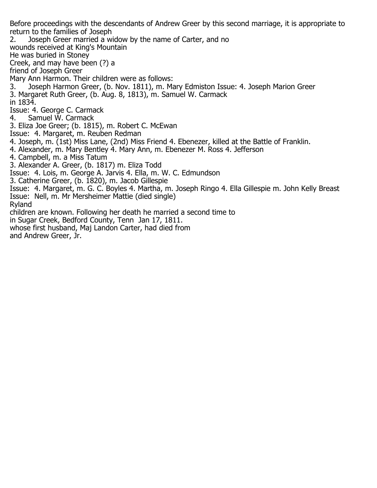Before proceedings with the descendants of Andrew Greer by this second marriage, it is appropriate to return to the families of Joseph

2. Joseph Greer married a widow by the name of Carter, and no

wounds received at King's Mountain

He was buried in Stoney

Creek, and may have been (?) a

friend of Joseph Greer

Mary Ann Harmon. Their children were as follows:

3. Joseph Harmon Greer, (b. Nov. 1811), m. Mary Edmiston Issue: 4. Joseph Marion Greer 3. Margaret Ruth Greer, (b. Aug. 8, 1813), m. Samuel W. Carmack

in 1834.

Issue: 4. George C. Carmack<br>4. Samuel W. Carmack

Samuel W. Carmack

3. Eliza Joe Greer; (b. 1815), m. Robert C. McEwan

Issue: 4. Margaret, m. Reuben Redman

4. Joseph, m. (1st) Miss Lane, (2nd) Miss Friend 4. Ebenezer, killed at the Battle of Franklin.

4. Alexander, m. Mary Bentley 4. Mary Ann, m. Ebenezer M. Ross 4. Jefferson

4. Campbell, m. a Miss Tatum

3. Alexander A. Greer, (b. 1817) m. Eliza Todd

Issue: 4. Lois, m. George A. Jarvis 4. Ella, m. W. C. Edmundson

3. Catherine Greer, (b. 1820), m. Jacob Gillespie

Issue: 4. Margaret, m. G. C. Boyles 4. Martha, m. Joseph Ringo 4. Ella Gillespie m. John Kelly Breast Issue: Nell, m. Mr Mersheimer Mattie (died single)

Ryland

children are known. Following her death he married a second time to

in Sugar Creek, Bedford County, Tenn Jan 17, 1811.

whose first husband, Maj Landon Carter, had died from and Andrew Greer, Jr.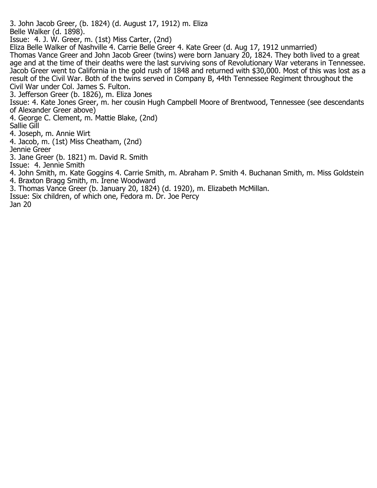3. John Jacob Greer, (b. 1824) (d. August 17, 1912) m. Eliza Belle Walker (d. 1898).

Issue: 4. J. W. Greer, m. (1st) Miss Carter, (2nd)

Eliza Belle Walker of Nashville 4. Carrie Belle Greer 4. Kate Greer (d. Aug 17, 1912 unmarried)

Thomas Vance Greer and John Jacob Greer (twins) were born January 20, 1824. They both lived to a great age and at the time of their deaths were the last surviving sons of Revolutionary War veterans in Tennessee. Jacob Greer went to California in the gold rush of 1848 and returned with \$30,000. Most of this was lost as a result of the Civil War. Both of the twins served in Company B, 44th Tennessee Regiment throughout the Civil War under Col. James S. Fulton.

3. Jefferson Greer (b. 1826), m. Eliza Jones

Issue: 4. Kate Jones Greer, m. her cousin Hugh Campbell Moore of Brentwood, Tennessee (see descendants of Alexander Greer above)

4. George C. Clement, m. Mattie Blake, (2nd)

Sallie Gill

4. Joseph, m. Annie Wirt

4. Jacob, m. (1st) Miss Cheatham, (2nd)

Jennie Greer

3. Jane Greer (b. 1821) m. David R. Smith

Issue: 4. Jennie Smith

4. John Smith, m. Kate Goggins 4. Carrie Smith, m. Abraham P. Smith 4. Buchanan Smith, m. Miss Goldstein 4. Braxton Bragg Smith, m. Irene Woodward

3. Thomas Vance Greer (b. January 20, 1824) (d. 1920), m. Elizabeth McMillan.

Issue: Six children, of which one, Fedora m. Dr. Joe Percy

Jan 20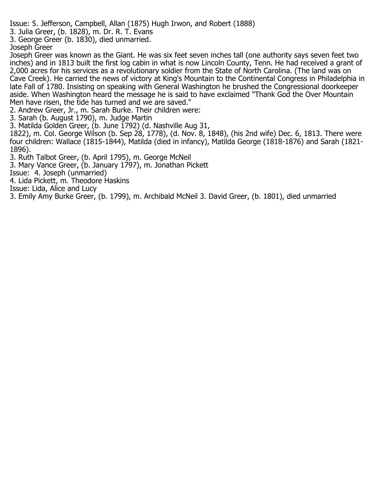Issue: 5. Jefferson, Campbell, Allan (1875) Hugh Irwon, and Robert (1888)

3. Julia Greer, (b. 1828), m. Dr. R. T. Evans

3. George Greer (b. 1830), died unmarried.

Joseph Greer

Joseph Greer was known as the Giant. He was six feet seven inches tall (one authority says seven feet two inches) and in 1813 built the first log cabin in what is now Lincoln County, Tenn. He had received a grant of 2,000 acres for his services as a revolutionary soldier from the State of North Carolina. (The land was on Cave Creek). He carried the news of victory at King's Mountain to the Continental Congress in Philadelphia in late Fall of 1780. Insisting on speaking with General Washington he brushed the Congressional doorkeeper aside. When Washington heard the message he is said to have exclaimed "Thank God the Over Mountain Men have risen, the tide has turned and we are saved."

2. Andrew Greer, Jr., m. Sarah Burke. Their children were:

3. Sarah (b. August 1790), m. Judge Martin

3. Matilda Golden Greer, (b. June 1792) (d. Nashville Aug 31,

1822), m. Col. George Wilson (b. Sep 28, 1778), (d. Nov. 8, 1848), (his 2nd wife) Dec. 6, 1813. There were four children: Wallace (1815-1844), Matilda (died in infancy), Matilda George (1818-1876) and Sarah (1821- 1896).

3. Ruth Talbot Greer, (b. April 1795), m. George McNeil

3. Mary Vance Greer, (b. January 1797), m. Jonathan Pickett

Issue: 4. Joseph (unmarried)

4. Lida Pickett, m. Theodore Haskins

Issue: Lida, Alice and Lucy

3. Emily Amy Burke Greer, (b. 1799), m. Archibald McNeil 3. David Greer, (b. 1801), died unmarried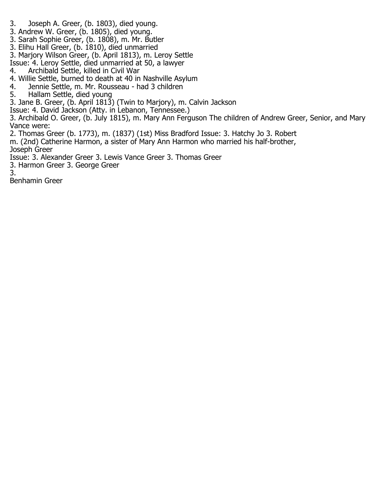- 3. Joseph A. Greer, (b. 1803), died young.
- 3. Andrew W. Greer, (b. 1805), died young.
- 3. Sarah Sophie Greer, (b. 1808), m. Mr. Butler
- 3. Elihu Hall Greer, (b. 1810), died unmarried
- 3. Marjory Wilson Greer, (b. April 1813), m. Leroy Settle
- Issue: 4. Leroy Settle, died unmarried at 50, a lawyer
- 4. Archibald Settle, killed in Civil War
- 4. Willie Settle, burned to death at 40 in Nashville Asylum
- 4. Jennie Settle, m. Mr. Rousseau had 3 children
- 5. Hallam Settle, died young
- 3. Jane B. Greer, (b. April 1813) (Twin to Marjory), m. Calvin Jackson
- Issue: 4. David Jackson (Atty. in Lebanon, Tennessee.)
- 3. Archibald O. Greer, (b. July 1815), m. Mary Ann Ferguson The children of Andrew Greer, Senior, and Mary Vance were:
- 2. Thomas Greer (b. 1773), m. (1837) (1st) Miss Bradford Issue: 3. Hatchy Jo 3. Robert
- m. (2nd) Catherine Harmon, a sister of Mary Ann Harmon who married his half-brother, Joseph Greer
- Issue: 3. Alexander Greer 3. Lewis Vance Greer 3. Thomas Greer
- 3. Harmon Greer 3. George Greer

3.

Benhamin Greer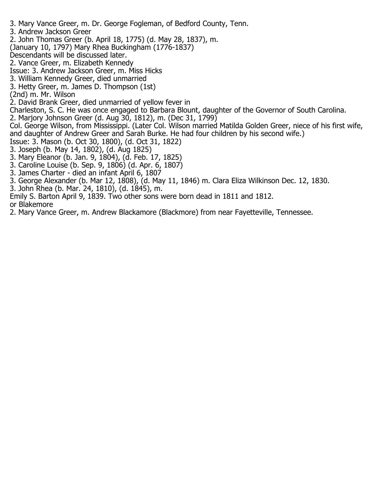- 3. Mary Vance Greer, m. Dr. George Fogleman, of Bedford County, Tenn.
- 3. Andrew Jackson Greer
- 2. John Thomas Greer (b. April 18, 1775) (d. May 28, 1837), m.
- (January 10, 1797) Mary Rhea Buckingham (1776-1837)
- Descendants will be discussed later.
- 2. Vance Greer, m. Elizabeth Kennedy
- Issue: 3. Andrew Jackson Greer, m. Miss Hicks
- 3. William Kennedy Greer, died unmarried
- 3. Hetty Greer, m. James D. Thompson (1st)
- (2nd) m. Mr. Wilson
- 2. David Brank Greer, died unmarried of yellow fever in
- Charleston, S. C. He was once engaged to Barbara Blount, daughter of the Governor of South Carolina.
- 2. Marjory Johnson Greer (d. Aug 30, 1812), m. (Dec 31, 1799)
- Col. George Wilson, from Mississippi. (Later Col. Wilson married Matilda Golden Greer, niece of his first wife, and daughter of Andrew Greer and Sarah Burke. He had four children by his second wife.)
- Issue: 3. Mason (b. Oct 30, 1800), (d. Oct 31, 1822)
- 3. Joseph (b. May 14, 1802), (d. Aug 1825)
- 3. Mary Eleanor (b. Jan. 9, 1804), (d. Feb. 17, 1825)
- 3. Caroline Louise (b. Sep. 9, 1806) (d. Apr. 6, 1807)
- 3. James Charter died an infant April 6, 1807
- 3. George Alexander (b. Mar 12, 1808), (d. May 11, 1846) m. Clara Eliza Wilkinson Dec. 12, 1830.
- 3. John Rhea (b. Mar. 24, 1810), (d. 1845), m.
- Emily S. Barton April 9, 1839. Two other sons were born dead in 1811 and 1812.
- or Blakemore
- 2. Mary Vance Greer, m. Andrew Blackamore (Blackmore) from near Fayetteville, Tennessee.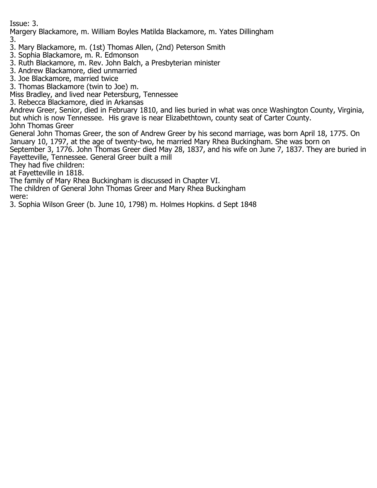Issue: 3.

Margery Blackamore, m. William Boyles Matilda Blackamore, m. Yates Dillingham 3.

3. Mary Blackamore, m. (1st) Thomas Allen, (2nd) Peterson Smith

3. Sophia Blackamore, m. R. Edmonson

3. Ruth Blackamore, m. Rev. John Balch, a Presbyterian minister

3. Andrew Blackamore, died unmarried

3. Joe Blackamore, married twice

3. Thomas Blackamore (twin to Joe) m.

Miss Bradley, and lived near Petersburg, Tennessee

3. Rebecca Blackamore, died in Arkansas

Andrew Greer, Senior, died in February 1810, and lies buried in what was once Washington County, Virginia, but which is now Tennessee. His grave is near Elizabethtown, county seat of Carter County.

John Thomas Greer

General John Thomas Greer, the son of Andrew Greer by his second marriage, was born April 18, 1775. On January 10, 1797, at the age of twenty-two, he married Mary Rhea Buckingham. She was born on

September 3, 1776. John Thomas Greer died May 28, 1837, and his wife on June 7, 1837. They are buried in Fayetteville, Tennessee. General Greer built a mill

They had five children:

at Fayetteville in 1818.

The family of Mary Rhea Buckingham is discussed in Chapter VI.

The children of General John Thomas Greer and Mary Rhea Buckingham were:

3. Sophia Wilson Greer (b. June 10, 1798) m. Holmes Hopkins. d Sept 1848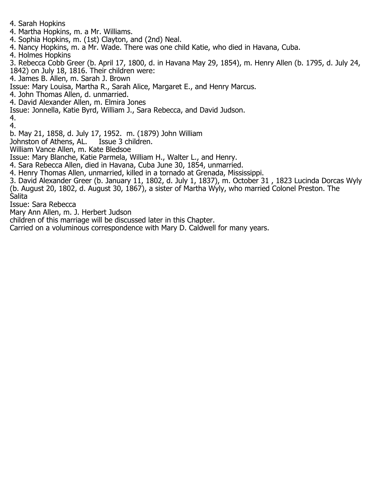- 4. Sarah Hopkins
- 4. Martha Hopkins, m. a Mr. Williams.
- 4. Sophia Hopkins, m. (1st) Clayton, and (2nd) Neal.
- 4. Nancy Hopkins, m. a Mr. Wade. There was one child Katie, who died in Havana, Cuba.
- 4. Holmes Hopkins
- 3. Rebecca Cobb Greer (b. April 17, 1800, d. in Havana May 29, 1854), m. Henry Allen (b. 1795, d. July 24,
- 1842) on July 18, 1816. Their children were:
- 4. James B. Allen, m. Sarah J. Brown
- Issue: Mary Louisa, Martha R., Sarah Alice, Margaret E., and Henry Marcus.
- 4. John Thomas Allen, d. unmarried.
- 4. David Alexander Allen, m. Elmira Jones
- Issue: Jonnella, Katie Byrd, William J., Sara Rebecca, and David Judson.
- 4.
- 4.
- b. May 21, 1858, d. July 17, 1952. m. (1879) John William
- Johnston of Athens, AL.
- William Vance Allen, m. Kate Bledsoe
- Issue: Mary Blanche, Katie Parmela, William H., Walter L., and Henry.
- 4. Sara Rebecca Allen, died in Havana, Cuba June 30, 1854, unmarried.
- 4. Henry Thomas Allen, unmarried, killed in a tornado at Grenada, Mississippi.
- 3. David Alexander Greer (b. January 11, 1802, d. July 1, 1837), m. October 31 , 1823 Lucinda Dorcas Wyly (b. August 20, 1802, d. August 30, 1867), a sister of Martha Wyly, who married Colonel Preston. The Salita
- Issue: Sara Rebecca
- Mary Ann Allen, m. J. Herbert Judson
- children of this marriage will be discussed later in this Chapter.
- Carried on a voluminous correspondence with Mary D. Caldwell for many years.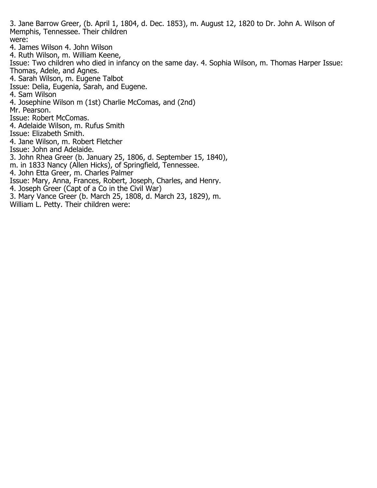3. Jane Barrow Greer, (b. April 1, 1804, d. Dec. 1853), m. August 12, 1820 to Dr. John A. Wilson of Memphis, Tennessee. Their children were: 4. James Wilson 4. John Wilson 4. Ruth Wilson, m. William Keene, Issue: Two children who died in infancy on the same day. 4. Sophia Wilson, m. Thomas Harper Issue: Thomas, Adele, and Agnes. 4. Sarah Wilson, m. Eugene Talbot Issue: Delia, Eugenia, Sarah, and Eugene. 4. Sam Wilson 4. Josephine Wilson m (1st) Charlie McComas, and (2nd) Mr. Pearson. Issue: Robert McComas. 4. Adelaide Wilson, m. Rufus Smith Issue: Elizabeth Smith. 4. Jane Wilson, m. Robert Fletcher Issue: John and Adelaide. 3. John Rhea Greer (b. January 25, 1806, d. September 15, 1840), m. in 1833 Nancy (Allen Hicks), of Springfield, Tennessee. 4. John Etta Greer, m. Charles Palmer Issue: Mary, Anna, Frances, Robert, Joseph, Charles, and Henry. 4. Joseph Greer (Capt of a Co in the Civil War) 3. Mary Vance Greer (b. March 25, 1808, d. March 23, 1829), m.

William L. Petty. Their children were: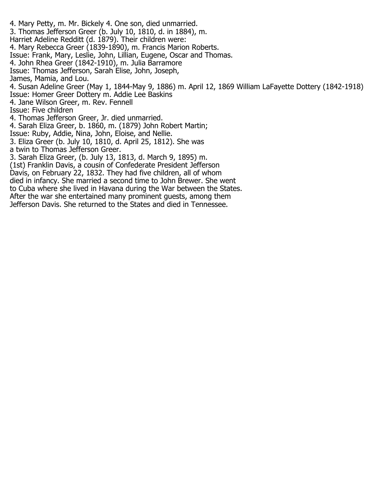- 4. Mary Petty, m. Mr. Bickely 4. One son, died unmarried. 3. Thomas Jefferson Greer (b. July 10, 1810, d. in 1884), m. Harriet Adeline Redditt (d. 1879). Their children were: 4. Mary Rebecca Greer (1839-1890), m. Francis Marion Roberts. Issue: Frank, Mary, Leslie, John, Lillian, Eugene, Oscar and Thomas. 4. John Rhea Greer (1842-1910), m. Julia Barramore Issue: Thomas Jefferson, Sarah Elise, John, Joseph, James, Mamia, and Lou. 4. Susan Adeline Greer (May 1, 1844-May 9, 1886) m. April 12, 1869 William LaFayette Dottery (1842-1918) Issue: Homer Greer Dottery m. Addie Lee Baskins 4. Jane Wilson Greer, m. Rev. Fennell Issue: Five children 4. Thomas Jefferson Greer, Jr. died unmarried. 4. Sarah Eliza Greer, b. 1860, m. (1879) John Robert Martin; Issue: Ruby, Addie, Nina, John, Eloise, and Nellie. 3. Eliza Greer (b. July 10, 1810, d. April 25, 1812). She was a twin to Thomas Jefferson Greer. 3. Sarah Eliza Greer, (b. July 13, 1813, d. March 9, 1895) m. (1st) Franklin Davis, a cousin of Confederate President Jefferson Davis, on February 22, 1832. They had five children, all of whom died in infancy. She married a second time to John Brewer. She went to Cuba where she lived in Havana during the War between the States. After the war she entertained many prominent guests, among them
- Jefferson Davis. She returned to the States and died in Tennessee.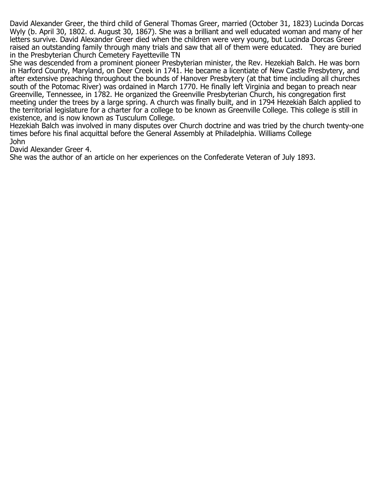David Alexander Greer, the third child of General Thomas Greer, married (October 31, 1823) Lucinda Dorcas Wyly (b. April 30, 1802. d. August 30, 1867). She was a brilliant and well educated woman and many of her letters survive. David Alexander Greer died when the children were very young, but Lucinda Dorcas Greer raised an outstanding family through many trials and saw that all of them were educated. They are buried in the Presbyterian Church Cemetery Fayetteville TN

She was descended from a prominent pioneer Presbyterian minister, the Rev. Hezekiah Balch. He was born in Harford County, Maryland, on Deer Creek in 1741. He became a licentiate of New Castle Presbytery, and after extensive preaching throughout the bounds of Hanover Presbytery (at that time including all churches south of the Potomac River) was ordained in March 1770. He finally left Virginia and began to preach near Greenville, Tennessee, in 1782. He organized the Greenville Presbyterian Church, his congregation first meeting under the trees by a large spring. A church was finally built, and in 1794 Hezekiah Balch applied to the territorial legislature for a charter for a college to be known as Greenville College. This college is still in existence, and is now known as Tusculum College.

Hezekiah Balch was involved in many disputes over Church doctrine and was tried by the church twenty-one times before his final acquittal before the General Assembly at Philadelphia. Williams College John

David Alexander Greer 4.

She was the author of an article on her experiences on the Confederate Veteran of July 1893.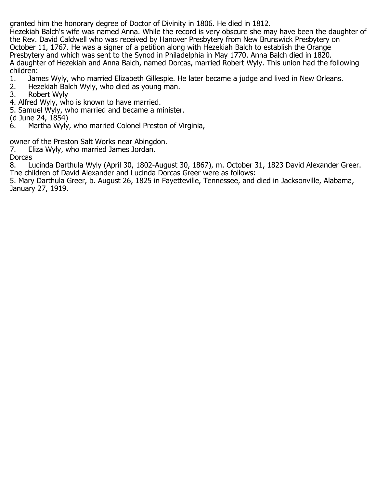granted him the honorary degree of Doctor of Divinity in 1806. He died in 1812.

Hezekiah Balch's wife was named Anna. While the record is very obscure she may have been the daughter of the Rev. David Caldwell who was received by Hanover Presbytery from New Brunswick Presbytery on October 11, 1767. He was a signer of a petition along with Hezekiah Balch to establish the Orange Presbytery and which was sent to the Synod in Philadelphia in May 1770. Anna Balch died in 1820. A daughter of Hezekiah and Anna Balch, named Dorcas, married Robert Wyly. This union had the following children:<br>1. Jan

- 1. James Wyly, who married Elizabeth Gillespie. He later became a judge and lived in New Orleans.<br>2. Hezekiah Balch Wyly, who died as young man.
- 2. Hezekiah Balch Wyly, who died as young man.<br>3. Robert Wyly
- 3. Robert Wyly
- 4. Alfred Wyly, who is known to have married.
- 5. Samuel Wyly, who married and became a minister.
- (d June 24, 1854)
- Martha Wyly, who married Colonel Preston of Virginia,

owner of the Preston Salt Works near Abingdon.<br>7. Eliza Wyly, who married James Jordan.

- Eliza Wyly, who married James Jordan.
- **Dorcas**

8. Lucinda Darthula Wyly (April 30, 1802-August 30, 1867), m. October 31, 1823 David Alexander Greer. The children of David Alexander and Lucinda Dorcas Greer were as follows:

5. Mary Darthula Greer, b. August 26, 1825 in Fayetteville, Tennessee, and died in Jacksonville, Alabama, January 27, 1919.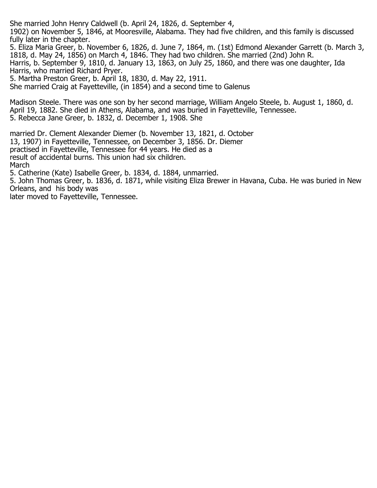She married John Henry Caldwell (b. April 24, 1826, d. September 4,

1902) on November 5, 1846, at Mooresville, Alabama. They had five children, and this family is discussed fully later in the chapter.

5. Eliza Maria Greer, b. November 6, 1826, d. June 7, 1864, m. (1st) Edmond Alexander Garrett (b. March 3, 1818, d. May 24, 1856) on March 4, 1846. They had two children. She married (2nd) John R. Harris, b. September 9, 1810, d. January 13, 1863, on July 25, 1860, and there was one daughter, Ida Harris, who married Richard Pryer.

5. Martha Preston Greer, b. April 18, 1830, d. May 22, 1911.

She married Craig at Fayetteville, (in 1854) and a second time to Galenus

Madison Steele. There was one son by her second marriage, William Angelo Steele, b. August 1, 1860, d. April 19, 1882. She died in Athens, Alabama, and was buried in Fayetteville, Tennessee. 5. Rebecca Jane Greer, b. 1832, d. December 1, 1908. She

married Dr. Clement Alexander Diemer (b. November 13, 1821, d. October 13, 1907) in Fayetteville, Tennessee, on December 3, 1856. Dr. Diemer practised in Fayetteville, Tennessee for 44 years. He died as a result of accidental burns. This union had six children. March 5. Catherine (Kate) Isabelle Greer, b. 1834, d. 1884, unmarried.

5. John Thomas Greer, b. 1836, d. 1871, while visiting Eliza Brewer in Havana, Cuba. He was buried in New Orleans, and his body was

later moved to Fayetteville, Tennessee.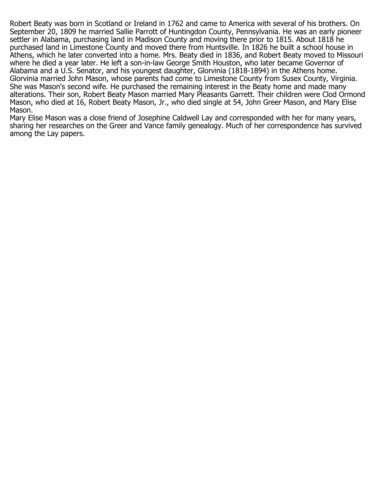Robert Beaty was born in Scotland or Ireland in 1762 and came to America with several of his brothers. On September 20, 1809 he married Sallie Parrott of Huntingdon County, Pennsylvania. He was an early pioneer settler in Alabama, purchasing land in Madison County and moving there prior to 1815. About 1818 he purchased land in Limestone County and moved there from Huntsville. In 1826 he built a school house in Athens, which he later converted into a home. Mrs. Beaty died in 1836, and Robert Beaty moved to Missouri where he died a year later. He left a son-in-law George Smith Houston, who later became Governor of Alabama and a U.S. Senator, and his youngest daughter, Glorvinia (1818-1894) in the Athens home. Glorvinia married John Mason, whose parents had come to Limestone County from Susex County, Virginia. She was Mason's second wife. He purchased the remaining interest in the Beaty home and made many alterations. Their son, Robert Beaty Mason married Mary Pleasants Garrett. Their children were Clod Ormond Mason, who died at 16, Robert Beaty Mason, Jr., who died single at 54, John Greer Mason, and Mary Elise Mason.

Mary Elise Mason was a close friend of Josephine Caldwell Lay and corresponded with her for many years, sharing her researches on the Greer and Vance family genealogy. Much of her correspondence has survived among the Lay papers.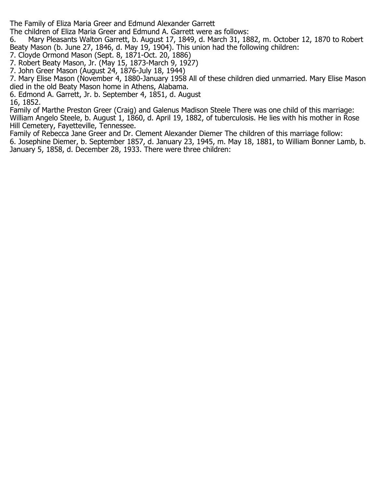The Family of Eliza Maria Greer and Edmund Alexander Garrett

The children of Eliza Maria Greer and Edmund A. Garrett were as follows:

6. Mary Pleasants Walton Garrett, b. August 17, 1849, d. March 31, 1882, m. October 12, 1870 to Robert Beaty Mason (b. June 27, 1846, d. May 19, 1904). This union had the following children:

- 7. Cloyde Ormond Mason (Sept. 8, 1871-Oct. 20, 1886)
- 7. Robert Beaty Mason, Jr. (May 15, 1873-March 9, 1927)
- 7. John Greer Mason (August 24, 1876-July 18, 1944)

7. Mary Elise Mason (November 4, 1880-January 1958 All of these children died unmarried. Mary Elise Mason died in the old Beaty Mason home in Athens, Alabama.

6. Edmond A. Garrett, Jr. b. September 4, 1851, d. August 16, 1852.

Family of Marthe Preston Greer (Craig) and Galenus Madison Steele There was one child of this marriage: William Angelo Steele, b. August 1, 1860, d. April 19, 1882, of tuberculosis. He lies with his mother in Rose Hill Cemetery, Fayetteville, Tennessee.

Family of Rebecca Jane Greer and Dr. Clement Alexander Diemer The children of this marriage follow: 6. Josephine Diemer, b. September 1857, d. January 23, 1945, m. May 18, 1881, to William Bonner Lamb, b. January 5, 1858, d. December 28, 1933. There were three children: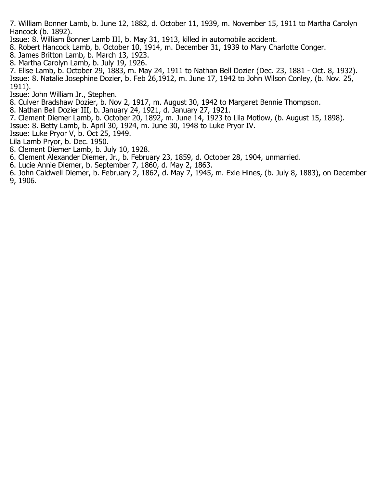7. William Bonner Lamb, b. June 12, 1882, d. October 11, 1939, m. November 15, 1911 to Martha Carolyn Hancock (b. 1892).

Issue: 8. William Bonner Lamb III, b. May 31, 1913, killed in automobile accident.

8. Robert Hancock Lamb, b. October 10, 1914, m. December 31, 1939 to Mary Charlotte Conger.

- 8. James Britton Lamb, b. March 13, 1923.
- 8. Martha Carolyn Lamb, b. July 19, 1926.

7. Elise Lamb, b. October 29, 1883, m. May 24, 1911 to Nathan Bell Dozier (Dec. 23, 1881 - Oct. 8, 1932). Issue: 8. Natalie Josephine Dozier, b. Feb 26,1912, m. June 17, 1942 to John Wilson Conley, (b. Nov. 25, 1911).

Issue: John William Jr., Stephen.

- 8. Culver Bradshaw Dozier, b. Nov 2, 1917, m. August 30, 1942 to Margaret Bennie Thompson.
- 8. Nathan Bell Dozier III, b. January 24, 1921, d. January 27, 1921.
- 7. Clement Diemer Lamb, b. October 20, 1892, m. June 14, 1923 to Lila Motlow, (b. August 15, 1898).
- Issue: 8. Betty Lamb, b. April 30, 1924, m. June 30, 1948 to Luke Pryor IV.
- Issue: Luke Pryor V, b. Oct 25, 1949.
- Lila Lamb Pryor, b. Dec. 1950.
- 8. Clement Diemer Lamb, b. July 10, 1928.
- 6. Clement Alexander Diemer, Jr., b. February 23, 1859, d. October 28, 1904, unmarried.
- 6. Lucie Annie Diemer, b. September 7, 1860, d. May 2, 1863.
- 6. John Caldwell Diemer, b. February 2, 1862, d. May 7, 1945, m. Exie Hines, (b. July 8, 1883), on December 9, 1906.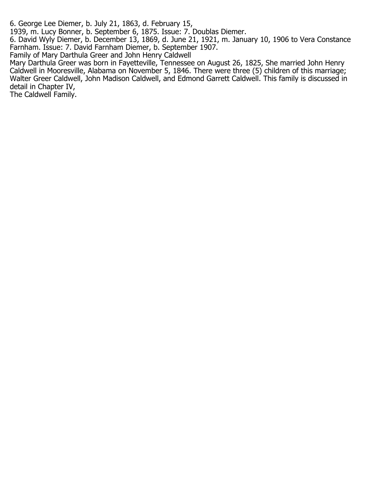6. George Lee Diemer, b. July 21, 1863, d. February 15,

1939, m. Lucy Bonner, b. September 6, 1875. Issue: 7. Doublas Diemer.

6. David Wyly Diemer, b. December 13, 1869, d. June 21, 1921, m. January 10, 1906 to Vera Constance Farnham. Issue: 7. David Farnham Diemer, b. September 1907.

Family of Mary Darthula Greer and John Henry Caldwell

Mary Darthula Greer was born in Fayetteville, Tennessee on August 26, 1825, She married John Henry Caldwell in Mooresville, Alabama on November 5, 1846. There were three (5) children of this marriage; Walter Greer Caldwell, John Madison Caldwell, and Edmond Garrett Caldwell. This family is discussed in detail in Chapter IV,

The Caldwell Family.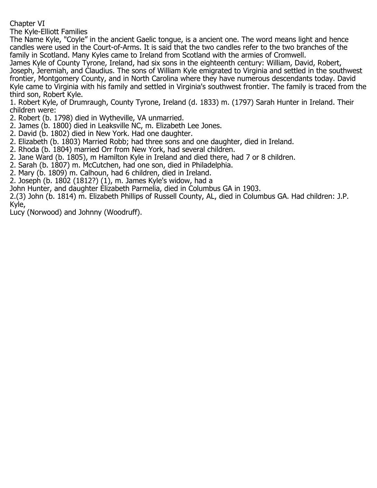Chapter VI

The Kyle-Elliott Families

The Name Kyle, "Coyle" in the ancient Gaelic tongue, is a ancient one. The word means light and hence candles were used in the Court-of-Arms. It is said that the two candles refer to the two branches of the family in Scotland. Many Kyles came to Ireland from Scotland with the armies of Cromwell.

James Kyle of County Tyrone, Ireland, had six sons in the eighteenth century: William, David, Robert, Joseph, Jeremiah, and Claudius. The sons of William Kyle emigrated to Virginia and settled in the southwest frontier, Montgomery County, and in North Carolina where they have numerous descendants today. David Kyle came to Virginia with his family and settled in Virginia's southwest frontier. The family is traced from the third son, Robert Kyle.

1. Robert Kyle, of Drumraugh, County Tyrone, Ireland (d. 1833) m. (1797) Sarah Hunter in Ireland. Their children were:

- 2. Robert (b. 1798) died in Wytheville, VA unmarried.
- 2. James (b. 1800) died in Leaksville NC, m. Elizabeth Lee Jones.
- 2. David (b. 1802) died in New York. Had one daughter.
- 2. Elizabeth (b. 1803) Married Robb; had three sons and one daughter, died in Ireland.
- 2. Rhoda (b. 1804) married Orr from New York, had several children.
- 2. Jane Ward (b. 1805), m Hamilton Kyle in Ireland and died there, had 7 or 8 children.
- 2. Sarah (b. 1807) m. McCutchen, had one son, died in Philadelphia.
- 2. Mary (b. 1809) m. Calhoun, had 6 children, died in Ireland.
- 2. Joseph (b. 1802 (1812?) (1), m. James Kyle's widow, had a
- John Hunter, and daughter Elizabeth Parmelia, died in Columbus GA in 1903.

2.(3) John (b. 1814) m. Elizabeth Phillips of Russell County, AL, died in Columbus GA. Had children: J.P.

Kyle,

Lucy (Norwood) and Johnny (Woodruff).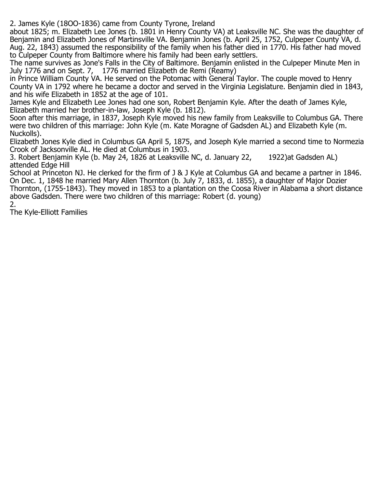2. James Kyle (18OO-1836) came from County Tyrone, Ireland

about 1825; m. Elizabeth Lee Jones (b. 1801 in Henry County VA) at Leaksville NC. She was the daughter of Benjamin and Elizabeth Jones of Martinsville VA. Benjamin Jones (b. April 25, 1752, Culpeper County VA, d. Aug. 22, 1843) assumed the responsibility of the family when his father died in 1770. His father had moved to Culpeper County from Baltimore where his family had been early settlers.

The name survives as Jone's Falls in the City of Baltimore. Benjamin enlisted in the Culpeper Minute Men in July 1776 and on Sept. 7, 1776 married Elizabeth de Remi (Reamy)

in Prince William County VA. He served on the Potomac with General Taylor. The couple moved to Henry County VA in 1792 where he became a doctor and served in the Virginia Legislature. Benjamin died in 1843, and his wife Elizabeth in 1852 at the age of 101.

James Kyle and Elizabeth Lee Jones had one son, Robert Benjamin Kyle. After the death of James Kyle, Elizabeth married her brother-in-law, Joseph Kyle (b. 1812).

Soon after this marriage, in 1837, Joseph Kyle moved his new family from Leaksville to Columbus GA. There were two children of this marriage: John Kyle (m. Kate Moragne of Gadsden AL) and Elizabeth Kyle (m. Nuckolls).

Elizabeth Jones Kyle died in Columbus GA April 5, 1875, and Joseph Kyle married a second time to Normezia Crook of Jacksonville AL. He died at Columbus in 1903.

3. Robert Benjamin Kyle (b. May 24, 1826 at Leaksville NC, d. January 22, 1922)at Gadsden AL) attended Edge Hill

School at Princeton NJ. He clerked for the firm of J & J Kyle at Columbus GA and became a partner in 1846. On Dec. 1, 1848 he married Mary Allen Thornton (b. July 7, 1833, d. 1855), a daughter of Major Dozier Thornton, (1755-1843). They moved in 1853 to a plantation on the Coosa River in Alabama a short distance above Gadsden. There were two children of this marriage: Robert (d. young) 2.

The Kyle-Elliott Families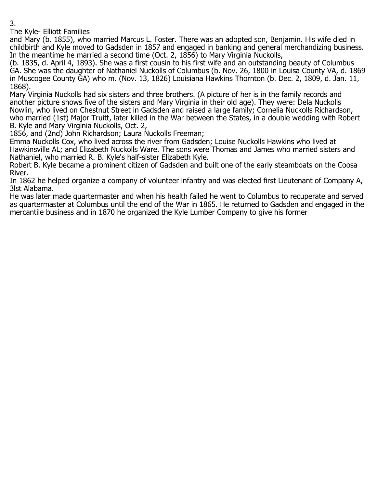The Kyle- Elliott Families

and Mary (b. 1855), who married Marcus L. Foster. There was an adopted son, Benjamin. His wife died in childbirth and Kyle moved to Gadsden in 1857 and engaged in banking and general merchandizing business. In the meantime he married a second time (Oct. 2, 1856) to Mary Virginia Nuckolls,

(b. 1835, d. April 4, 1893). She was a first cousin to his first wife and an outstanding beauty of Columbus GA. She was the daughter of Nathaniel Nuckolls of Columbus (b. Nov. 26, 1800 in Louisa County VA, d. 1869 in Muscogee County GA) who m. (Nov. 13, 1826) Louisiana Hawkins Thornton (b. Dec. 2, 1809, d. Jan. 11, 1868).

Mary Virginia Nuckolls had six sisters and three brothers. (A picture of her is in the family records and another picture shows five of the sisters and Mary Virginia in their old age). They were: Dela Nuckolls Nowlin, who lived on Chestnut Street in Gadsden and raised a large family; Cornelia Nuckolls Richardson, who married (1st) Major Truitt, later killed in the War between the States, in a double wedding with Robert B. Kyle and Mary Virginia Nuckolls, Oct. 2,

1856, and (2nd) John Richardson; Laura Nuckolls Freeman;

Emma Nuckolls Cox, who lived across the river from Gadsden; Louise Nuckolls Hawkins who lived at Hawkinsville AL; and Elizabeth Nuckolls Ware. The sons were Thomas and James who married sisters and Nathaniel, who married R. B. Kyle's half-sister Elizabeth Kyle.

Robert B. Kyle became a prominent citizen of Gadsden and built one of the early steamboats on the Coosa River.

In 1862 he helped organize a company of volunteer infantry and was elected first Lieutenant of Company A, 3lst Alabama.

He was later made quartermaster and when his health failed he went to Columbus to recuperate and served as quartermaster at Columbus until the end of the War in 1865. He returned to Gadsden and engaged in the mercantile business and in 1870 he organized the Kyle Lumber Company to give his former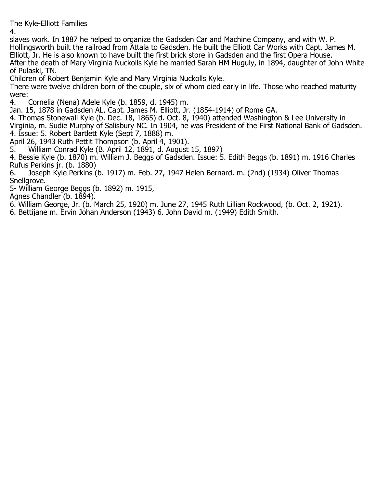The Kyle-Elliott Families

4.

slaves work. In 1887 he helped to organize the Gadsden Car and Machine Company, and with W. P. Hollingsworth built the railroad from Attala to Gadsden. He built the Elliott Car Works with Capt. James M. Elliott, Jr. He is also known to have built the first brick store in Gadsden and the first Opera House. After the death of Mary Virginia Nuckolls Kyle he married Sarah HM Huguly, in 1894, daughter of John White of Pulaski, TN.

Children of Robert Benjamin Kyle and Mary Virginia Nuckolls Kyle.

There were twelve children born of the couple, six of whom died early in life. Those who reached maturity were:<br>4.

4. Cornelia (Nena) Adele Kyle (b. 1859, d. 1945) m.

Jan. 15, 1878 in Gadsden AL, Capt. James M. Elliott, Jr. (1854-1914) of Rome GA.

4. Thomas Stonewall Kyle (b. Dec. 18, 1865) d. Oct. 8, 1940) attended Washington & Lee University in Virginia, m. Sudie Murphy of Salisbury NC. In 1904, he was President of the First National Bank of Gadsden. 4. Issue: 5. Robert Bartlett Kyle (Sept 7, 1888) m.

April 26, 1943 Ruth Pettit Thompson (b. April 4, 1901).

5. William Conrad Kyle (B. April 12, 1891, d. August 15, 1897)

4. Bessie Kyle (b. 1870) m. William J. Beggs of Gadsden. Issue: 5. Edith Beggs (b. 1891) m. 1916 Charles Rufus Perkins jr. (b. 1880)

Joseph Kyle Perkins (b. 1917) m. Feb. 27, 1947 Helen Bernard. m. (2nd) (1934) Oliver Thomas Snellgrove.

5- William George Beggs (b. 1892) m. 1915,

Agnes Chandler (b. 1894).

6. William George, Jr. (b. March 25, 1920) m. June 27, 1945 Ruth Lillian Rockwood, (b. Oct. 2, 1921).

6. Bettijane m. Ervin Johan Anderson (1943) 6. John David m. (1949) Edith Smith.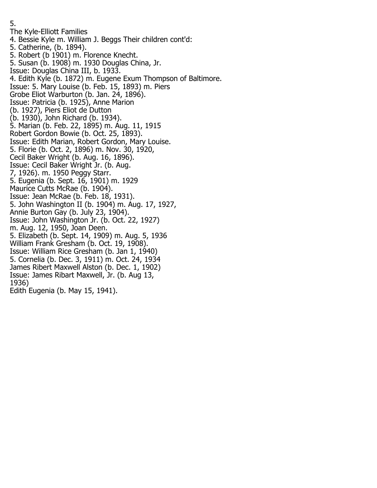5. The Kyle-Elliott Families 4. Bessie Kyle m. William J. Beggs Their children cont'd: 5. Catherine, (b. 1894). 5. Robert (b 1901) m. Florence Knecht. 5. Susan (b. 1908) m. 1930 Douglas China, Jr. Issue: Douglas China III, b. 1933. 4. Edith Kyle (b. 1872) m. Eugene Exum Thompson of Baltimore. Issue: 5. Mary Louise (b. Feb. 15, 1893) m. Piers Grobe Eliot Warburton (b. Jan. 24, 1896). Issue: Patricia (b. 1925), Anne Marion (b. 1927), Piers Eliot de Dutton (b. 1930), John Richard (b. 1934). 5. Marian (b. Feb. 22, 1895) m. Aug. 11, 1915 Robert Gordon Bowie (b. Oct. 25, 1893). Issue: Edith Marian, Robert Gordon, Mary Louise. 5. Florie (b. Oct. 2, 1896) m. Nov. 30, 1920, Cecil Baker Wright (b. Aug. 16, 1896). Issue: Cecil Baker Wright Jr. (b. Aug. 7, 1926). m. 1950 Peggy Starr. 5. Eugenia (b. Sept. 16, 1901) m. 1929 Maurice Cutts McRae (b. 1904). Issue: Jean McRae (b. Feb. 18, 1931). 5. John Washington II (b. 1904) m. Aug. 17, 1927, Annie Burton Gay (b. July 23, 1904). Issue: John Washington Jr. (b. Oct. 22, 1927) m. Aug. 12, 1950, Joan Deen. 5. Elizabeth (b. Sept. 14, 1909) m. Aug. 5, 1936 William Frank Gresham (b. Oct. 19, 1908). Issue: William Rice Gresham (b. Jan 1, 1940) 5. Cornelia (b. Dec. 3, 1911) m. Oct. 24, 1934 James Ribert Maxwell Alston (b. Dec. 1, 1902) Issue: James Ribart Maxwell, Jr. (b. Aug 13, 1936) Edith Eugenia (b. May 15, 1941).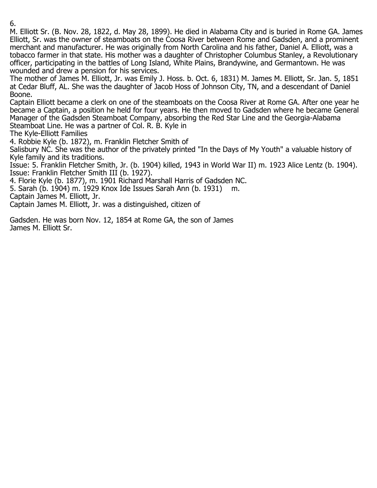M. Elliott Sr. (B. Nov. 28, 1822, d. May 28, 1899). He died in Alabama City and is buried in Rome GA. James Elliott, Sr. was the owner of steamboats on the Coosa River between Rome and Gadsden, and a prominent merchant and manufacturer. He was originally from North Carolina and his father, Daniel A. Elliott, was a tobacco farmer in that state. His mother was a daughter of Christopher Columbus Stanley, a Revolutionary officer, participating in the battles of Long Island, White Plains, Brandywine, and Germantown. He was wounded and drew a pension for his services.

The mother of James M. Elliott, Jr. was Emily J. Hoss. b. Oct. 6, 1831) M. James M. Elliott, Sr. Jan. 5, 1851 at Cedar Bluff, AL. She was the daughter of Jacob Hoss of Johnson City, TN, and a descendant of Daniel Boone.

Captain Elliott became a clerk on one of the steamboats on the Coosa River at Rome GA. After one year he became a Captain, a position he held for four years. He then moved to Gadsden where he became General Manager of the Gadsden Steamboat Company, absorbing the Red Star Line and the Georgia-Alabama Steamboat Line. He was a partner of Col. R. B. Kyle in

The Kyle-Elliott Families

4. Robbie Kyle (b. 1872), m. Franklin Fletcher Smith of

Salisbury NC. She was the author of the privately printed "In the Days of My Youth" a valuable history of Kyle family and its traditions.

Issue: 5. Franklin Fletcher Smith, Jr. (b. 1904) killed, 1943 in World War II) m. 1923 Alice Lentz (b. 1904). Issue: Franklin Fletcher Smith III (b. 1927).

4. Florie Kyle (b. 1877), m. 1901 Richard Marshall Harris of Gadsden NC.

5. Sarah (b. 1904) m. 1929 Knox Ide Issues Sarah Ann (b. 1931) m.

Captain James M. Elliott, Jr.

Captain James M. Elliott, Jr. was a distinguished, citizen of

Gadsden. He was born Nov. 12, 1854 at Rome GA, the son of James James M. Elliott Sr.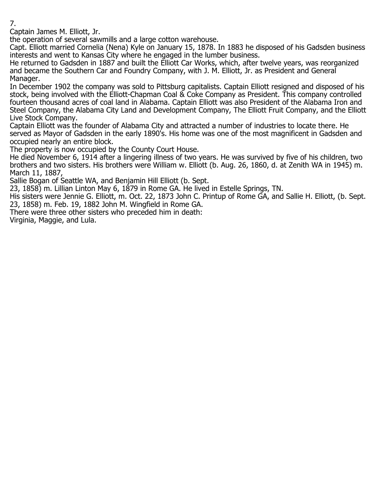Captain James M. Elliott, Jr.

the operation of several sawmills and a large cotton warehouse.

Capt. Elliott married Cornelia (Nena) Kyle on January 15, 1878. In 1883 he disposed of his Gadsden business interests and went to Kansas City where he engaged in the lumber business.

He returned to Gadsden in 1887 and built the Elliott Car Works, which, after twelve years, was reorganized and became the Southern Car and Foundry Company, with J. M. Elliott, Jr. as President and General Manager.

In December 1902 the company was sold to Pittsburg capitalists. Captain Elliott resigned and disposed of his stock, being involved with the Elliott-Chapman Coal & Coke Company as President. This company controlled fourteen thousand acres of coal land in Alabama. Captain Elliott was also President of the Alabama Iron and Steel Company, the Alabama City Land and Development Company, The Elliott Fruit Company, and the Elliott Live Stock Company.

Captain Elliott was the founder of Alabama City and attracted a number of industries to locate there. He served as Mayor of Gadsden in the early 1890's. His home was one of the most magnificent in Gadsden and occupied nearly an entire block.

The property is now occupied by the County Court House.

He died November 6, 1914 after a lingering illness of two years. He was survived by five of his children, two brothers and two sisters. His brothers were William w. Elliott (b. Aug. 26, 1860, d. at Zenith WA in 1945) m. March 11, 1887,

Sallie Bogan of Seattle WA, and Benjamin Hill Elliott (b. Sept.

23, 1858) m. Lillian Linton May 6, 1879 in Rome GA. He lived in Estelle Springs, TN.

His sisters were Jennie G. Elliott, m. Oct. 22, 1873 John C. Printup of Rome GA, and Sallie H. Elliott, (b. Sept. 23, 1858) m. Feb. 19, 1882 John M. Wingfield in Rome GA.

There were three other sisters who preceded him in death:

Virginia, Maggie, and Lula.